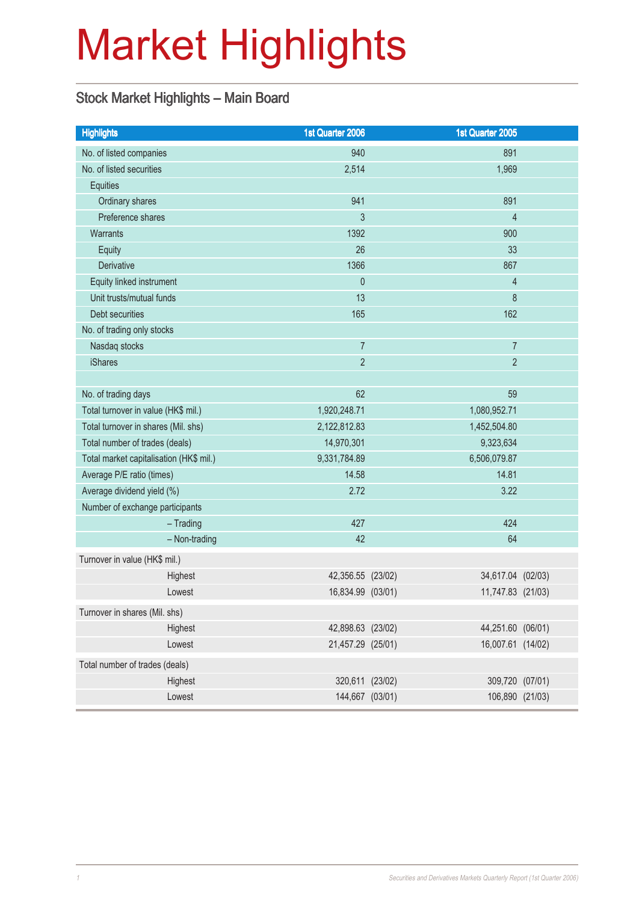# Market Highlights

#### Stock Market Highlights – Main Board

| <b>Highlights</b>                       | 1st Quarter 2006  | 1st Quarter 2005  |         |
|-----------------------------------------|-------------------|-------------------|---------|
| No. of listed companies                 | 940               | 891               |         |
| No. of listed securities                | 2,514             | 1,969             |         |
| Equities                                |                   |                   |         |
| Ordinary shares                         | 941               | 891               |         |
| Preference shares                       | 3                 | $\overline{4}$    |         |
| Warrants                                | 1392              | 900               |         |
| <b>Equity</b>                           | 26                | 33                |         |
| <b>Derivative</b>                       | 1366              | 867               |         |
| Equity linked instrument                | $\mathbf{0}$      | $\overline{4}$    |         |
| Unit trusts/mutual funds                | 13                | 8                 |         |
| Debt securities                         | 165               | 162               |         |
| No. of trading only stocks              |                   |                   |         |
| Nasdaq stocks                           | $\overline{7}$    | $\overline{7}$    |         |
| <b>iShares</b>                          | $\overline{2}$    | $\overline{2}$    |         |
|                                         |                   |                   |         |
| No. of trading days                     | 62                | 59                |         |
| Total turnover in value (HK\$ mil.)     | 1,920,248.71      | 1,080,952.71      |         |
| Total turnover in shares (Mil. shs)     | 2,122,812.83      | 1,452,504.80      |         |
| Total number of trades (deals)          | 14,970,301        | 9,323,634         |         |
| Total market capitalisation (HK\$ mil.) | 9,331,784.89      | 6,506,079.87      |         |
| Average P/E ratio (times)               | 14.58             | 14.81             |         |
| Average dividend yield (%)              | 2.72              | 3.22              |         |
| Number of exchange participants         |                   |                   |         |
| $-$ Trading                             | 427               | 424               |         |
| - Non-trading                           | 42                | 64                |         |
| Turnover in value (HK\$ mil.)           |                   |                   |         |
| Highest                                 | 42,356.55 (23/02) | 34,617.04 (02/03) |         |
| Lowest                                  | 16,834.99 (03/01) | 11,747.83 (21/03) |         |
| Turnover in shares (Mil. shs)           |                   |                   |         |
| Highest                                 | 42,898.63 (23/02) | 44,251.60 (06/01) |         |
| Lowest                                  | 21,457.29 (25/01) | 16,007.61 (14/02) |         |
| Total number of trades (deals)          |                   |                   |         |
| Highest                                 | 320,611 (23/02)   | 309,720           | (07/01) |
| Lowest                                  | 144,667 (03/01)   | 106,890 (21/03)   |         |
|                                         |                   |                   |         |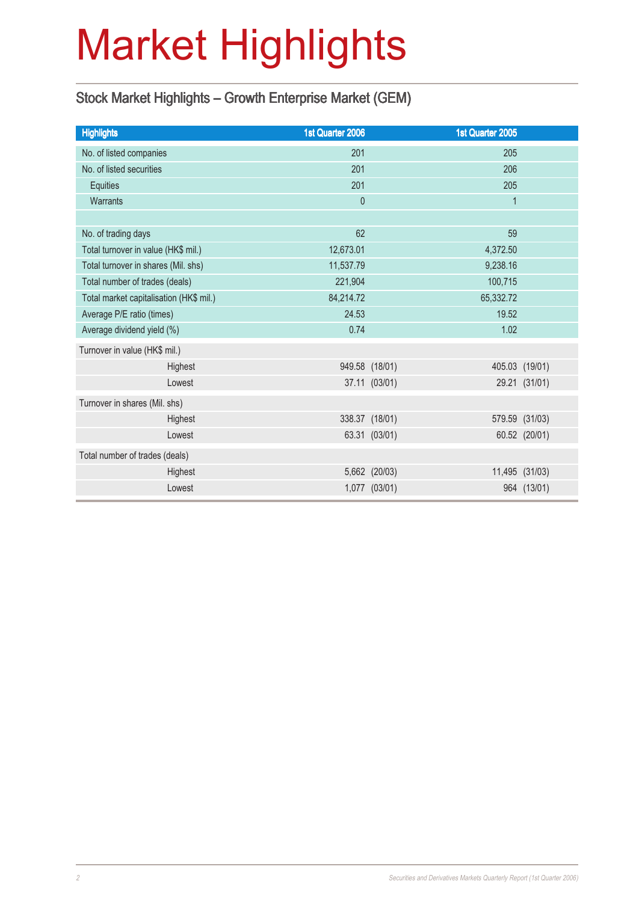# Market Highlights

#### Stock Market Highlights – Growth Enterprise Market (GEM)

| <b>Highlights</b>                       |         | 1st Quarter 2006 |                | 1st Quarter 2005 |                |
|-----------------------------------------|---------|------------------|----------------|------------------|----------------|
| No. of listed companies                 |         | 201              |                | 205              |                |
| No. of listed securities                |         | 201              |                | 206              |                |
| Equities                                |         | 201              |                | 205              |                |
| <b>Warrants</b>                         |         | $\theta$         |                | $\mathbf{1}$     |                |
|                                         |         |                  |                |                  |                |
| No. of trading days                     |         | 62               |                | 59               |                |
| Total turnover in value (HK\$ mil.)     |         | 12,673.01        |                | 4,372.50         |                |
| Total turnover in shares (Mil. shs)     |         | 11,537.79        |                | 9,238.16         |                |
| Total number of trades (deals)          |         | 221,904          |                | 100,715          |                |
| Total market capitalisation (HK\$ mil.) |         | 84,214.72        |                | 65,332.72        |                |
| Average P/E ratio (times)               |         | 24.53            |                | 19.52            |                |
| Average dividend yield (%)              |         | 0.74             |                | 1.02             |                |
| Turnover in value (HK\$ mil.)           |         |                  |                |                  |                |
|                                         | Highest |                  | 949.58 (18/01) |                  | 405.03 (19/01) |
|                                         | Lowest  |                  | 37.11 (03/01)  |                  | 29.21 (31/01)  |
| Turnover in shares (Mil. shs)           |         |                  |                |                  |                |
|                                         | Highest |                  | 338.37 (18/01) |                  | 579.59 (31/03) |
|                                         | Lowest  |                  | 63.31 (03/01)  |                  | 60.52 (20/01)  |
| Total number of trades (deals)          |         |                  |                |                  |                |
|                                         | Highest |                  | 5,662 (20/03)  |                  | 11,495 (31/03) |
|                                         | Lowest  |                  | 1,077 (03/01)  |                  | 964 (13/01)    |
|                                         |         |                  |                |                  |                |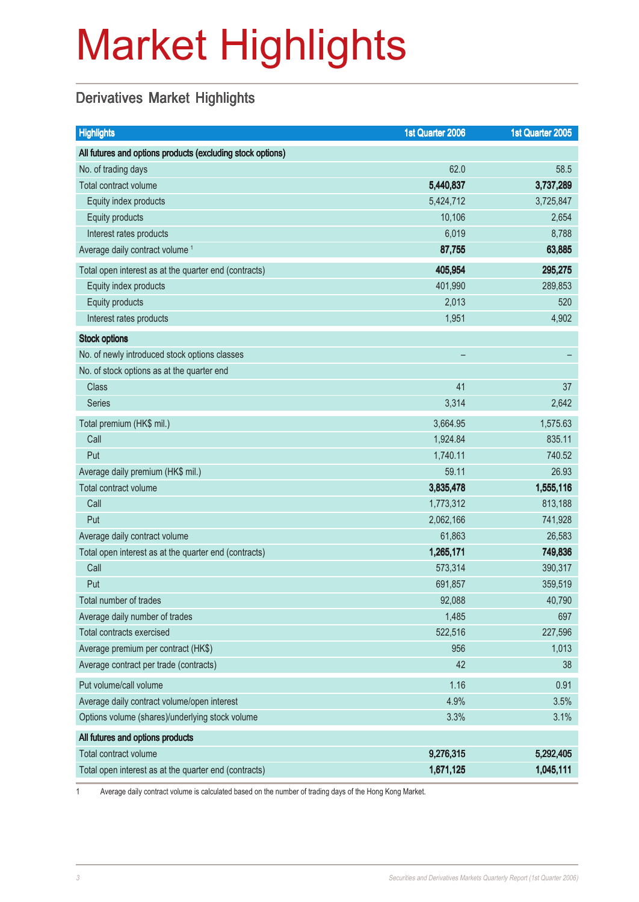# Market Highlights

#### Derivatives Market Highlights

| <b>Highlights</b>                                          | 1st Quarter 2006 | 1st Quarter 2005 |
|------------------------------------------------------------|------------------|------------------|
| All futures and options products (excluding stock options) |                  |                  |
| No. of trading days                                        | 62.0             | 58.5             |
| Total contract volume                                      | 5,440,837        | 3,737,289        |
| Equity index products                                      | 5,424,712        | 3,725,847        |
| Equity products                                            | 10,106           | 2,654            |
| Interest rates products                                    | 6,019            | 8,788            |
| Average daily contract volume <sup>1</sup>                 | 87,755           | 63,885           |
| Total open interest as at the quarter end (contracts)      | 405,954          | 295,275          |
| Equity index products                                      | 401,990          | 289,853          |
| Equity products                                            | 2,013            | 520              |
| Interest rates products                                    | 1,951            | 4,902            |
| <b>Stock options</b>                                       |                  |                  |
| No. of newly introduced stock options classes              |                  |                  |
| No. of stock options as at the quarter end                 |                  |                  |
| <b>Class</b>                                               | 41               | 37               |
| <b>Series</b>                                              | 3,314            | 2,642            |
| Total premium (HK\$ mil.)                                  | 3,664.95         | 1,575.63         |
| Call                                                       | 1,924.84         | 835.11           |
| Put                                                        | 1,740.11         | 740.52           |
| Average daily premium (HK\$ mil.)                          | 59.11            | 26.93            |
| Total contract volume                                      | 3,835,478        | 1,555,116        |
| Call                                                       | 1,773,312        | 813,188          |
| Put                                                        | 2,062,166        | 741,928          |
| Average daily contract volume                              | 61,863           | 26,583           |
| Total open interest as at the quarter end (contracts)      | 1,265,171        | 749,836          |
| Call                                                       | 573,314          | 390,317          |
| Put                                                        | 691,857          | 359,519          |
| Total number of trades                                     | 92,088           | 40,790           |
| Average daily number of trades                             | 1,485            | 697              |
| <b>Total contracts exercised</b>                           | 522,516          | 227,596          |
| Average premium per contract (HK\$)                        | 956              | 1,013            |
| Average contract per trade (contracts)                     | 42               | 38               |
| Put volume/call volume                                     | 1.16             | 0.91             |
| Average daily contract volume/open interest                | 4.9%             | 3.5%             |
| Options volume (shares)/underlying stock volume            | 3.3%             | 3.1%             |
| All futures and options products                           |                  |                  |
| Total contract volume                                      | 9,276,315        | 5,292,405        |
| Total open interest as at the quarter end (contracts)      | 1,671,125        | 1,045,111        |

1 Average daily contract volume is calculated based on the number of trading days of the Hong Kong Market.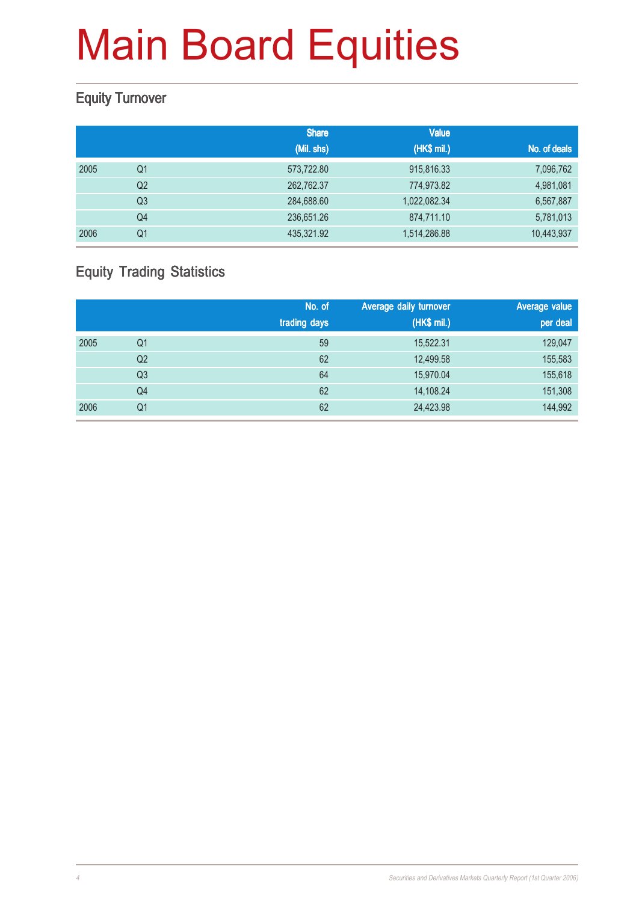#### Equity Turnover

|      |                | <b>Share</b> | <b>Value</b> |              |
|------|----------------|--------------|--------------|--------------|
|      |                | (Mil. shs)   | (HK\$ mil.)  | No. of deals |
| 2005 | Q1             | 573,722.80   | 915,816.33   | 7,096,762    |
|      | Q <sub>2</sub> | 262,762.37   | 774,973.82   | 4,981,081    |
|      | Q <sub>3</sub> | 284,688.60   | 1,022,082.34 | 6,567,887    |
|      | Q4             | 236,651.26   | 874,711.10   | 5,781,013    |
| 2006 | Q1             | 435,321.92   | 1,514,286.88 | 10,443,937   |

#### Equity Trading Statistics

|      |                | No. of<br>trading days | Average daily turnover<br>(HK\$ mil.) | Average value<br>per deal |
|------|----------------|------------------------|---------------------------------------|---------------------------|
| 2005 | Q1             | 59                     | 15,522.31                             | 129,047                   |
|      | Q2             | 62                     | 12,499.58                             | 155,583                   |
|      | Q <sub>3</sub> | 64                     | 15,970.04                             | 155,618                   |
|      | Q4             | 62                     | 14,108.24                             | 151,308                   |
| 2006 | Q <sub>1</sub> | 62                     | 24,423.98                             | 144,992                   |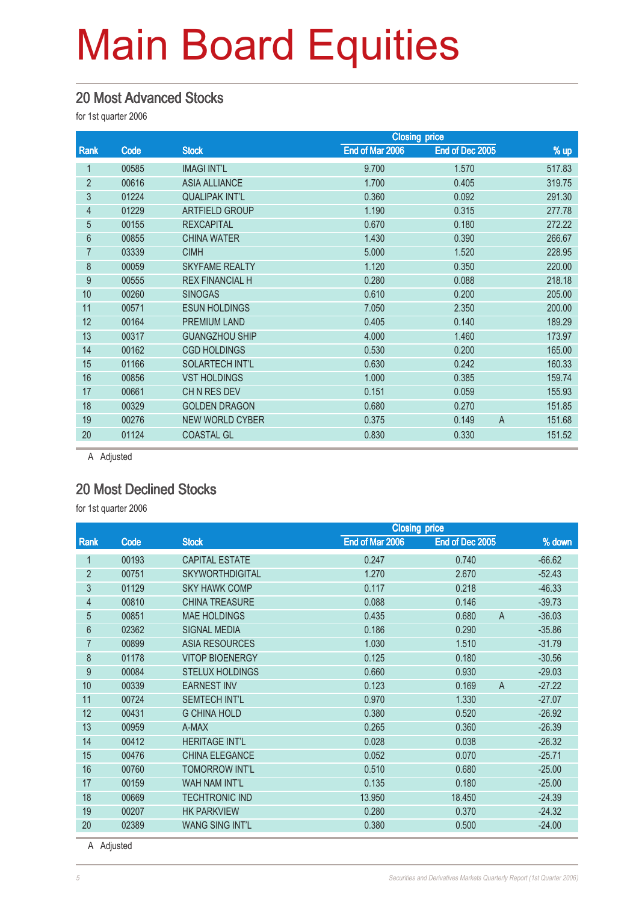#### 20 Most Advanced Stocks

for 1st quarter 2006

|                  |       |                        | <b>Closing price</b> |                 |                          |
|------------------|-------|------------------------|----------------------|-----------------|--------------------------|
| Rank             | Code  | <b>Stock</b>           | End of Mar 2006      | End of Dec 2005 | % up                     |
|                  | 00585 | <b>IMAGI INT'L</b>     | 9.700                | 1.570           | 517.83                   |
| $\overline{2}$   | 00616 | <b>ASIA ALLIANCE</b>   | 1.700                | 0.405           | 319.75                   |
| 3                | 01224 | <b>QUALIPAK INT'L</b>  | 0.360                | 0.092           | 291.30                   |
| 4                | 01229 | <b>ARTFIELD GROUP</b>  | 1.190                | 0.315           | 277.78                   |
| 5                | 00155 | <b>REXCAPITAL</b>      | 0.670                | 0.180           | 272.22                   |
| 6                | 00855 | <b>CHINA WATER</b>     | 1.430                | 0.390           | 266.67                   |
| $\overline{7}$   | 03339 | <b>CIMH</b>            | 5.000                | 1.520           | 228.95                   |
| 8                | 00059 | <b>SKYFAME REALTY</b>  | 1.120                | 0.350           | 220.00                   |
| $\boldsymbol{9}$ | 00555 | <b>REX FINANCIAL H</b> | 0.280                | 0.088           | 218.18                   |
| 10               | 00260 | <b>SINOGAS</b>         | 0.610                | 0.200           | 205.00                   |
| 11               | 00571 | <b>ESUN HOLDINGS</b>   | 7.050                | 2.350           | 200.00                   |
| 12               | 00164 | <b>PREMIUM LAND</b>    | 0.405                | 0.140           | 189.29                   |
| 13               | 00317 | <b>GUANGZHOU SHIP</b>  | 4.000                | 1.460           | 173.97                   |
| 14               | 00162 | <b>CGD HOLDINGS</b>    | 0.530                | 0.200           | 165.00                   |
| 15               | 01166 | <b>SOLARTECH INT'L</b> | 0.630                | 0.242           | 160.33                   |
| 16               | 00856 | <b>VST HOLDINGS</b>    | 1.000                | 0.385           | 159.74                   |
| 17               | 00661 | CHN RES DEV            | 0.151                | 0.059           | 155.93                   |
| 18               | 00329 | <b>GOLDEN DRAGON</b>   | 0.680                | 0.270           | 151.85                   |
| 19               | 00276 | <b>NEW WORLD CYBER</b> | 0.375                | 0.149           | 151.68<br>$\overline{A}$ |
| 20               | 01124 | <b>COASTAL GL</b>      | 0.830                | 0.330           | 151.52                   |
|                  |       |                        |                      |                 |                          |

A Adjusted

#### 20 Most Declined Stocks

for 1st quarter 2006

|                |       |                        | <b>Closing price</b> |                         |          |  |
|----------------|-------|------------------------|----------------------|-------------------------|----------|--|
| <b>Rank</b>    | Code  | <b>Stock</b>           | End of Mar 2006      | End of Dec 2005         | % down   |  |
| 1              | 00193 | <b>CAPITAL ESTATE</b>  | 0.247                | 0.740                   | $-66.62$ |  |
| $\overline{2}$ | 00751 | <b>SKYWORTHDIGITAL</b> | 1.270                | 2.670                   | $-52.43$ |  |
| 3              | 01129 | <b>SKY HAWK COMP</b>   | 0.117                | 0.218                   | $-46.33$ |  |
| $\overline{4}$ | 00810 | <b>CHINA TREASURE</b>  | 0.088                | 0.146                   | $-39.73$ |  |
| 5              | 00851 | <b>MAE HOLDINGS</b>    | 0.435                | 0.680<br>A              | $-36.03$ |  |
| 6              | 02362 | <b>SIGNAL MEDIA</b>    | 0.186                | 0.290                   | $-35.86$ |  |
| $\overline{7}$ | 00899 | ASIA RESOURCES         | 1.030                | 1.510                   | $-31.79$ |  |
| 8              | 01178 | <b>VITOP BIOENERGY</b> | 0.125                | 0.180                   | $-30.56$ |  |
| 9              | 00084 | <b>STELUX HOLDINGS</b> | 0.660                | 0.930                   | $-29.03$ |  |
| 10             | 00339 | <b>EARNEST INV</b>     | 0.123                | 0.169<br>$\overline{A}$ | $-27.22$ |  |
| 11             | 00724 | <b>SEMTECH INT'L</b>   | 0.970                | 1.330                   | $-27.07$ |  |
| 12             | 00431 | <b>G CHINA HOLD</b>    | 0.380                | 0.520                   | $-26.92$ |  |
| 13             | 00959 | A-MAX                  | 0.265                | 0.360                   | $-26.39$ |  |
| 14             | 00412 | <b>HERITAGE INT'L</b>  | 0.028                | 0.038                   | $-26.32$ |  |
| 15             | 00476 | CHINA ELEGANCE         | 0.052                | 0.070                   | $-25.71$ |  |
| 16             | 00760 | <b>TOMORROW INT'L</b>  | 0.510                | 0.680                   | $-25.00$ |  |
| 17             | 00159 | <b>WAH NAM INT'L</b>   | 0.135                | 0.180                   | $-25.00$ |  |
| 18             | 00669 | <b>TECHTRONIC IND</b>  | 13.950               | 18.450                  | $-24.39$ |  |
| 19             | 00207 | <b>HK PARKVIEW</b>     | 0.280                | 0.370                   | $-24.32$ |  |
| 20             | 02389 | <b>WANG SING INT'L</b> | 0.380                | 0.500                   | $-24.00$ |  |

A Adjusted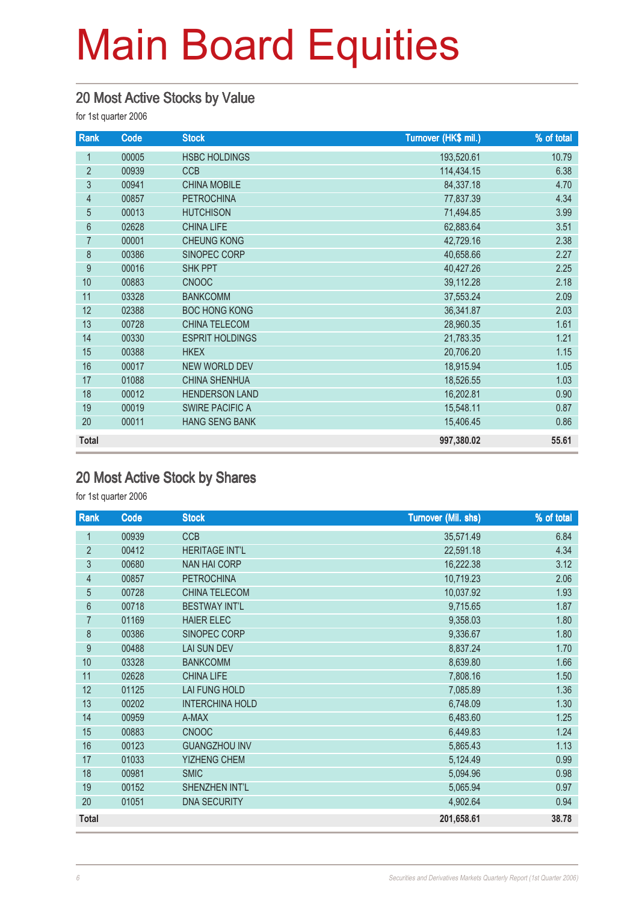#### 20 Most Active Stocks by Value

for 1st quarter 2006

| Rank             | Code  | <b>Stock</b>           | Turnover (HK\$ mil.) | % of total |
|------------------|-------|------------------------|----------------------|------------|
| 1                | 00005 | <b>HSBC HOLDINGS</b>   | 193,520.61           | 10.79      |
| $\overline{2}$   | 00939 | <b>CCB</b>             | 114,434.15           | 6.38       |
| $\overline{3}$   | 00941 | <b>CHINA MOBILE</b>    | 84,337.18            | 4.70       |
| $\overline{4}$   | 00857 | <b>PETROCHINA</b>      | 77,837.39            | 4.34       |
| 5                | 00013 | <b>HUTCHISON</b>       | 71,494.85            | 3.99       |
| 6                | 02628 | <b>CHINA LIFE</b>      | 62,883.64            | 3.51       |
| $\overline{7}$   | 00001 | <b>CHEUNG KONG</b>     | 42,729.16            | 2.38       |
| 8                | 00386 | SINOPEC CORP           | 40,658.66            | 2.27       |
| $\boldsymbol{9}$ | 00016 | <b>SHK PPT</b>         | 40,427.26            | 2.25       |
| 10               | 00883 | <b>CNOOC</b>           | 39,112.28            | 2.18       |
| 11               | 03328 | <b>BANKCOMM</b>        | 37,553.24            | 2.09       |
| 12               | 02388 | <b>BOC HONG KONG</b>   | 36,341.87            | 2.03       |
| 13               | 00728 | CHINA TELECOM          | 28,960.35            | 1.61       |
| 14               | 00330 | <b>ESPRIT HOLDINGS</b> | 21,783.35            | 1.21       |
| 15               | 00388 | <b>HKEX</b>            | 20,706.20            | 1.15       |
| 16               | 00017 | <b>NEW WORLD DEV</b>   | 18,915.94            | 1.05       |
| 17               | 01088 | <b>CHINA SHENHUA</b>   | 18,526.55            | 1.03       |
| 18               | 00012 | <b>HENDERSON LAND</b>  | 16,202.81            | 0.90       |
| 19               | 00019 | <b>SWIRE PACIFIC A</b> | 15,548.11            | 0.87       |
| 20               | 00011 | <b>HANG SENG BANK</b>  | 15,406.45            | 0.86       |
| <b>Total</b>     |       |                        | 997,380.02           | 55.61      |

#### 20 Most Active Stock by Shares

| Rank           | Code  | <b>Stock</b>           | <b>Turnover (Mil. shs)</b> | % of total |
|----------------|-------|------------------------|----------------------------|------------|
| 1              | 00939 | <b>CCB</b>             | 35,571.49                  | 6.84       |
| $\overline{2}$ | 00412 | <b>HERITAGE INT'L</b>  | 22,591.18                  | 4.34       |
| $\mathfrak{Z}$ | 00680 | <b>NAN HAI CORP</b>    | 16,222.38                  | 3.12       |
| $\overline{4}$ | 00857 | <b>PETROCHINA</b>      | 10,719.23                  | 2.06       |
| 5              | 00728 | CHINA TELECOM          | 10,037.92                  | 1.93       |
| $6\phantom{a}$ | 00718 | <b>BESTWAY INT'L</b>   | 9,715.65                   | 1.87       |
| 7              | 01169 | <b>HAIER ELEC</b>      | 9,358.03                   | 1.80       |
| 8              | 00386 | SINOPEC CORP           | 9,336.67                   | 1.80       |
| $\overline{9}$ | 00488 | <b>LAI SUN DEV</b>     | 8,837.24                   | 1.70       |
| 10             | 03328 | <b>BANKCOMM</b>        | 8,639.80                   | 1.66       |
| 11             | 02628 | <b>CHINA LIFE</b>      | 7,808.16                   | 1.50       |
| 12             | 01125 | LAI FUNG HOLD          | 7,085.89                   | 1.36       |
| 13             | 00202 | <b>INTERCHINA HOLD</b> | 6,748.09                   | 1.30       |
| 14             | 00959 | A-MAX                  | 6,483.60                   | 1.25       |
| 15             | 00883 | <b>CNOOC</b>           | 6,449.83                   | 1.24       |
| 16             | 00123 | <b>GUANGZHOU INV</b>   | 5,865.43                   | 1.13       |
| 17             | 01033 | <b>YIZHENG CHEM</b>    | 5,124.49                   | 0.99       |
| 18             | 00981 | <b>SMIC</b>            | 5,094.96                   | 0.98       |
| 19             | 00152 | SHENZHEN INT'L         | 5,065.94                   | 0.97       |
| 20             | 01051 | <b>DNA SECURITY</b>    | 4,902.64                   | 0.94       |
| <b>Total</b>   |       |                        | 201,658.61                 | 38.78      |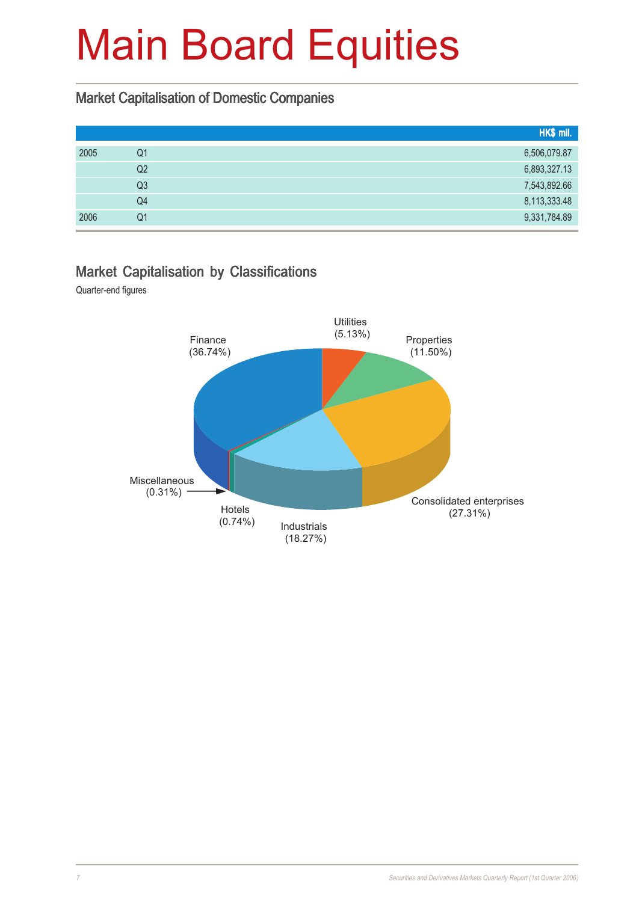#### Market Capitalisation of Domestic Companies

|      |                | HK\$ mil.    |
|------|----------------|--------------|
| 2005 | Q1             | 6,506,079.87 |
|      | Q2             | 6,893,327.13 |
|      | Q <sub>3</sub> | 7,543,892.66 |
|      | Q4             | 8,113,333.48 |
| 2006 | Q1             | 9,331,784.89 |

#### Market Capitalisation by Classifications

Quarter-end figures

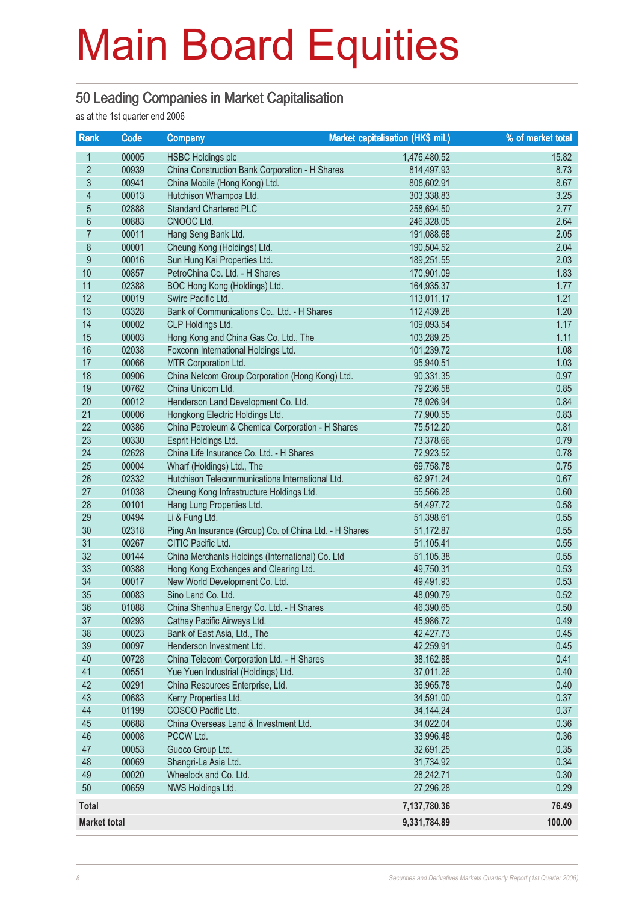#### 50 Leading Companies in Market Capitalisation

as at the 1st quarter end 2006

| Rank                | Code  | <b>Company</b>                                         | Market capitalisation (HK\$ mil.) | % of market total |
|---------------------|-------|--------------------------------------------------------|-----------------------------------|-------------------|
| $\mathbf{1}$        | 00005 | <b>HSBC Holdings plc</b>                               | 1,476,480.52                      | 15.82             |
| $\overline{2}$      | 00939 | China Construction Bank Corporation - H Shares         | 814,497.93                        | 8.73              |
| $\mathfrak{S}$      | 00941 | China Mobile (Hong Kong) Ltd.                          | 808,602.91                        | 8.67              |
| $\overline{4}$      | 00013 | Hutchison Whampoa Ltd.                                 | 303,338.83                        | 3.25              |
| $\overline{5}$      | 02888 | <b>Standard Chartered PLC</b>                          | 258,694.50                        | 2.77              |
| $6\phantom{a}$      | 00883 | CNOOC Ltd.                                             | 246,328.05                        | 2.64              |
| $\overline{7}$      | 00011 | Hang Seng Bank Ltd.                                    | 191,088.68                        | 2.05              |
| 8                   | 00001 | Cheung Kong (Holdings) Ltd.                            | 190,504.52                        | 2.04              |
| 9                   | 00016 | Sun Hung Kai Properties Ltd.                           | 189,251.55                        | 2.03              |
| 10                  | 00857 | PetroChina Co. Ltd. - H Shares                         | 170,901.09                        | 1.83              |
| 11                  | 02388 | BOC Hong Kong (Holdings) Ltd.                          | 164,935.37                        | 1.77              |
| 12                  | 00019 | Swire Pacific Ltd.                                     | 113,011.17                        | 1.21              |
| 13                  | 03328 | Bank of Communications Co., Ltd. - H Shares            | 112,439.28                        | 1.20              |
| 14                  | 00002 | CLP Holdings Ltd.                                      | 109,093.54                        | 1.17              |
| 15                  | 00003 | Hong Kong and China Gas Co. Ltd., The                  | 103,289.25                        | 1.11              |
| 16                  | 02038 | Foxconn International Holdings Ltd.                    | 101,239.72                        | 1.08              |
| 17                  | 00066 | MTR Corporation Ltd.                                   | 95,940.51                         | 1.03              |
| 18                  | 00906 | China Netcom Group Corporation (Hong Kong) Ltd.        | 90,331.35                         | 0.97              |
| 19                  | 00762 | China Unicom Ltd.                                      | 79,236.58                         | 0.85              |
| 20                  | 00012 | Henderson Land Development Co. Ltd.                    | 78,026.94                         | 0.84              |
| 21                  | 00006 | Hongkong Electric Holdings Ltd.                        | 77,900.55                         | 0.83              |
| 22                  | 00386 | China Petroleum & Chemical Corporation - H Shares      | 75,512.20                         | 0.81              |
| 23                  | 00330 | Esprit Holdings Ltd.                                   | 73,378.66                         | 0.79              |
| 24                  | 02628 | China Life Insurance Co. Ltd. - H Shares               | 72,923.52                         | 0.78              |
| 25                  | 00004 | Wharf (Holdings) Ltd., The                             | 69,758.78                         | 0.75              |
| 26                  | 02332 | Hutchison Telecommunications International Ltd.        | 62,971.24                         | 0.67              |
| 27                  | 01038 | Cheung Kong Infrastructure Holdings Ltd.               | 55,566.28                         | 0.60              |
| 28                  | 00101 | Hang Lung Properties Ltd.                              | 54,497.72                         | 0.58              |
| 29                  | 00494 | Li & Fung Ltd.                                         | 51,398.61                         | 0.55              |
| 30                  | 02318 | Ping An Insurance (Group) Co. of China Ltd. - H Shares | 51,172.87                         | 0.55              |
| 31                  | 00267 | CITIC Pacific Ltd.                                     | 51,105.41                         | 0.55              |
| 32                  | 00144 | China Merchants Holdings (International) Co. Ltd       | 51,105.38                         | 0.55              |
| 33                  | 00388 | Hong Kong Exchanges and Clearing Ltd.                  | 49,750.31                         | 0.53              |
| 34                  | 00017 | New World Development Co. Ltd.                         | 49,491.93                         | 0.53              |
| 35                  | 00083 | Sino Land Co. Ltd.                                     | 48,090.79                         | 0.52              |
| 36                  | 01088 | China Shenhua Energy Co. Ltd. - H Shares               | 46,390.65                         | 0.50              |
| 37                  | 00293 | Cathay Pacific Airways Ltd.                            | 45,986.72                         | 0.49              |
| 38                  | 00023 | Bank of East Asia, Ltd., The                           | 42,427.73                         | 0.45              |
| 39                  | 00097 | Henderson Investment Ltd.                              | 42,259.91                         | 0.45              |
| 40                  | 00728 | China Telecom Corporation Ltd. - H Shares              | 38,162.88                         | 0.41              |
| 41                  | 00551 | Yue Yuen Industrial (Holdings) Ltd.                    | 37,011.26                         | 0.40              |
| 42                  | 00291 | China Resources Enterprise, Ltd.                       | 36,965.78                         | 0.40              |
| 43                  | 00683 | Kerry Properties Ltd.                                  | 34,591.00                         | 0.37              |
| 44                  | 01199 | COSCO Pacific Ltd.                                     | 34, 144. 24                       | 0.37              |
| 45                  | 00688 | China Overseas Land & Investment Ltd.                  | 34,022.04                         | 0.36              |
| 46                  | 00008 | PCCW Ltd.                                              | 33,996.48                         | 0.36              |
| 47                  | 00053 | Guoco Group Ltd.                                       | 32,691.25                         | 0.35              |
| 48                  | 00069 | Shangri-La Asia Ltd.                                   | 31,734.92                         | 0.34              |
| 49                  | 00020 | Wheelock and Co. Ltd.                                  | 28,242.71                         | 0.30              |
| 50                  | 00659 | NWS Holdings Ltd.                                      | 27,296.28                         | 0.29              |
| <b>Total</b>        |       |                                                        | 7,137,780.36                      | 76.49             |
| <b>Market total</b> |       |                                                        | 9,331,784.89                      | 100.00            |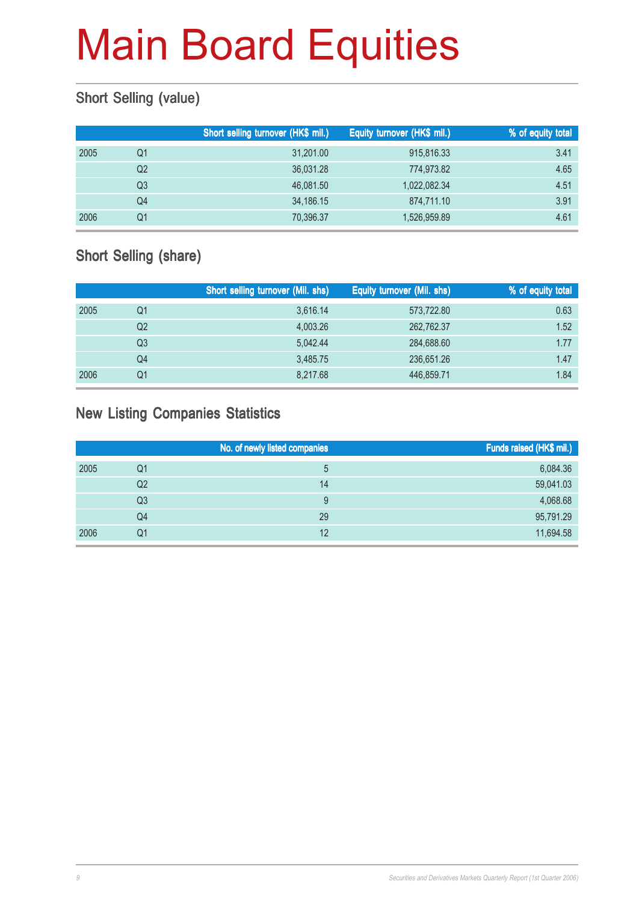#### Short Selling (value)

|      |    | Short selling turnover (HK\$ mil.) | Equity turnover (HK\$ mil.) | % of equity total |
|------|----|------------------------------------|-----------------------------|-------------------|
| 2005 | Q1 | 31,201.00                          | 915,816.33                  | 3.41              |
|      | Q2 | 36.031.28                          | 774,973.82                  | 4.65              |
|      | Q3 | 46.081.50                          | 1,022,082.34                | 4.51              |
|      | Q4 | 34,186.15                          | 874,711.10                  | 3.91              |
| 2006 | Q1 | 70,396.37                          | 1,526,959.89                | 4.61              |

#### Short Selling (share)

|      |                | Short selling turnover (Mil. shs) | Equity turnover (Mil. shs) | % of equity total |
|------|----------------|-----------------------------------|----------------------------|-------------------|
| 2005 | Q1             | 3,616.14                          | 573,722.80                 | 0.63              |
|      | Q <sub>2</sub> | 4.003.26                          | 262,762.37                 | 1.52              |
|      | Q3             | 5.042.44                          | 284,688.60                 | 1.77              |
|      | Q4             | 3.485.75                          | 236,651.26                 | 1.47              |
| 2006 | Q1             | 8,217.68                          | 446,859.71                 | 1.84              |

#### New Listing Companies Statistics

|      |    | No. of newly listed companies | Funds raised (HK\$ mil.) |
|------|----|-------------------------------|--------------------------|
| 2005 | Q1 |                               | 6,084.36                 |
|      | Q2 | 14                            | 59,041.03                |
|      | Q3 |                               | 4,068.68                 |
|      | Q4 | 29                            | 95,791.29                |
| 2006 | Q1 | 12                            | 11,694.58                |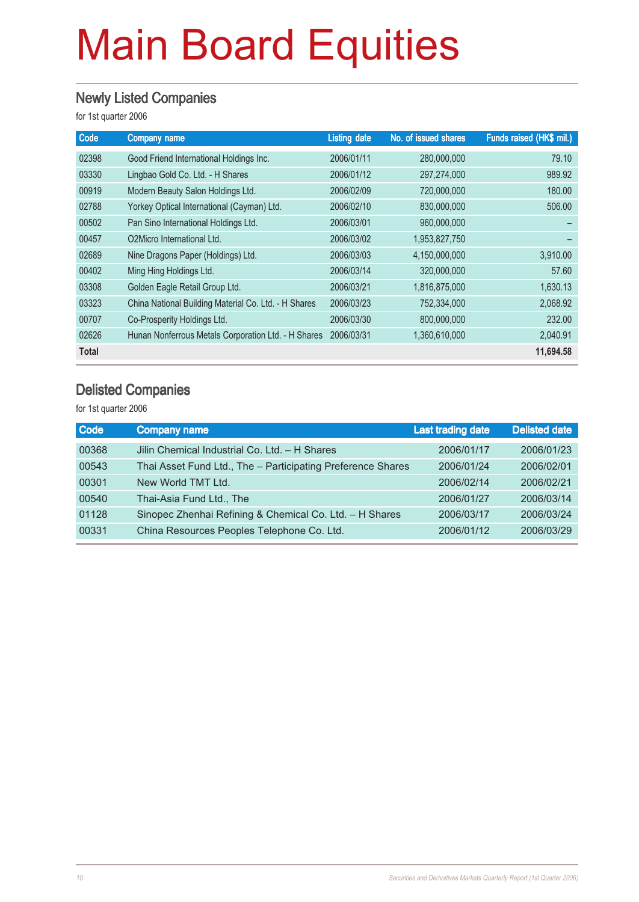#### Newly Listed Companies

for 1st quarter 2006

| Code  | <b>Company name</b>                                  | <b>Listing date</b> | No. of issued shares | Funds raised (HK\$ mil.) |
|-------|------------------------------------------------------|---------------------|----------------------|--------------------------|
| 02398 | Good Friend International Holdings Inc.              | 2006/01/11          | 280,000,000          | 79.10                    |
| 03330 | Lingbao Gold Co. Ltd. - H Shares                     | 2006/01/12          | 297,274,000          | 989.92                   |
| 00919 | Modern Beauty Salon Holdings Ltd.                    | 2006/02/09          | 720,000,000          | 180.00                   |
| 02788 | Yorkey Optical International (Cayman) Ltd.           | 2006/02/10          | 830,000,000          | 506.00                   |
| 00502 | Pan Sino International Holdings Ltd.                 | 2006/03/01          | 960,000,000          |                          |
| 00457 | O <sub>2</sub> Micro International Ltd.              | 2006/03/02          | 1,953,827,750        |                          |
| 02689 | Nine Dragons Paper (Holdings) Ltd.                   | 2006/03/03          | 4,150,000,000        | 3,910.00                 |
| 00402 | Ming Hing Holdings Ltd.                              | 2006/03/14          | 320,000,000          | 57.60                    |
| 03308 | Golden Eagle Retail Group Ltd.                       | 2006/03/21          | 1,816,875,000        | 1,630.13                 |
| 03323 | China National Building Material Co. Ltd. - H Shares | 2006/03/23          | 752,334,000          | 2,068.92                 |
| 00707 | Co-Prosperity Holdings Ltd.                          | 2006/03/30          | 800,000,000          | 232.00                   |
| 02626 | Hunan Nonferrous Metals Corporation Ltd. - H Shares  | 2006/03/31          | 1,360,610,000        | 2,040.91                 |
| Total |                                                      |                     |                      | 11,694.58                |

#### Delisted Companies

| Company name                                            | <b>Last trading date</b> | <b>Delisted date</b>                                        |
|---------------------------------------------------------|--------------------------|-------------------------------------------------------------|
| Jilin Chemical Industrial Co. Ltd. - H Shares           | 2006/01/17               | 2006/01/23                                                  |
|                                                         | 2006/01/24               | 2006/02/01                                                  |
| New World TMT Ltd.                                      | 2006/02/14               | 2006/02/21                                                  |
| Thai-Asia Fund Ltd., The                                | 2006/01/27               | 2006/03/14                                                  |
| Sinopec Zhenhai Refining & Chemical Co. Ltd. - H Shares | 2006/03/17               | 2006/03/24                                                  |
| China Resources Peoples Telephone Co. Ltd.              | 2006/01/12               | 2006/03/29                                                  |
|                                                         |                          | Thai Asset Fund Ltd., The - Participating Preference Shares |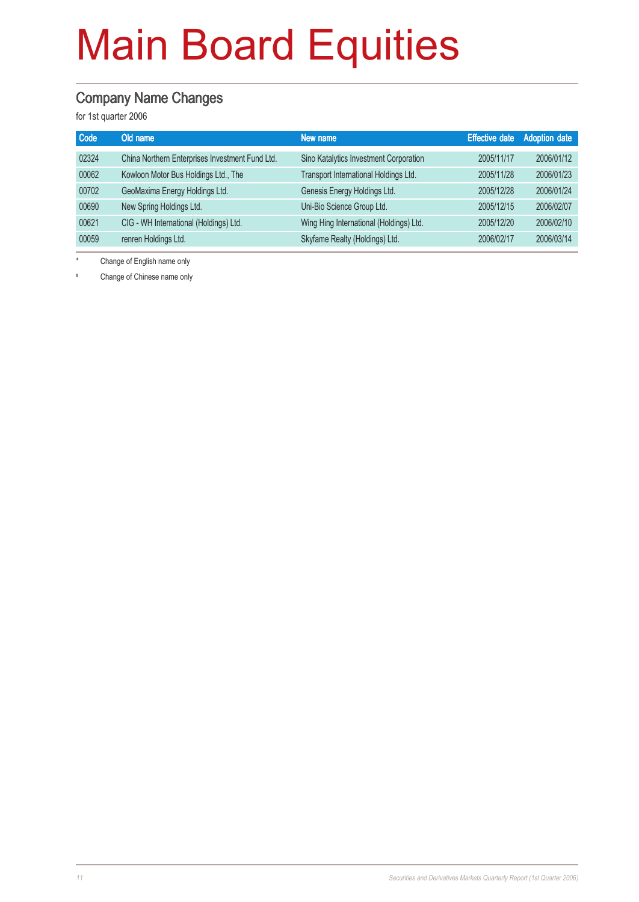#### Company Name Changes

for 1st quarter 2006

| Code  | Old name                                        | New name                                |            | <b>Effective date</b> Adoption date |
|-------|-------------------------------------------------|-----------------------------------------|------------|-------------------------------------|
| 02324 | China Northern Enterprises Investment Fund Ltd. | Sino Katalytics Investment Corporation  | 2005/11/17 | 2006/01/12                          |
| 00062 | Kowloon Motor Bus Holdings Ltd., The            | Transport International Holdings Ltd.   | 2005/11/28 | 2006/01/23                          |
| 00702 | GeoMaxima Energy Holdings Ltd.                  | Genesis Energy Holdings Ltd.            | 2005/12/28 | 2006/01/24                          |
| 00690 | New Spring Holdings Ltd.                        | Uni-Bio Science Group Ltd.              | 2005/12/15 | 2006/02/07                          |
| 00621 | CIG - WH International (Holdings) Ltd.          | Wing Hing International (Holdings) Ltd. | 2005/12/20 | 2006/02/10                          |
| 00059 | renren Holdings Ltd.                            | Skyfame Realty (Holdings) Ltd.          | 2006/02/17 | 2006/03/14                          |

Change of English name only

# Change of Chinese name only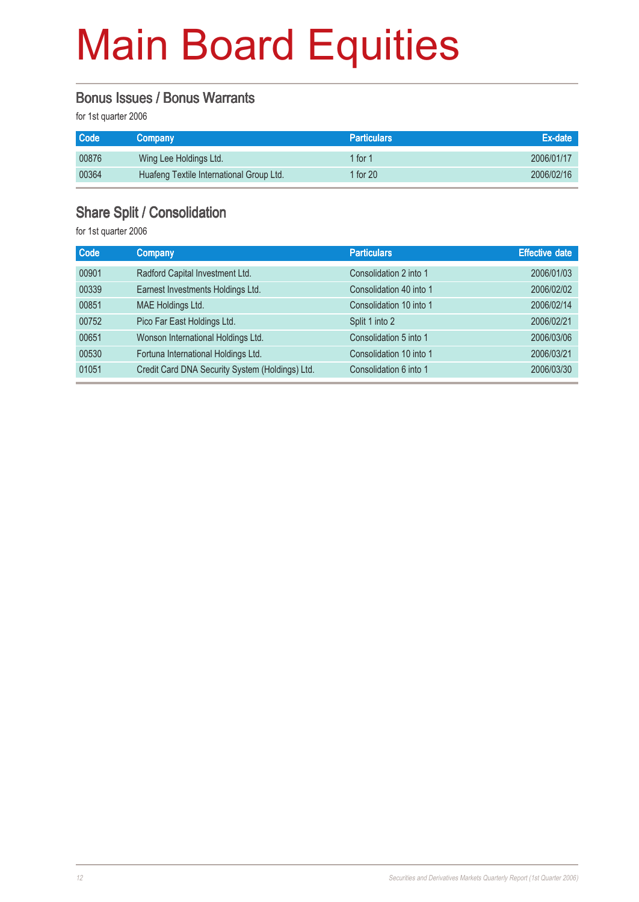#### Bonus Issues / Bonus Warrants

for 1st quarter 2006

| Code  | <b>Company</b>                           | <b>Particulars</b> | Ex-date    |
|-------|------------------------------------------|--------------------|------------|
| 00876 | Wing Lee Holdings Ltd.                   | 1 for 1            | 2006/01/17 |
| 00364 | Huafeng Textile International Group Ltd. | 1 for 20           | 2006/02/16 |

#### Share Split / Consolidation

| <b>Code</b> | <b>Company</b>                                  | <b>Particulars</b>      | <b>Effective date</b> |
|-------------|-------------------------------------------------|-------------------------|-----------------------|
| 00901       | Radford Capital Investment Ltd.                 | Consolidation 2 into 1  | 2006/01/03            |
| 00339       | Earnest Investments Holdings Ltd.               | Consolidation 40 into 1 | 2006/02/02            |
| 00851       | MAE Holdings Ltd.                               | Consolidation 10 into 1 | 2006/02/14            |
| 00752       | Pico Far East Holdings Ltd.                     | Split 1 into 2          | 2006/02/21            |
| 00651       | Wonson International Holdings Ltd.              | Consolidation 5 into 1  | 2006/03/06            |
| 00530       | Fortuna International Holdings Ltd.             | Consolidation 10 into 1 | 2006/03/21            |
| 01051       | Credit Card DNA Security System (Holdings) Ltd. | Consolidation 6 into 1  | 2006/03/30            |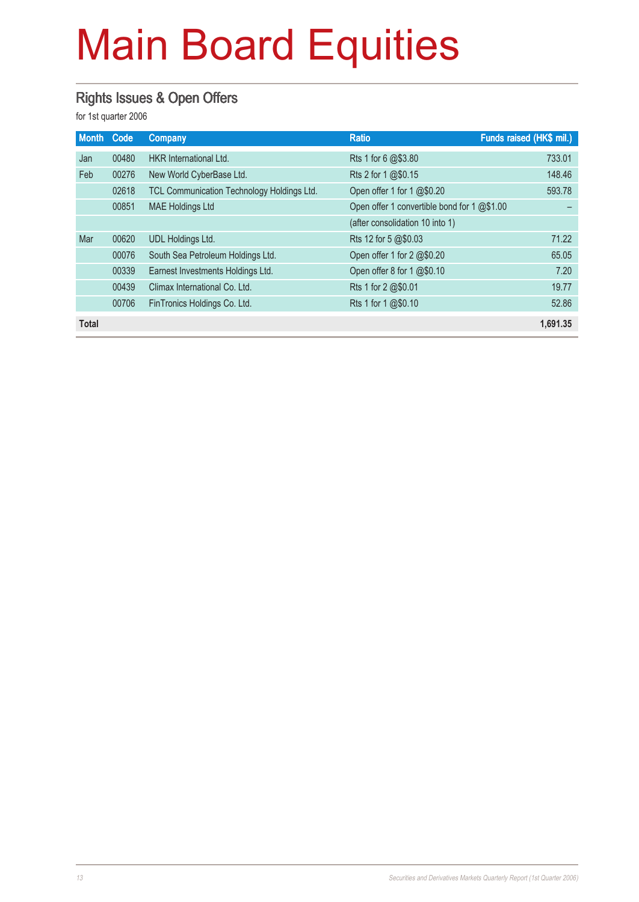#### Rights Issues & Open Offers

| <b>Month</b> | Code  | Company                                    | <b>Ratio</b>                                | Funds raised (HK\$ mil.) |
|--------------|-------|--------------------------------------------|---------------------------------------------|--------------------------|
| Jan          | 00480 | <b>HKR</b> International Ltd.              | Rts 1 for 6 @\$3.80                         | 733.01                   |
| Feb          | 00276 | New World CyberBase Ltd.                   | Rts 2 for 1 @\$0.15                         | 148.46                   |
|              | 02618 | TCL Communication Technology Holdings Ltd. | Open offer 1 for 1 @\$0.20                  | 593.78                   |
|              | 00851 | <b>MAE Holdings Ltd</b>                    | Open offer 1 convertible bond for 1 @\$1.00 |                          |
|              |       |                                            | (after consolidation 10 into 1)             |                          |
| Mar          | 00620 | <b>UDL Holdings Ltd.</b>                   | Rts 12 for 5 @\$0.03                        | 71.22                    |
|              | 00076 | South Sea Petroleum Holdings Ltd.          | Open offer 1 for 2 @\$0.20                  | 65.05                    |
|              | 00339 | Earnest Investments Holdings Ltd.          | Open offer 8 for 1 @\$0.10                  | 7.20                     |
|              | 00439 | Climax International Co. Ltd.              | Rts 1 for 2 @\$0.01                         | 19.77                    |
|              | 00706 | FinTronics Holdings Co. Ltd.               | Rts 1 for 1 @\$0.10                         | 52.86                    |
| <b>Total</b> |       |                                            |                                             | 1,691.35                 |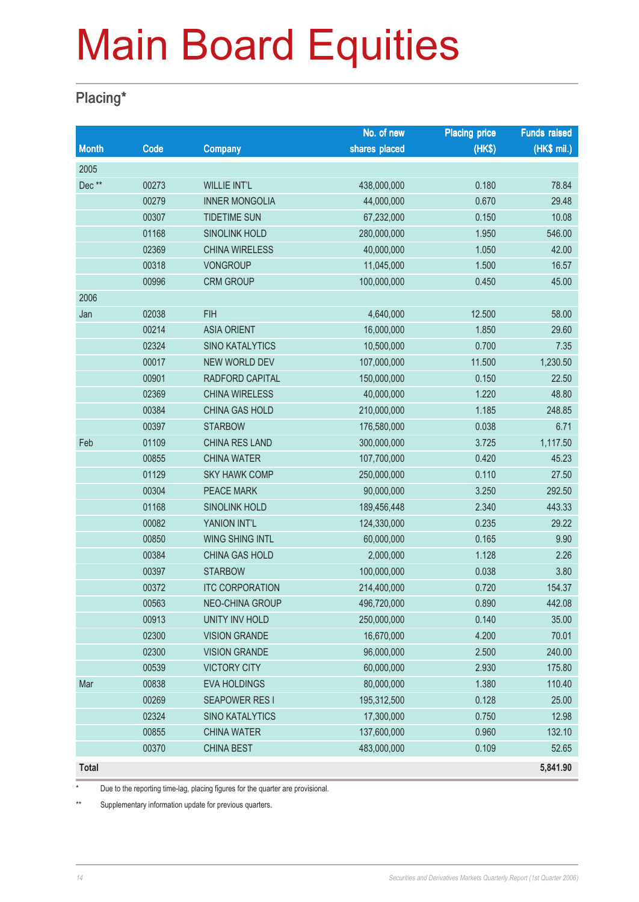#### Placing\*

|              |       |                        | No. of new    | <b>Placing price</b> | <b>Funds raised</b> |
|--------------|-------|------------------------|---------------|----------------------|---------------------|
| <b>Month</b> | Code  | Company                | shares placed | (HK\$)               | (HK\$ mil.)         |
| 2005         |       |                        |               |                      |                     |
| Dec**        | 00273 | <b>WILLIE INT'L</b>    | 438,000,000   | 0.180                | 78.84               |
|              | 00279 | <b>INNER MONGOLIA</b>  | 44,000,000    | 0.670                | 29.48               |
|              | 00307 | <b>TIDETIME SUN</b>    | 67,232,000    | 0.150                | 10.08               |
|              | 01168 | <b>SINOLINK HOLD</b>   | 280,000,000   | 1.950                | 546.00              |
|              | 02369 | <b>CHINA WIRELESS</b>  | 40,000,000    | 1.050                | 42.00               |
|              | 00318 | <b>VONGROUP</b>        | 11,045,000    | 1.500                | 16.57               |
|              | 00996 | <b>CRM GROUP</b>       | 100,000,000   | 0.450                | 45.00               |
| 2006         |       |                        |               |                      |                     |
| Jan          | 02038 | <b>FIH</b>             | 4,640,000     | 12.500               | 58.00               |
|              | 00214 | <b>ASIA ORIENT</b>     | 16,000,000    | 1.850                | 29.60               |
|              | 02324 | <b>SINO KATALYTICS</b> | 10,500,000    | 0.700                | 7.35                |
|              | 00017 | NEW WORLD DEV          | 107,000,000   | 11.500               | 1,230.50            |
|              | 00901 | RADFORD CAPITAL        | 150,000,000   | 0.150                | 22.50               |
|              | 02369 | <b>CHINA WIRELESS</b>  | 40,000,000    | 1.220                | 48.80               |
|              | 00384 | <b>CHINA GAS HOLD</b>  | 210,000,000   | 1.185                | 248.85              |
|              | 00397 | <b>STARBOW</b>         | 176,580,000   | 0.038                | 6.71                |
| Feb          | 01109 | CHINA RES LAND         | 300,000,000   | 3.725                | 1,117.50            |
|              | 00855 | <b>CHINA WATER</b>     | 107,700,000   | 0.420                | 45.23               |
|              | 01129 | <b>SKY HAWK COMP</b>   | 250,000,000   | 0.110                | 27.50               |
|              | 00304 | <b>PEACE MARK</b>      | 90,000,000    | 3.250                | 292.50              |
|              | 01168 | <b>SINOLINK HOLD</b>   | 189,456,448   | 2.340                | 443.33              |
|              | 00082 | YANION INT'L           | 124,330,000   | 0.235                | 29.22               |
|              | 00850 | <b>WING SHING INTL</b> | 60,000,000    | 0.165                | 9.90                |
|              | 00384 | CHINA GAS HOLD         | 2,000,000     | 1.128                | 2.26                |
|              | 00397 | <b>STARBOW</b>         | 100,000,000   | 0.038                | 3.80                |
|              | 00372 | <b>ITC CORPORATION</b> | 214,400,000   | 0.720                | 154.37              |
|              | 00563 | NEO-CHINA GROUP        | 496,720,000   | 0.890                | 442.08              |
|              | 00913 | UNITY INV HOLD         | 250,000,000   | 0.140                | 35.00               |
|              | 02300 | <b>VISION GRANDE</b>   | 16,670,000    | 4.200                | 70.01               |
|              | 02300 | <b>VISION GRANDE</b>   | 96,000,000    | 2.500                | 240.00              |
|              | 00539 | <b>VICTORY CITY</b>    | 60,000,000    | 2.930                | 175.80              |
| Mar          | 00838 | <b>EVA HOLDINGS</b>    | 80,000,000    | 1.380                | 110.40              |
|              | 00269 | <b>SEAPOWER RESI</b>   | 195,312,500   | 0.128                | 25.00               |
|              | 02324 | <b>SINO KATALYTICS</b> | 17,300,000    | 0.750                | 12.98               |
|              | 00855 | <b>CHINA WATER</b>     | 137,600,000   | 0.960                | 132.10              |
|              | 00370 | <b>CHINA BEST</b>      | 483,000,000   | 0.109                | 52.65               |
| Total        |       |                        |               |                      | 5,841.90            |

Due to the reporting time-lag, placing figures for the quarter are provisional.

\*\* Supplementary information update for previous quarters.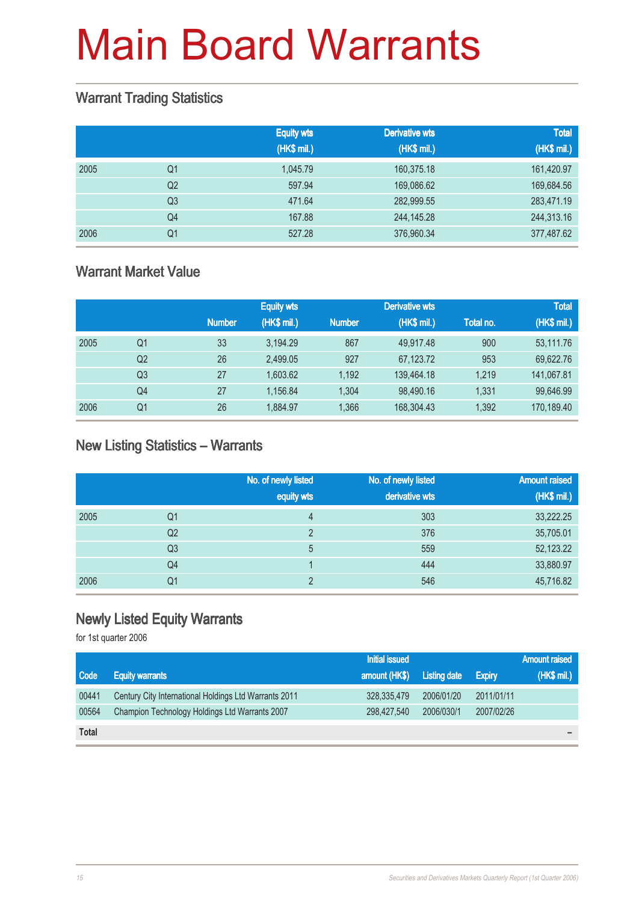#### Warrant Trading Statistics

|      |                | <b>Equity wts</b><br>(HK\$ mil.) | <b>Derivative wts</b><br>(HK\$ mil.) | <b>Total</b><br>(HK\$ mil.) |
|------|----------------|----------------------------------|--------------------------------------|-----------------------------|
| 2005 | Q1             | 1.045.79                         | 160,375.18                           | 161,420.97                  |
|      | Q <sub>2</sub> | 597.94                           | 169,086.62                           | 169,684.56                  |
|      | Q <sub>3</sub> | 471.64                           | 282,999.55                           | 283,471.19                  |
|      | Q <sub>4</sub> | 167.88                           | 244,145.28                           | 244,313.16                  |
| 2006 | Q <sub>1</sub> | 527.28                           | 376,960.34                           | 377,487.62                  |

#### Warrant Market Value

|      |                |               | <b>Equity wts</b> |               | <b>Derivative wts</b> |           | <b>Total</b> |
|------|----------------|---------------|-------------------|---------------|-----------------------|-----------|--------------|
|      |                | <b>Number</b> | (HK\$ mil.)       | <b>Number</b> | (HK\$ mil.)           | Total no. | (HK\$ mil.)  |
| 2005 | Q1             | 33            | 3.194.29          | 867           | 49.917.48             | 900       | 53,111.76    |
|      | Q <sub>2</sub> | 26            | 2,499.05          | 927           | 67,123.72             | 953       | 69,622.76    |
|      | Q3             | 27            | 1.603.62          | 1.192         | 139,464.18            | 1.219     | 141,067.81   |
|      | Q4             | 27            | 1,156.84          | 1.304         | 98,490.16             | 1.331     | 99,646.99    |
| 2006 | Q1             | 26            | 1,884.97          | 1.366         | 168,304.43            | 1,392     | 170,189.40   |

#### New Listing Statistics – Warrants

|      |                | No. of newly listed<br>equity wts | No. of newly listed<br>derivative wts | <b>Amount raised</b><br>(HK\$ mil.) |
|------|----------------|-----------------------------------|---------------------------------------|-------------------------------------|
|      |                |                                   |                                       |                                     |
| 2005 | Q1             | 4                                 | 303                                   | 33,222.25                           |
|      | Q <sub>2</sub> | っ                                 | 376                                   | 35,705.01                           |
|      | Q3             | 5                                 | 559                                   | 52,123.22                           |
|      | Q4             |                                   | 444                                   | 33,880.97                           |
| 2006 | Q1             | ∩                                 | 546                                   | 45,716.82                           |

#### Newly Listed Equity Warrants

|              |                                                       | Initial issued |                     |               | <b>Amount raised</b> |
|--------------|-------------------------------------------------------|----------------|---------------------|---------------|----------------------|
| Code         | <b>Equity warrants</b>                                | amount (HK\$)  | <b>Listing date</b> | <b>Expiry</b> | (HK\$ mil.)          |
| 00441        | Century City International Holdings Ltd Warrants 2011 | 328,335,479    | 2006/01/20          | 2011/01/11    |                      |
| 00564        | Champion Technology Holdings Ltd Warrants 2007        | 298,427,540    | 2006/030/1          | 2007/02/26    |                      |
| <b>Total</b> |                                                       |                |                     |               |                      |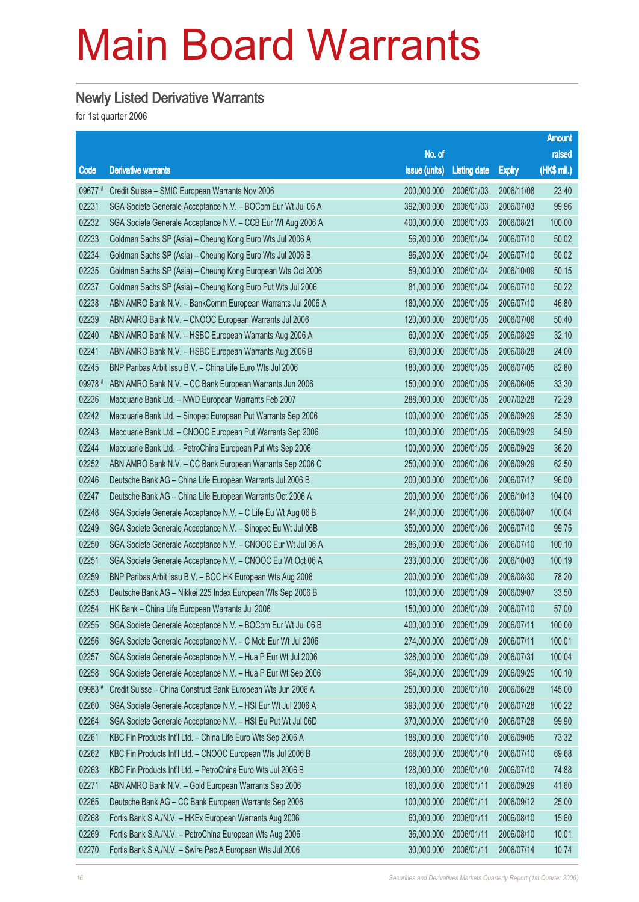#### Newly Listed Derivative Warrants

|         |                                                              |               |                     |               | <b>Amount</b> |
|---------|--------------------------------------------------------------|---------------|---------------------|---------------|---------------|
|         |                                                              | No. of        |                     |               | raised        |
| Code    | <b>Derivative warrants</b>                                   | issue (units) | <b>Listing date</b> | <b>Expiry</b> | (HK\$ mil.)   |
| 09677 # | Credit Suisse - SMIC European Warrants Nov 2006              | 200,000,000   | 2006/01/03          | 2006/11/08    | 23.40         |
| 02231   | SGA Societe Generale Acceptance N.V. - BOCom Eur Wt Jul 06 A | 392,000,000   | 2006/01/03          | 2006/07/03    | 99.96         |
| 02232   | SGA Societe Generale Acceptance N.V. - CCB Eur Wt Aug 2006 A | 400,000,000   | 2006/01/03          | 2006/08/21    | 100.00        |
| 02233   | Goldman Sachs SP (Asia) - Cheung Kong Euro Wts Jul 2006 A    | 56,200,000    | 2006/01/04          | 2006/07/10    | 50.02         |
| 02234   | Goldman Sachs SP (Asia) - Cheung Kong Euro Wts Jul 2006 B    | 96,200,000    | 2006/01/04          | 2006/07/10    | 50.02         |
| 02235   | Goldman Sachs SP (Asia) - Cheung Kong European Wts Oct 2006  | 59,000,000    | 2006/01/04          | 2006/10/09    | 50.15         |
| 02237   | Goldman Sachs SP (Asia) - Cheung Kong Euro Put Wts Jul 2006  | 81,000,000    | 2006/01/04          | 2006/07/10    | 50.22         |
| 02238   | ABN AMRO Bank N.V. - BankComm European Warrants Jul 2006 A   | 180,000,000   | 2006/01/05          | 2006/07/10    | 46.80         |
| 02239   | ABN AMRO Bank N.V. - CNOOC European Warrants Jul 2006        | 120,000,000   | 2006/01/05          | 2006/07/06    | 50.40         |
| 02240   | ABN AMRO Bank N.V. - HSBC European Warrants Aug 2006 A       | 60,000,000    | 2006/01/05          | 2006/08/29    | 32.10         |
| 02241   | ABN AMRO Bank N.V. - HSBC European Warrants Aug 2006 B       | 60,000,000    | 2006/01/05          | 2006/08/28    | 24.00         |
| 02245   | BNP Paribas Arbit Issu B.V. - China Life Euro Wts Jul 2006   | 180,000,000   | 2006/01/05          | 2006/07/05    | 82.80         |
| 09978 # | ABN AMRO Bank N.V. - CC Bank European Warrants Jun 2006      | 150,000,000   | 2006/01/05          | 2006/06/05    | 33.30         |
| 02236   | Macquarie Bank Ltd. - NWD European Warrants Feb 2007         | 288,000,000   | 2006/01/05          | 2007/02/28    | 72.29         |
| 02242   | Macquarie Bank Ltd. - Sinopec European Put Warrants Sep 2006 | 100,000,000   | 2006/01/05          | 2006/09/29    | 25.30         |
| 02243   | Macquarie Bank Ltd. - CNOOC European Put Warrants Sep 2006   | 100,000,000   | 2006/01/05          | 2006/09/29    | 34.50         |
| 02244   | Macquarie Bank Ltd. - PetroChina European Put Wts Sep 2006   | 100,000,000   | 2006/01/05          | 2006/09/29    | 36.20         |
| 02252   | ABN AMRO Bank N.V. - CC Bank European Warrants Sep 2006 C    | 250,000,000   | 2006/01/06          | 2006/09/29    | 62.50         |
| 02246   | Deutsche Bank AG - China Life European Warrants Jul 2006 B   | 200,000,000   | 2006/01/06          | 2006/07/17    | 96.00         |
| 02247   | Deutsche Bank AG - China Life European Warrants Oct 2006 A   | 200,000,000   | 2006/01/06          | 2006/10/13    | 104.00        |
| 02248   | SGA Societe Generale Acceptance N.V. - C Life Eu Wt Aug 06 B | 244,000,000   | 2006/01/06          | 2006/08/07    | 100.04        |
| 02249   | SGA Societe Generale Acceptance N.V. - Sinopec Eu Wt Jul 06B | 350,000,000   | 2006/01/06          | 2006/07/10    | 99.75         |
| 02250   | SGA Societe Generale Acceptance N.V. - CNOOC Eur Wt Jul 06 A | 286,000,000   | 2006/01/06          | 2006/07/10    | 100.10        |
| 02251   | SGA Societe Generale Acceptance N.V. - CNOOC Eu Wt Oct 06 A  | 233,000,000   | 2006/01/06          | 2006/10/03    | 100.19        |
| 02259   | BNP Paribas Arbit Issu B.V. - BOC HK European Wts Aug 2006   | 200,000,000   | 2006/01/09          | 2006/08/30    | 78.20         |
| 02253   | Deutsche Bank AG - Nikkei 225 Index European Wts Sep 2006 B  | 100,000,000   | 2006/01/09          | 2006/09/07    | 33.50         |
| 02254   | HK Bank - China Life European Warrants Jul 2006              | 150,000,000   | 2006/01/09          | 2006/07/10    | 57.00         |
| 02255   | SGA Societe Generale Acceptance N.V. - BOCom Eur Wt Jul 06 B | 400,000,000   | 2006/01/09          | 2006/07/11    | 100.00        |
| 02256   | SGA Societe Generale Acceptance N.V. - C Mob Eur Wt Jul 2006 | 274,000,000   | 2006/01/09          | 2006/07/11    | 100.01        |
| 02257   | SGA Societe Generale Acceptance N.V. - Hua P Eur Wt Jul 2006 | 328,000,000   | 2006/01/09          | 2006/07/31    | 100.04        |
| 02258   | SGA Societe Generale Acceptance N.V. - Hua P Eur Wt Sep 2006 | 364,000,000   | 2006/01/09          | 2006/09/25    | 100.10        |
| 09983#  | Credit Suisse - China Construct Bank European Wts Jun 2006 A | 250,000,000   | 2006/01/10          | 2006/06/28    | 145.00        |
| 02260   | SGA Societe Generale Acceptance N.V. - HSI Eur Wt Jul 2006 A | 393,000,000   | 2006/01/10          | 2006/07/28    | 100.22        |
| 02264   | SGA Societe Generale Acceptance N.V. - HSI Eu Put Wt Jul 06D | 370,000,000   | 2006/01/10          | 2006/07/28    | 99.90         |
| 02261   | KBC Fin Products Int'l Ltd. - China Life Euro Wts Sep 2006 A | 188,000,000   | 2006/01/10          | 2006/09/05    | 73.32         |
| 02262   | KBC Fin Products Int'l Ltd. - CNOOC European Wts Jul 2006 B  | 268,000,000   | 2006/01/10          | 2006/07/10    | 69.68         |
| 02263   | KBC Fin Products Int'l Ltd. - PetroChina Euro Wts Jul 2006 B | 128,000,000   | 2006/01/10          | 2006/07/10    | 74.88         |
| 02271   | ABN AMRO Bank N.V. - Gold European Warrants Sep 2006         | 160,000,000   | 2006/01/11          | 2006/09/29    | 41.60         |
| 02265   | Deutsche Bank AG - CC Bank European Warrants Sep 2006        | 100,000,000   | 2006/01/11          | 2006/09/12    | 25.00         |
| 02268   | Fortis Bank S.A./N.V. - HKEx European Warrants Aug 2006      | 60,000,000    | 2006/01/11          | 2006/08/10    | 15.60         |
| 02269   | Fortis Bank S.A./N.V. - PetroChina European Wts Aug 2006     | 36,000,000    | 2006/01/11          | 2006/08/10    | 10.01         |
| 02270   | Fortis Bank S.A./N.V. - Swire Pac A European Wts Jul 2006    | 30,000,000    | 2006/01/11          | 2006/07/14    | 10.74         |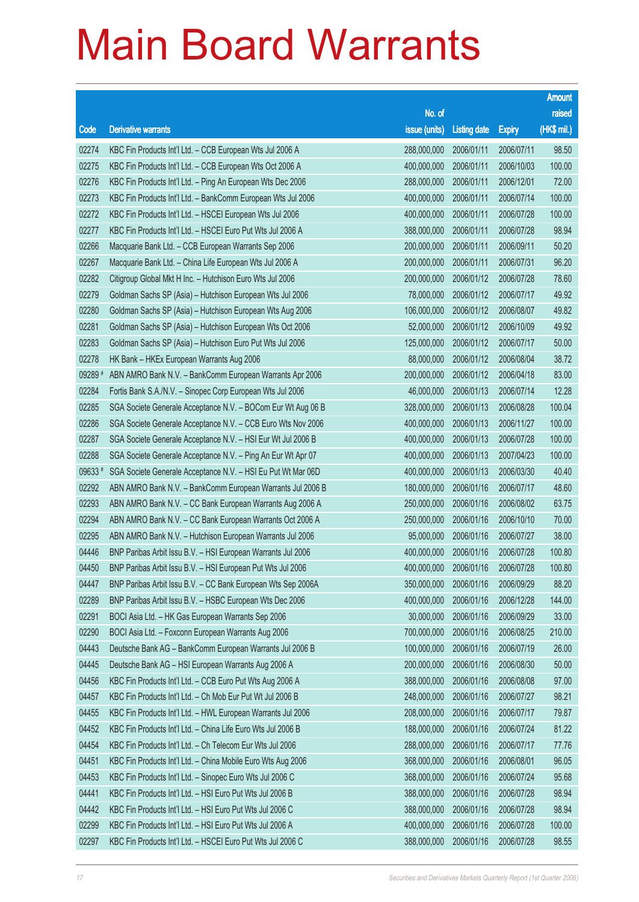|         |                                                              |               |                     |               | <b>Amount</b> |
|---------|--------------------------------------------------------------|---------------|---------------------|---------------|---------------|
|         |                                                              | No. of        |                     |               | raised        |
| Code    | <b>Derivative warrants</b>                                   | issue (units) | <b>Listing date</b> | <b>Expiry</b> | (HK\$ mil.)   |
| 02274   | KBC Fin Products Int'l Ltd. - CCB European Wts Jul 2006 A    | 288,000,000   | 2006/01/11          | 2006/07/11    | 98.50         |
| 02275   | KBC Fin Products Int'l Ltd. - CCB European Wts Oct 2006 A    | 400,000,000   | 2006/01/11          | 2006/10/03    | 100.00        |
| 02276   | KBC Fin Products Int'l Ltd. - Ping An European Wts Dec 2006  | 288,000,000   | 2006/01/11          | 2006/12/01    | 72.00         |
| 02273   | KBC Fin Products Int'l Ltd. - BankComm European Wts Jul 2006 | 400,000,000   | 2006/01/11          | 2006/07/14    | 100.00        |
| 02272   | KBC Fin Products Int'l Ltd. - HSCEI European Wts Jul 2006    | 400,000,000   | 2006/01/11          | 2006/07/28    | 100.00        |
| 02277   | KBC Fin Products Int'l Ltd. - HSCEI Euro Put Wts Jul 2006 A  | 388,000,000   | 2006/01/11          | 2006/07/28    | 98.94         |
| 02266   | Macquarie Bank Ltd. - CCB European Warrants Sep 2006         | 200,000,000   | 2006/01/11          | 2006/09/11    | 50.20         |
| 02267   | Macquarie Bank Ltd. - China Life European Wts Jul 2006 A     | 200,000,000   | 2006/01/11          | 2006/07/31    | 96.20         |
| 02282   | Citigroup Global Mkt H Inc. - Hutchison Euro Wts Jul 2006    | 200,000,000   | 2006/01/12          | 2006/07/28    | 78.60         |
| 02279   | Goldman Sachs SP (Asia) - Hutchison European Wts Jul 2006    | 78,000,000    | 2006/01/12          | 2006/07/17    | 49.92         |
| 02280   | Goldman Sachs SP (Asia) - Hutchison European Wts Aug 2006    | 106,000,000   | 2006/01/12          | 2006/08/07    | 49.82         |
| 02281   | Goldman Sachs SP (Asia) - Hutchison European Wts Oct 2006    | 52,000,000    | 2006/01/12          | 2006/10/09    | 49.92         |
| 02283   | Goldman Sachs SP (Asia) - Hutchison Euro Put Wts Jul 2006    | 125,000,000   | 2006/01/12          | 2006/07/17    | 50.00         |
| 02278   | HK Bank - HKEx European Warrants Aug 2006                    | 88,000,000    | 2006/01/12          | 2006/08/04    | 38.72         |
| 09289 # | ABN AMRO Bank N.V. - BankComm European Warrants Apr 2006     | 200,000,000   | 2006/01/12          | 2006/04/18    | 83.00         |
| 02284   | Fortis Bank S.A./N.V. - Sinopec Corp European Wts Jul 2006   | 46,000,000    | 2006/01/13          | 2006/07/14    | 12.28         |
| 02285   | SGA Societe Generale Acceptance N.V. - BOCom Eur Wt Aug 06 B | 328,000,000   | 2006/01/13          | 2006/08/28    | 100.04        |
| 02286   | SGA Societe Generale Acceptance N.V. - CCB Euro Wts Nov 2006 | 400,000,000   | 2006/01/13          | 2006/11/27    | 100.00        |
| 02287   | SGA Societe Generale Acceptance N.V. - HSI Eur Wt Jul 2006 B | 400,000,000   | 2006/01/13          | 2006/07/28    | 100.00        |
| 02288   | SGA Societe Generale Acceptance N.V. - Ping An Eur Wt Apr 07 | 400,000,000   | 2006/01/13          | 2007/04/23    | 100.00        |
| 09633#  | SGA Societe Generale Acceptance N.V. - HSI Eu Put Wt Mar 06D | 400,000,000   | 2006/01/13          | 2006/03/30    | 40.40         |
| 02292   | ABN AMRO Bank N.V. - BankComm European Warrants Jul 2006 B   | 180,000,000   | 2006/01/16          | 2006/07/17    | 48.60         |
| 02293   | ABN AMRO Bank N.V. - CC Bank European Warrants Aug 2006 A    | 250,000,000   | 2006/01/16          | 2006/08/02    | 63.75         |
| 02294   | ABN AMRO Bank N.V. - CC Bank European Warrants Oct 2006 A    | 250,000,000   | 2006/01/16          | 2006/10/10    | 70.00         |
| 02295   | ABN AMRO Bank N.V. - Hutchison European Warrants Jul 2006    | 95,000,000    | 2006/01/16          | 2006/07/27    | 38.00         |
| 04446   | BNP Paribas Arbit Issu B.V. - HSI European Warrants Jul 2006 | 400,000,000   | 2006/01/16          | 2006/07/28    | 100.80        |
| 04450   | BNP Paribas Arbit Issu B.V. - HSI European Put Wts Jul 2006  | 400,000,000   | 2006/01/16          | 2006/07/28    | 100.80        |
| 04447   | BNP Paribas Arbit Issu B.V. - CC Bank European Wts Sep 2006A | 350,000,000   | 2006/01/16          | 2006/09/29    | 88.20         |
| 02289   | BNP Paribas Arbit Issu B.V. - HSBC European Wts Dec 2006     | 400,000,000   | 2006/01/16          | 2006/12/28    | 144.00        |
| 02291   | BOCI Asia Ltd. - HK Gas European Warrants Sep 2006           | 30,000,000    | 2006/01/16          | 2006/09/29    | 33.00         |
| 02290   | BOCI Asia Ltd. - Foxconn European Warrants Aug 2006          | 700,000,000   | 2006/01/16          | 2006/08/25    | 210.00        |
| 04443   | Deutsche Bank AG - BankComm European Warrants Jul 2006 B     | 100,000,000   | 2006/01/16          | 2006/07/19    | 26.00         |
| 04445   | Deutsche Bank AG - HSI European Warrants Aug 2006 A          | 200,000,000   | 2006/01/16          | 2006/08/30    | 50.00         |
| 04456   | KBC Fin Products Int'l Ltd. - CCB Euro Put Wts Aug 2006 A    | 388,000,000   | 2006/01/16          | 2006/08/08    | 97.00         |
| 04457   | KBC Fin Products Int'l Ltd. - Ch Mob Eur Put Wt Jul 2006 B   | 248,000,000   | 2006/01/16          | 2006/07/27    | 98.21         |
| 04455   | KBC Fin Products Int'l Ltd. - HWL European Warrants Jul 2006 | 208,000,000   | 2006/01/16          | 2006/07/17    | 79.87         |
| 04452   | KBC Fin Products Int'l Ltd. - China Life Euro Wts Jul 2006 B | 188,000,000   | 2006/01/16          | 2006/07/24    | 81.22         |
| 04454   | KBC Fin Products Int'l Ltd. - Ch Telecom Eur Wts Jul 2006    | 288,000,000   | 2006/01/16          | 2006/07/17    | 77.76         |
| 04451   | KBC Fin Products Int'l Ltd. - China Mobile Euro Wts Aug 2006 | 368,000,000   | 2006/01/16          | 2006/08/01    | 96.05         |
| 04453   | KBC Fin Products Int'l Ltd. - Sinopec Euro Wts Jul 2006 C    | 368,000,000   | 2006/01/16          | 2006/07/24    | 95.68         |
| 04441   | KBC Fin Products Int'l Ltd. - HSI Euro Put Wts Jul 2006 B    | 388,000,000   | 2006/01/16          | 2006/07/28    | 98.94         |
| 04442   | KBC Fin Products Int'l Ltd. - HSI Euro Put Wts Jul 2006 C    | 388,000,000   | 2006/01/16          | 2006/07/28    | 98.94         |
| 02299   | KBC Fin Products Int'l Ltd. - HSI Euro Put Wts Jul 2006 A    | 400,000,000   | 2006/01/16          | 2006/07/28    | 100.00        |
| 02297   | KBC Fin Products Int'l Ltd. - HSCEI Euro Put Wts Jul 2006 C  | 388,000,000   | 2006/01/16          | 2006/07/28    | 98.55         |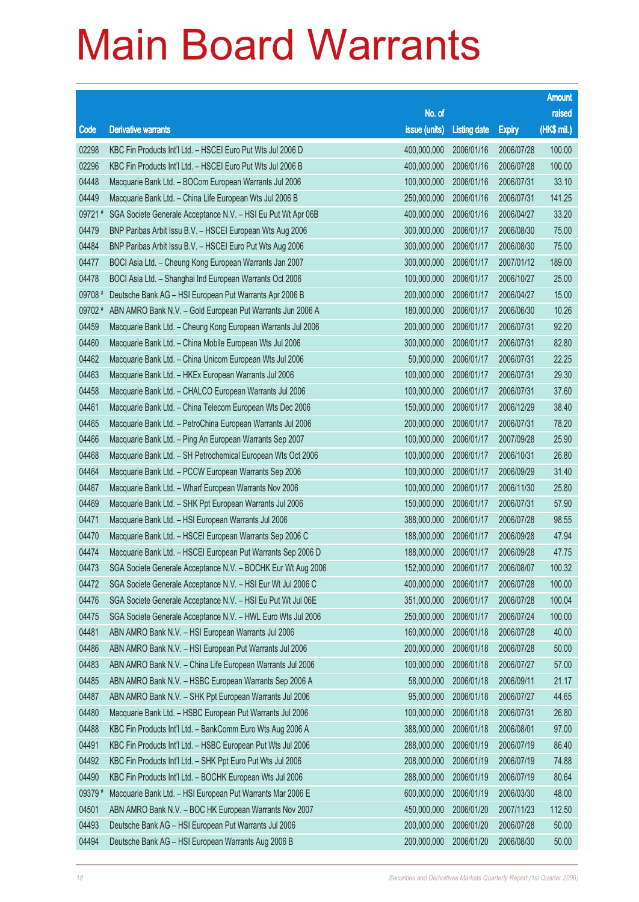|         |                                                              |               |                     |               | <b>Amount</b> |
|---------|--------------------------------------------------------------|---------------|---------------------|---------------|---------------|
|         |                                                              | No. of        |                     |               | raised        |
| Code    | <b>Derivative warrants</b>                                   | issue (units) | <b>Listing date</b> | <b>Expiry</b> | (HK\$ mil.)   |
| 02298   | KBC Fin Products Int'l Ltd. - HSCEI Euro Put Wts Jul 2006 D  | 400,000,000   | 2006/01/16          | 2006/07/28    | 100.00        |
| 02296   | KBC Fin Products Int'l Ltd. - HSCEI Euro Put Wts Jul 2006 B  | 400,000,000   | 2006/01/16          | 2006/07/28    | 100.00        |
| 04448   | Macquarie Bank Ltd. - BOCom European Warrants Jul 2006       | 100,000,000   | 2006/01/16          | 2006/07/31    | 33.10         |
| 04449   | Macquarie Bank Ltd. - China Life European Wts Jul 2006 B     | 250,000,000   | 2006/01/16          | 2006/07/31    | 141.25        |
| 09721#  | SGA Societe Generale Acceptance N.V. - HSI Eu Put Wt Apr 06B | 400,000,000   | 2006/01/16          | 2006/04/27    | 33.20         |
| 04479   | BNP Paribas Arbit Issu B.V. - HSCEI European Wts Aug 2006    | 300,000,000   | 2006/01/17          | 2006/08/30    | 75.00         |
| 04484   | BNP Paribas Arbit Issu B.V. - HSCEI Euro Put Wts Aug 2006    | 300,000,000   | 2006/01/17          | 2006/08/30    | 75.00         |
| 04477   | BOCI Asia Ltd. - Cheung Kong European Warrants Jan 2007      | 300,000,000   | 2006/01/17          | 2007/01/12    | 189.00        |
| 04478   | BOCI Asia Ltd. - Shanghai Ind European Warrants Oct 2006     | 100,000,000   | 2006/01/17          | 2006/10/27    | 25.00         |
| 09708 # | Deutsche Bank AG - HSI European Put Warrants Apr 2006 B      | 200,000,000   | 2006/01/17          | 2006/04/27    | 15.00         |
| 09702 # | ABN AMRO Bank N.V. - Gold European Put Warrants Jun 2006 A   | 180,000,000   | 2006/01/17          | 2006/06/30    | 10.26         |
| 04459   | Macquarie Bank Ltd. - Cheung Kong European Warrants Jul 2006 | 200,000,000   | 2006/01/17          | 2006/07/31    | 92.20         |
| 04460   | Macquarie Bank Ltd. - China Mobile European Wts Jul 2006     | 300,000,000   | 2006/01/17          | 2006/07/31    | 82.80         |
| 04462   | Macquarie Bank Ltd. - China Unicom European Wts Jul 2006     | 50,000,000    | 2006/01/17          | 2006/07/31    | 22.25         |
| 04463   | Macquarie Bank Ltd. - HKEx European Warrants Jul 2006        | 100,000,000   | 2006/01/17          | 2006/07/31    | 29.30         |
| 04458   | Macquarie Bank Ltd. - CHALCO European Warrants Jul 2006      | 100,000,000   | 2006/01/17          | 2006/07/31    | 37.60         |
| 04461   | Macquarie Bank Ltd. - China Telecom European Wts Dec 2006    | 150,000,000   | 2006/01/17          | 2006/12/29    | 38.40         |
| 04465   | Macquarie Bank Ltd. - PetroChina European Warrants Jul 2006  | 200,000,000   | 2006/01/17          | 2006/07/31    | 78.20         |
| 04466   | Macquarie Bank Ltd. - Ping An European Warrants Sep 2007     | 100,000,000   | 2006/01/17          | 2007/09/28    | 25.90         |
| 04468   | Macquarie Bank Ltd. - SH Petrochemical European Wts Oct 2006 | 100,000,000   | 2006/01/17          | 2006/10/31    | 26.80         |
| 04464   | Macquarie Bank Ltd. - PCCW European Warrants Sep 2006        | 100,000,000   | 2006/01/17          | 2006/09/29    | 31.40         |
| 04467   | Macquarie Bank Ltd. - Wharf European Warrants Nov 2006       | 100,000,000   | 2006/01/17          | 2006/11/30    | 25.80         |
| 04469   | Macquarie Bank Ltd. - SHK Ppt European Warrants Jul 2006     | 150,000,000   | 2006/01/17          | 2006/07/31    | 57.90         |
| 04471   | Macquarie Bank Ltd. - HSI European Warrants Jul 2006         | 388,000,000   | 2006/01/17          | 2006/07/28    | 98.55         |
| 04470   | Macquarie Bank Ltd. - HSCEI European Warrants Sep 2006 C     | 188,000,000   | 2006/01/17          | 2006/09/28    | 47.94         |
| 04474   | Macquarie Bank Ltd. - HSCEI European Put Warrants Sep 2006 D | 188,000,000   | 2006/01/17          | 2006/09/28    | 47.75         |
| 04473   | SGA Societe Generale Acceptance N.V. - BOCHK Eur Wt Aug 2006 | 152,000,000   | 2006/01/17          | 2006/08/07    | 100.32        |
| 04472   | SGA Societe Generale Acceptance N.V. - HSI Eur Wt Jul 2006 C | 400,000,000   | 2006/01/17          | 2006/07/28    | 100.00        |
| 04476   | SGA Societe Generale Acceptance N.V. - HSI Eu Put Wt Jul 06E | 351,000,000   | 2006/01/17          | 2006/07/28    | 100.04        |
| 04475   | SGA Societe Generale Acceptance N.V. - HWL Euro Wts Jul 2006 | 250,000,000   | 2006/01/17          | 2006/07/24    | 100.00        |
| 04481   | ABN AMRO Bank N.V. - HSI European Warrants Jul 2006          | 160,000,000   | 2006/01/18          | 2006/07/28    | 40.00         |
| 04486   | ABN AMRO Bank N.V. - HSI European Put Warrants Jul 2006      | 200,000,000   | 2006/01/18          | 2006/07/28    | 50.00         |
| 04483   | ABN AMRO Bank N.V. - China Life European Warrants Jul 2006   | 100,000,000   | 2006/01/18          | 2006/07/27    | 57.00         |
| 04485   | ABN AMRO Bank N.V. - HSBC European Warrants Sep 2006 A       | 58,000,000    | 2006/01/18          | 2006/09/11    | 21.17         |
| 04487   | ABN AMRO Bank N.V. - SHK Ppt European Warrants Jul 2006      | 95,000,000    | 2006/01/18          | 2006/07/27    | 44.65         |
| 04480   | Macquarie Bank Ltd. - HSBC European Put Warrants Jul 2006    | 100,000,000   | 2006/01/18          | 2006/07/31    | 26.80         |
| 04488   | KBC Fin Products Int'l Ltd. - BankComm Euro Wts Aug 2006 A   | 388,000,000   | 2006/01/18          | 2006/08/01    | 97.00         |
| 04491   | KBC Fin Products Int'l Ltd. - HSBC European Put Wts Jul 2006 | 288,000,000   | 2006/01/19          | 2006/07/19    | 86.40         |
| 04492   | KBC Fin Products Int'l Ltd. - SHK Ppt Euro Put Wts Jul 2006  | 208,000,000   | 2006/01/19          | 2006/07/19    | 74.88         |
| 04490   | KBC Fin Products Int'l Ltd. - BOCHK European Wts Jul 2006    | 288,000,000   | 2006/01/19          | 2006/07/19    | 80.64         |
| 09379 # | Macquarie Bank Ltd. - HSI European Put Warrants Mar 2006 E   | 600,000,000   | 2006/01/19          | 2006/03/30    | 48.00         |
| 04501   | ABN AMRO Bank N.V. - BOC HK European Warrants Nov 2007       | 450,000,000   | 2006/01/20          | 2007/11/23    | 112.50        |
| 04493   | Deutsche Bank AG - HSI European Put Warrants Jul 2006        | 200,000,000   | 2006/01/20          | 2006/07/28    | 50.00         |
| 04494   | Deutsche Bank AG - HSI European Warrants Aug 2006 B          | 200,000,000   | 2006/01/20          | 2006/08/30    | 50.00         |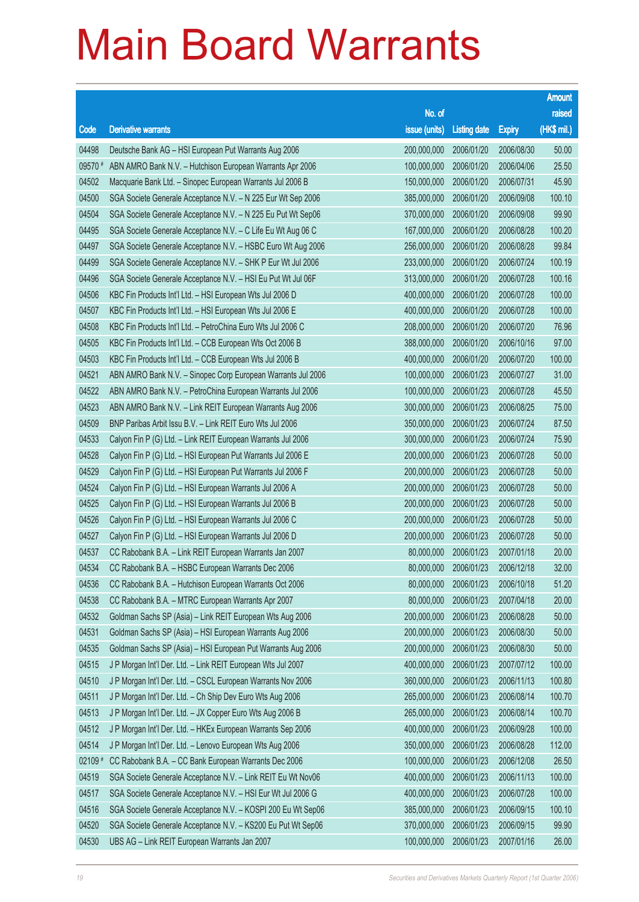|         |                                                              |               |                       |               | <b>Amount</b> |
|---------|--------------------------------------------------------------|---------------|-----------------------|---------------|---------------|
|         |                                                              | No. of        |                       |               | raised        |
| Code    | <b>Derivative warrants</b>                                   | issue (units) | <b>Listing date</b>   | <b>Expiry</b> | (HK\$ mil.)   |
| 04498   | Deutsche Bank AG - HSI European Put Warrants Aug 2006        | 200,000,000   | 2006/01/20            | 2006/08/30    | 50.00         |
| 09570 # | ABN AMRO Bank N.V. - Hutchison European Warrants Apr 2006    | 100,000,000   | 2006/01/20            | 2006/04/06    | 25.50         |
| 04502   | Macquarie Bank Ltd. - Sinopec European Warrants Jul 2006 B   | 150,000,000   | 2006/01/20            | 2006/07/31    | 45.90         |
| 04500   | SGA Societe Generale Acceptance N.V. - N 225 Eur Wt Sep 2006 | 385,000,000   | 2006/01/20            | 2006/09/08    | 100.10        |
| 04504   | SGA Societe Generale Acceptance N.V. - N 225 Eu Put Wt Sep06 | 370,000,000   | 2006/01/20            | 2006/09/08    | 99.90         |
| 04495   | SGA Societe Generale Acceptance N.V. - C Life Eu Wt Aug 06 C | 167,000,000   | 2006/01/20            | 2006/08/28    | 100.20        |
| 04497   | SGA Societe Generale Acceptance N.V. - HSBC Euro Wt Aug 2006 | 256,000,000   | 2006/01/20            | 2006/08/28    | 99.84         |
| 04499   | SGA Societe Generale Acceptance N.V. - SHK P Eur Wt Jul 2006 | 233,000,000   | 2006/01/20            | 2006/07/24    | 100.19        |
| 04496   | SGA Societe Generale Acceptance N.V. - HSI Eu Put Wt Jul 06F | 313,000,000   | 2006/01/20            | 2006/07/28    | 100.16        |
| 04506   | KBC Fin Products Int'l Ltd. - HSI European Wts Jul 2006 D    | 400,000,000   | 2006/01/20            | 2006/07/28    | 100.00        |
| 04507   | KBC Fin Products Int'l Ltd. - HSI European Wts Jul 2006 E    | 400,000,000   | 2006/01/20            | 2006/07/28    | 100.00        |
| 04508   | KBC Fin Products Int'l Ltd. - PetroChina Euro Wts Jul 2006 C | 208,000,000   | 2006/01/20            | 2006/07/20    | 76.96         |
| 04505   | KBC Fin Products Int'l Ltd. - CCB European Wts Oct 2006 B    | 388,000,000   | 2006/01/20            | 2006/10/16    | 97.00         |
| 04503   | KBC Fin Products Int'l Ltd. - CCB European Wts Jul 2006 B    | 400,000,000   | 2006/01/20            | 2006/07/20    | 100.00        |
| 04521   | ABN AMRO Bank N.V. - Sinopec Corp European Warrants Jul 2006 | 100,000,000   | 2006/01/23            | 2006/07/27    | 31.00         |
| 04522   | ABN AMRO Bank N.V. - PetroChina European Warrants Jul 2006   | 100,000,000   | 2006/01/23            | 2006/07/28    | 45.50         |
| 04523   | ABN AMRO Bank N.V. - Link REIT European Warrants Aug 2006    | 300,000,000   | 2006/01/23            | 2006/08/25    | 75.00         |
| 04509   | BNP Paribas Arbit Issu B.V. - Link REIT Euro Wts Jul 2006    | 350,000,000   | 2006/01/23            | 2006/07/24    | 87.50         |
| 04533   | Calyon Fin P (G) Ltd. - Link REIT European Warrants Jul 2006 | 300,000,000   | 2006/01/23            | 2006/07/24    | 75.90         |
| 04528   | Calyon Fin P (G) Ltd. - HSI European Put Warrants Jul 2006 E | 200,000,000   | 2006/01/23            | 2006/07/28    | 50.00         |
| 04529   | Calyon Fin P (G) Ltd. - HSI European Put Warrants Jul 2006 F | 200,000,000   | 2006/01/23            | 2006/07/28    | 50.00         |
| 04524   | Calyon Fin P (G) Ltd. - HSI European Warrants Jul 2006 A     | 200,000,000   | 2006/01/23            | 2006/07/28    | 50.00         |
| 04525   | Calyon Fin P (G) Ltd. - HSI European Warrants Jul 2006 B     | 200,000,000   | 2006/01/23            | 2006/07/28    | 50.00         |
| 04526   | Calyon Fin P (G) Ltd. - HSI European Warrants Jul 2006 C     | 200,000,000   | 2006/01/23            | 2006/07/28    | 50.00         |
| 04527   | Calyon Fin P (G) Ltd. - HSI European Warrants Jul 2006 D     | 200,000,000   | 2006/01/23            | 2006/07/28    | 50.00         |
| 04537   | CC Rabobank B.A. - Link REIT European Warrants Jan 2007      | 80,000,000    | 2006/01/23            | 2007/01/18    | 20.00         |
| 04534   | CC Rabobank B.A. - HSBC European Warrants Dec 2006           |               | 80,000,000 2006/01/23 | 2006/12/18    | 32.00         |
| 04536   | CC Rabobank B.A. - Hutchison European Warrants Oct 2006      | 80,000,000    | 2006/01/23            | 2006/10/18    | 51.20         |
| 04538   | CC Rabobank B.A. - MTRC European Warrants Apr 2007           | 80,000,000    | 2006/01/23            | 2007/04/18    | 20.00         |
| 04532   | Goldman Sachs SP (Asia) - Link REIT European Wts Aug 2006    | 200,000,000   | 2006/01/23            | 2006/08/28    | 50.00         |
| 04531   | Goldman Sachs SP (Asia) - HSI European Warrants Aug 2006     | 200,000,000   | 2006/01/23            | 2006/08/30    | 50.00         |
| 04535   | Goldman Sachs SP (Asia) - HSI European Put Warrants Aug 2006 | 200,000,000   | 2006/01/23            | 2006/08/30    | 50.00         |
| 04515   | J P Morgan Int'l Der. Ltd. - Link REIT European Wts Jul 2007 | 400,000,000   | 2006/01/23            | 2007/07/12    | 100.00        |
| 04510   | J P Morgan Int'l Der. Ltd. - CSCL European Warrants Nov 2006 | 360,000,000   | 2006/01/23            | 2006/11/13    | 100.80        |
| 04511   | J P Morgan Int'l Der. Ltd. - Ch Ship Dev Euro Wts Aug 2006   | 265,000,000   | 2006/01/23            | 2006/08/14    | 100.70        |
| 04513   | J P Morgan Int'l Der. Ltd. - JX Copper Euro Wts Aug 2006 B   | 265,000,000   | 2006/01/23            | 2006/08/14    | 100.70        |
| 04512   | J P Morgan Int'l Der. Ltd. - HKEx European Warrants Sep 2006 | 400,000,000   | 2006/01/23            | 2006/09/28    | 100.00        |
| 04514   | J P Morgan Int'l Der. Ltd. - Lenovo European Wts Aug 2006    | 350,000,000   | 2006/01/23            | 2006/08/28    | 112.00        |
| 02109 # | CC Rabobank B.A. - CC Bank European Warrants Dec 2006        | 100,000,000   | 2006/01/23            | 2006/12/08    | 26.50         |
| 04519   | SGA Societe Generale Acceptance N.V. - Link REIT Eu Wt Nov06 | 400,000,000   | 2006/01/23            | 2006/11/13    | 100.00        |
| 04517   | SGA Societe Generale Acceptance N.V. - HSI Eur Wt Jul 2006 G | 400,000,000   | 2006/01/23            | 2006/07/28    | 100.00        |
| 04516   | SGA Societe Generale Acceptance N.V. - KOSPI 200 Eu Wt Sep06 | 385,000,000   | 2006/01/23            | 2006/09/15    | 100.10        |
| 04520   | SGA Societe Generale Acceptance N.V. - KS200 Eu Put Wt Sep06 | 370,000,000   | 2006/01/23            | 2006/09/15    | 99.90         |
| 04530   | UBS AG - Link REIT European Warrants Jan 2007                | 100,000,000   | 2006/01/23            | 2007/01/16    | 26.00         |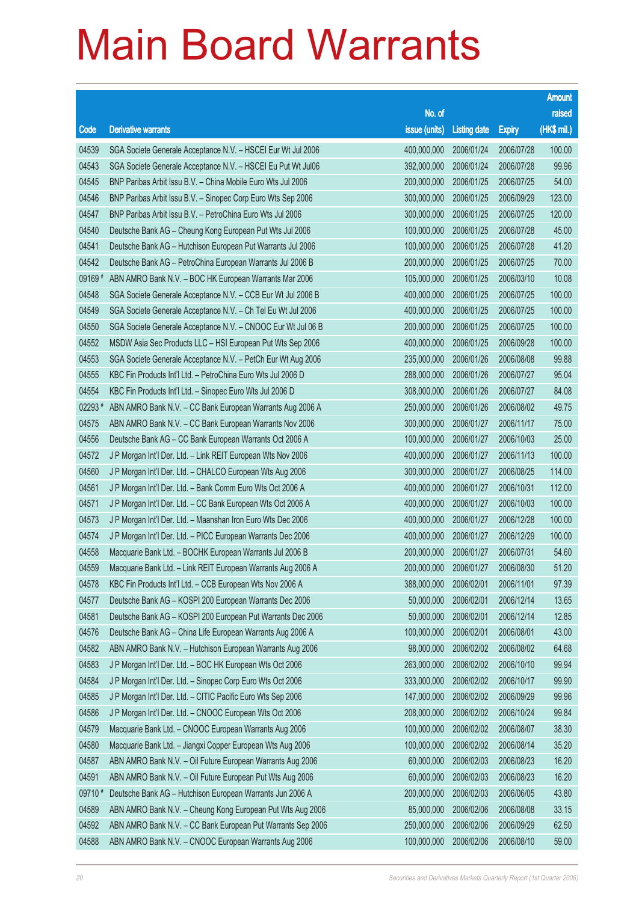|         |                                                              |                        |                     |               | <b>Amount</b> |
|---------|--------------------------------------------------------------|------------------------|---------------------|---------------|---------------|
|         |                                                              | No. of                 |                     |               | raised        |
| Code    | <b>Derivative warrants</b>                                   | issue (units)          | <b>Listing date</b> | <b>Expiry</b> | (HK\$ mil.)   |
| 04539   | SGA Societe Generale Acceptance N.V. - HSCEI Eur Wt Jul 2006 | 400,000,000            | 2006/01/24          | 2006/07/28    | 100.00        |
| 04543   | SGA Societe Generale Acceptance N.V. - HSCEI Eu Put Wt Jul06 | 392,000,000            | 2006/01/24          | 2006/07/28    | 99.96         |
| 04545   | BNP Paribas Arbit Issu B.V. - China Mobile Euro Wts Jul 2006 | 200,000,000            | 2006/01/25          | 2006/07/25    | 54.00         |
| 04546   | BNP Paribas Arbit Issu B.V. - Sinopec Corp Euro Wts Sep 2006 | 300,000,000            | 2006/01/25          | 2006/09/29    | 123.00        |
| 04547   | BNP Paribas Arbit Issu B.V. - PetroChina Euro Wts Jul 2006   | 300,000,000            | 2006/01/25          | 2006/07/25    | 120.00        |
| 04540   | Deutsche Bank AG - Cheung Kong European Put Wts Jul 2006     | 100,000,000            | 2006/01/25          | 2006/07/28    | 45.00         |
| 04541   | Deutsche Bank AG - Hutchison European Put Warrants Jul 2006  | 100,000,000            | 2006/01/25          | 2006/07/28    | 41.20         |
| 04542   | Deutsche Bank AG - PetroChina European Warrants Jul 2006 B   | 200,000,000            | 2006/01/25          | 2006/07/25    | 70.00         |
| 09169#  | ABN AMRO Bank N.V. - BOC HK European Warrants Mar 2006       | 105,000,000            | 2006/01/25          | 2006/03/10    | 10.08         |
| 04548   | SGA Societe Generale Acceptance N.V. - CCB Eur Wt Jul 2006 B | 400,000,000            | 2006/01/25          | 2006/07/25    | 100.00        |
| 04549   | SGA Societe Generale Acceptance N.V. - Ch Tel Eu Wt Jul 2006 | 400,000,000            | 2006/01/25          | 2006/07/25    | 100.00        |
| 04550   | SGA Societe Generale Acceptance N.V. - CNOOC Eur Wt Jul 06 B | 200,000,000            | 2006/01/25          | 2006/07/25    | 100.00        |
| 04552   | MSDW Asia Sec Products LLC - HSI European Put Wts Sep 2006   | 400,000,000            | 2006/01/25          | 2006/09/28    | 100.00        |
| 04553   | SGA Societe Generale Acceptance N.V. - PetCh Eur Wt Aug 2006 | 235,000,000            | 2006/01/26          | 2006/08/08    | 99.88         |
| 04555   | KBC Fin Products Int'l Ltd. - PetroChina Euro Wts Jul 2006 D | 288,000,000            | 2006/01/26          | 2006/07/27    | 95.04         |
| 04554   | KBC Fin Products Int'l Ltd. - Sinopec Euro Wts Jul 2006 D    | 308,000,000            | 2006/01/26          | 2006/07/27    | 84.08         |
| 02293 # | ABN AMRO Bank N.V. - CC Bank European Warrants Aug 2006 A    | 250,000,000            | 2006/01/26          | 2006/08/02    | 49.75         |
| 04575   | ABN AMRO Bank N.V. - CC Bank European Warrants Nov 2006      | 300,000,000            | 2006/01/27          | 2006/11/17    | 75.00         |
| 04556   | Deutsche Bank AG - CC Bank European Warrants Oct 2006 A      | 100,000,000            | 2006/01/27          | 2006/10/03    | 25.00         |
| 04572   | J P Morgan Int'l Der. Ltd. - Link REIT European Wts Nov 2006 | 400,000,000            | 2006/01/27          | 2006/11/13    | 100.00        |
| 04560   | J P Morgan Int'l Der. Ltd. - CHALCO European Wts Aug 2006    | 300,000,000            | 2006/01/27          | 2006/08/25    | 114.00        |
| 04561   | J P Morgan Int'l Der. Ltd. - Bank Comm Euro Wts Oct 2006 A   | 400,000,000            | 2006/01/27          | 2006/10/31    | 112.00        |
| 04571   | J P Morgan Int'l Der. Ltd. - CC Bank European Wts Oct 2006 A | 400,000,000            | 2006/01/27          | 2006/10/03    | 100.00        |
| 04573   | J P Morgan Int'l Der. Ltd. - Maanshan Iron Euro Wts Dec 2006 | 400,000,000            | 2006/01/27          | 2006/12/28    | 100.00        |
| 04574   | J P Morgan Int'l Der. Ltd. - PICC European Warrants Dec 2006 | 400,000,000            | 2006/01/27          | 2006/12/29    | 100.00        |
| 04558   | Macquarie Bank Ltd. - BOCHK European Warrants Jul 2006 B     | 200,000,000            | 2006/01/27          | 2006/07/31    | 54.60         |
| 04559   | Macquarie Bank Ltd. - Link REIT European Warrants Aug 2006 A | 200,000,000 2006/01/27 |                     | 2006/08/30    | 51.20         |
| 04578   | KBC Fin Products Int'l Ltd. - CCB European Wts Nov 2006 A    | 388,000,000            | 2006/02/01          | 2006/11/01    | 97.39         |
| 04577   | Deutsche Bank AG - KOSPI 200 European Warrants Dec 2006      | 50,000,000             | 2006/02/01          | 2006/12/14    | 13.65         |
| 04581   | Deutsche Bank AG - KOSPI 200 European Put Warrants Dec 2006  | 50,000,000             | 2006/02/01          | 2006/12/14    | 12.85         |
| 04576   | Deutsche Bank AG - China Life European Warrants Aug 2006 A   | 100,000,000            | 2006/02/01          | 2006/08/01    | 43.00         |
| 04582   | ABN AMRO Bank N.V. - Hutchison European Warrants Aug 2006    | 98,000,000             | 2006/02/02          | 2006/08/02    | 64.68         |
| 04583   | J P Morgan Int'l Der. Ltd. - BOC HK European Wts Oct 2006    | 263,000,000            | 2006/02/02          | 2006/10/10    | 99.94         |
| 04584   | J P Morgan Int'l Der. Ltd. - Sinopec Corp Euro Wts Oct 2006  | 333,000,000            | 2006/02/02          | 2006/10/17    | 99.90         |
| 04585   | J P Morgan Int'l Der. Ltd. - CITIC Pacific Euro Wts Sep 2006 | 147,000,000            | 2006/02/02          | 2006/09/29    | 99.96         |
| 04586   | J P Morgan Int'l Der. Ltd. - CNOOC European Wts Oct 2006     | 208,000,000            | 2006/02/02          | 2006/10/24    | 99.84         |
| 04579   | Macquarie Bank Ltd. - CNOOC European Warrants Aug 2006       | 100,000,000            | 2006/02/02          | 2006/08/07    | 38.30         |
| 04580   | Macquarie Bank Ltd. - Jiangxi Copper European Wts Aug 2006   | 100,000,000            | 2006/02/02          | 2006/08/14    | 35.20         |
| 04587   | ABN AMRO Bank N.V. - Oil Future European Warrants Aug 2006   | 60,000,000             | 2006/02/03          | 2006/08/23    | 16.20         |
| 04591   | ABN AMRO Bank N.V. - Oil Future European Put Wts Aug 2006    | 60,000,000             | 2006/02/03          | 2006/08/23    | 16.20         |
| 09710 # | Deutsche Bank AG - Hutchison European Warrants Jun 2006 A    | 200,000,000            | 2006/02/03          | 2006/06/05    | 43.80         |
| 04589   | ABN AMRO Bank N.V. - Cheung Kong European Put Wts Aug 2006   | 85,000,000             | 2006/02/06          | 2006/08/08    | 33.15         |
| 04592   | ABN AMRO Bank N.V. - CC Bank European Put Warrants Sep 2006  | 250,000,000            | 2006/02/06          | 2006/09/29    | 62.50         |
| 04588   | ABN AMRO Bank N.V. - CNOOC European Warrants Aug 2006        | 100,000,000            | 2006/02/06          | 2006/08/10    | 59.00         |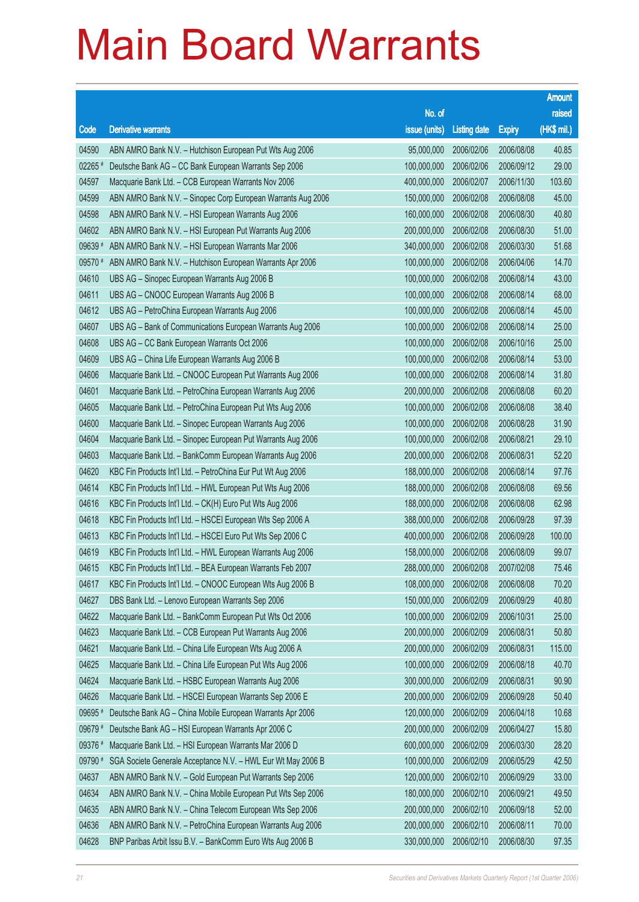|         |                                                              |                        |                     |               | <b>Amount</b> |
|---------|--------------------------------------------------------------|------------------------|---------------------|---------------|---------------|
|         |                                                              | No. of                 |                     |               | raised        |
| Code    | <b>Derivative warrants</b>                                   | issue (units)          | <b>Listing date</b> | <b>Expiry</b> | (HK\$ mil.)   |
| 04590   | ABN AMRO Bank N.V. - Hutchison European Put Wts Aug 2006     | 95,000,000             | 2006/02/06          | 2006/08/08    | 40.85         |
| 02265   | Deutsche Bank AG - CC Bank European Warrants Sep 2006        | 100,000,000            | 2006/02/06          | 2006/09/12    | 29.00         |
| 04597   | Macquarie Bank Ltd. - CCB European Warrants Nov 2006         | 400,000,000            | 2006/02/07          | 2006/11/30    | 103.60        |
| 04599   | ABN AMRO Bank N.V. - Sinopec Corp European Warrants Aug 2006 | 150,000,000            | 2006/02/08          | 2006/08/08    | 45.00         |
| 04598   | ABN AMRO Bank N.V. - HSI European Warrants Aug 2006          | 160,000,000            | 2006/02/08          | 2006/08/30    | 40.80         |
| 04602   | ABN AMRO Bank N.V. - HSI European Put Warrants Aug 2006      | 200,000,000            | 2006/02/08          | 2006/08/30    | 51.00         |
| 09639 # | ABN AMRO Bank N.V. - HSI European Warrants Mar 2006          | 340,000,000            | 2006/02/08          | 2006/03/30    | 51.68         |
| 09570 # | ABN AMRO Bank N.V. - Hutchison European Warrants Apr 2006    | 100,000,000            | 2006/02/08          | 2006/04/06    | 14.70         |
| 04610   | UBS AG - Sinopec European Warrants Aug 2006 B                | 100,000,000            | 2006/02/08          | 2006/08/14    | 43.00         |
| 04611   | UBS AG - CNOOC European Warrants Aug 2006 B                  | 100,000,000            | 2006/02/08          | 2006/08/14    | 68.00         |
| 04612   | UBS AG - PetroChina European Warrants Aug 2006               | 100,000,000            | 2006/02/08          | 2006/08/14    | 45.00         |
| 04607   | UBS AG - Bank of Communications European Warrants Aug 2006   | 100,000,000            | 2006/02/08          | 2006/08/14    | 25.00         |
| 04608   | UBS AG - CC Bank European Warrants Oct 2006                  | 100,000,000            | 2006/02/08          | 2006/10/16    | 25.00         |
| 04609   | UBS AG - China Life European Warrants Aug 2006 B             | 100,000,000            | 2006/02/08          | 2006/08/14    | 53.00         |
| 04606   | Macquarie Bank Ltd. - CNOOC European Put Warrants Aug 2006   | 100,000,000            | 2006/02/08          | 2006/08/14    | 31.80         |
| 04601   | Macquarie Bank Ltd. - PetroChina European Warrants Aug 2006  | 200,000,000            | 2006/02/08          | 2006/08/08    | 60.20         |
| 04605   | Macquarie Bank Ltd. - PetroChina European Put Wts Aug 2006   | 100,000,000            | 2006/02/08          | 2006/08/08    | 38.40         |
| 04600   | Macquarie Bank Ltd. - Sinopec European Warrants Aug 2006     | 100,000,000            | 2006/02/08          | 2006/08/28    | 31.90         |
| 04604   | Macquarie Bank Ltd. - Sinopec European Put Warrants Aug 2006 | 100,000,000            | 2006/02/08          | 2006/08/21    | 29.10         |
| 04603   | Macquarie Bank Ltd. - BankComm European Warrants Aug 2006    | 200,000,000            | 2006/02/08          | 2006/08/31    | 52.20         |
| 04620   | KBC Fin Products Int'l Ltd. - PetroChina Eur Put Wt Aug 2006 | 188,000,000            | 2006/02/08          | 2006/08/14    | 97.76         |
| 04614   | KBC Fin Products Int'l Ltd. - HWL European Put Wts Aug 2006  | 188,000,000            | 2006/02/08          | 2006/08/08    | 69.56         |
| 04616   | KBC Fin Products Int'l Ltd. - CK(H) Euro Put Wts Aug 2006    | 188,000,000            | 2006/02/08          | 2006/08/08    | 62.98         |
| 04618   | KBC Fin Products Int'l Ltd. - HSCEI European Wts Sep 2006 A  | 388,000,000            | 2006/02/08          | 2006/09/28    | 97.39         |
| 04613   | KBC Fin Products Int'l Ltd. - HSCEI Euro Put Wts Sep 2006 C  | 400,000,000            | 2006/02/08          | 2006/09/28    | 100.00        |
| 04619   | KBC Fin Products Int'l Ltd. - HWL European Warrants Aug 2006 | 158,000,000            | 2006/02/08          | 2006/08/09    | 99.07         |
| 04615   | KBC Fin Products Int'l Ltd. - BEA European Warrants Feb 2007 | 288,000,000 2006/02/08 |                     | 2007/02/08    | 75.46         |
| 04617   | KBC Fin Products Int'l Ltd. - CNOOC European Wts Aug 2006 B  | 108,000,000            | 2006/02/08          | 2006/08/08    | 70.20         |
| 04627   | DBS Bank Ltd. - Lenovo European Warrants Sep 2006            | 150,000,000            | 2006/02/09          | 2006/09/29    | 40.80         |
| 04622   | Macquarie Bank Ltd. - BankComm European Put Wts Oct 2006     | 100,000,000            | 2006/02/09          | 2006/10/31    | 25.00         |
| 04623   | Macquarie Bank Ltd. - CCB European Put Warrants Aug 2006     | 200,000,000            | 2006/02/09          | 2006/08/31    | 50.80         |
| 04621   | Macquarie Bank Ltd. - China Life European Wts Aug 2006 A     | 200,000,000            | 2006/02/09          | 2006/08/31    | 115.00        |
| 04625   | Macquarie Bank Ltd. - China Life European Put Wts Aug 2006   | 100,000,000            | 2006/02/09          | 2006/08/18    | 40.70         |
| 04624   | Macquarie Bank Ltd. - HSBC European Warrants Aug 2006        | 300,000,000            | 2006/02/09          | 2006/08/31    | 90.90         |
| 04626   | Macquarie Bank Ltd. - HSCEI European Warrants Sep 2006 E     | 200,000,000            | 2006/02/09          | 2006/09/28    | 50.40         |
| 09695 # | Deutsche Bank AG - China Mobile European Warrants Apr 2006   | 120,000,000            | 2006/02/09          | 2006/04/18    | 10.68         |
| 09679 # | Deutsche Bank AG - HSI European Warrants Apr 2006 C          | 200,000,000            | 2006/02/09          | 2006/04/27    | 15.80         |
| 09376 # | Macquarie Bank Ltd. - HSI European Warrants Mar 2006 D       | 600,000,000            | 2006/02/09          | 2006/03/30    | 28.20         |
| 09790 # | SGA Societe Generale Acceptance N.V. - HWL Eur Wt May 2006 B | 100,000,000            | 2006/02/09          | 2006/05/29    | 42.50         |
| 04637   | ABN AMRO Bank N.V. - Gold European Put Warrants Sep 2006     | 120,000,000            | 2006/02/10          | 2006/09/29    | 33.00         |
| 04634   | ABN AMRO Bank N.V. - China Mobile European Put Wts Sep 2006  | 180,000,000            | 2006/02/10          | 2006/09/21    | 49.50         |
| 04635   | ABN AMRO Bank N.V. - China Telecom European Wts Sep 2006     | 200,000,000            | 2006/02/10          | 2006/09/18    | 52.00         |
| 04636   | ABN AMRO Bank N.V. - PetroChina European Warrants Aug 2006   | 200,000,000            | 2006/02/10          | 2006/08/11    | 70.00         |
| 04628   | BNP Paribas Arbit Issu B.V. - BankComm Euro Wts Aug 2006 B   | 330,000,000            | 2006/02/10          | 2006/08/30    | 97.35         |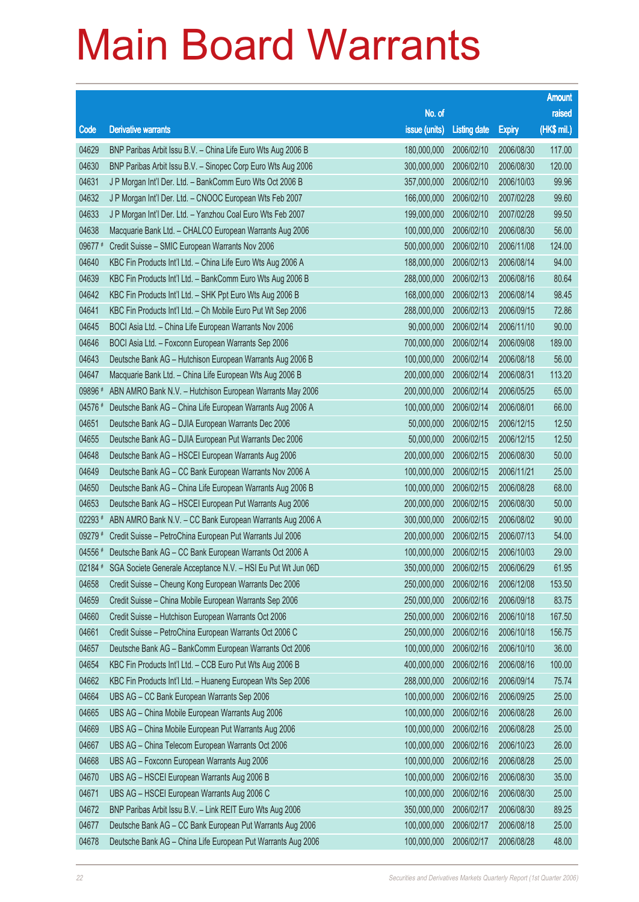|             |                                                              |                        |                     |               | <b>Amount</b> |
|-------------|--------------------------------------------------------------|------------------------|---------------------|---------------|---------------|
|             |                                                              | No. of                 |                     |               | raised        |
| Code        | <b>Derivative warrants</b>                                   | issue (units)          | <b>Listing date</b> | <b>Expiry</b> | (HK\$ mil.)   |
| 04629       | BNP Paribas Arbit Issu B.V. - China Life Euro Wts Aug 2006 B | 180,000,000            | 2006/02/10          | 2006/08/30    | 117.00        |
| 04630       | BNP Paribas Arbit Issu B.V. - Sinopec Corp Euro Wts Aug 2006 | 300,000,000            | 2006/02/10          | 2006/08/30    | 120.00        |
| 04631       | J P Morgan Int'l Der. Ltd. - BankComm Euro Wts Oct 2006 B    | 357,000,000            | 2006/02/10          | 2006/10/03    | 99.96         |
| 04632       | J P Morgan Int'l Der. Ltd. - CNOOC European Wts Feb 2007     | 166,000,000            | 2006/02/10          | 2007/02/28    | 99.60         |
| 04633       | J P Morgan Int'l Der. Ltd. - Yanzhou Coal Euro Wts Feb 2007  | 199,000,000            | 2006/02/10          | 2007/02/28    | 99.50         |
| 04638       | Macquarie Bank Ltd. - CHALCO European Warrants Aug 2006      | 100,000,000            | 2006/02/10          | 2006/08/30    | 56.00         |
| 09677 #     | Credit Suisse - SMIC European Warrants Nov 2006              | 500,000,000            | 2006/02/10          | 2006/11/08    | 124.00        |
| 04640       | KBC Fin Products Int'l Ltd. - China Life Euro Wts Aug 2006 A | 188,000,000            | 2006/02/13          | 2006/08/14    | 94.00         |
| 04639       | KBC Fin Products Int'l Ltd. - BankComm Euro Wts Aug 2006 B   | 288,000,000            | 2006/02/13          | 2006/08/16    | 80.64         |
| 04642       | KBC Fin Products Int'l Ltd. - SHK Ppt Euro Wts Aug 2006 B    | 168,000,000            | 2006/02/13          | 2006/08/14    | 98.45         |
| 04641       | KBC Fin Products Int'l Ltd. - Ch Mobile Euro Put Wt Sep 2006 | 288,000,000            | 2006/02/13          | 2006/09/15    | 72.86         |
| 04645       | BOCI Asia Ltd. - China Life European Warrants Nov 2006       | 90,000,000             | 2006/02/14          | 2006/11/10    | 90.00         |
| 04646       | BOCI Asia Ltd. - Foxconn European Warrants Sep 2006          | 700,000,000            | 2006/02/14          | 2006/09/08    | 189.00        |
| 04643       | Deutsche Bank AG - Hutchison European Warrants Aug 2006 B    | 100,000,000            | 2006/02/14          | 2006/08/18    | 56.00         |
| 04647       | Macquarie Bank Ltd. - China Life European Wts Aug 2006 B     | 200,000,000            | 2006/02/14          | 2006/08/31    | 113.20        |
| 09896 #     | ABN AMRO Bank N.V. - Hutchison European Warrants May 2006    | 200,000,000            | 2006/02/14          | 2006/05/25    | 65.00         |
| 04576 #     | Deutsche Bank AG - China Life European Warrants Aug 2006 A   | 100,000,000            | 2006/02/14          | 2006/08/01    | 66.00         |
| 04651       | Deutsche Bank AG - DJIA European Warrants Dec 2006           | 50,000,000             | 2006/02/15          | 2006/12/15    | 12.50         |
| 04655       | Deutsche Bank AG - DJIA European Put Warrants Dec 2006       | 50,000,000             | 2006/02/15          | 2006/12/15    | 12.50         |
| 04648       | Deutsche Bank AG - HSCEI European Warrants Aug 2006          | 200,000,000            | 2006/02/15          | 2006/08/30    | 50.00         |
| 04649       | Deutsche Bank AG - CC Bank European Warrants Nov 2006 A      | 100,000,000            | 2006/02/15          | 2006/11/21    | 25.00         |
| 04650       | Deutsche Bank AG - China Life European Warrants Aug 2006 B   | 100,000,000            | 2006/02/15          | 2006/08/28    | 68.00         |
| 04653       | Deutsche Bank AG - HSCEI European Put Warrants Aug 2006      | 200,000,000            | 2006/02/15          | 2006/08/30    | 50.00         |
| $02293$ $*$ | ABN AMRO Bank N.V. - CC Bank European Warrants Aug 2006 A    | 300,000,000            | 2006/02/15          | 2006/08/02    | 90.00         |
| 09279 #     | Credit Suisse - PetroChina European Put Warrants Jul 2006    | 200,000,000            | 2006/02/15          | 2006/07/13    | 54.00         |
| 04556 #     | Deutsche Bank AG - CC Bank European Warrants Oct 2006 A      | 100,000,000            | 2006/02/15          | 2006/10/03    | 29.00         |
| 02184 #     | SGA Societe Generale Acceptance N.V. - HSI Eu Put Wt Jun 06D | 350,000,000 2006/02/15 |                     | 2006/06/29    | 61.95         |
| 04658       | Credit Suisse - Cheung Kong European Warrants Dec 2006       | 250,000,000            | 2006/02/16          | 2006/12/08    | 153.50        |
| 04659       | Credit Suisse - China Mobile European Warrants Sep 2006      | 250,000,000            | 2006/02/16          | 2006/09/18    | 83.75         |
| 04660       | Credit Suisse - Hutchison European Warrants Oct 2006         | 250,000,000            | 2006/02/16          | 2006/10/18    | 167.50        |
| 04661       | Credit Suisse - PetroChina European Warrants Oct 2006 C      | 250,000,000            | 2006/02/16          | 2006/10/18    | 156.75        |
| 04657       | Deutsche Bank AG - BankComm European Warrants Oct 2006       | 100,000,000            | 2006/02/16          | 2006/10/10    | 36.00         |
| 04654       | KBC Fin Products Int'l Ltd. - CCB Euro Put Wts Aug 2006 B    | 400,000,000            | 2006/02/16          | 2006/08/16    | 100.00        |
| 04662       | KBC Fin Products Int'l Ltd. - Huaneng European Wts Sep 2006  | 288,000,000            | 2006/02/16          | 2006/09/14    | 75.74         |
| 04664       | UBS AG - CC Bank European Warrants Sep 2006                  | 100,000,000            | 2006/02/16          | 2006/09/25    | 25.00         |
| 04665       | UBS AG - China Mobile European Warrants Aug 2006             | 100,000,000            | 2006/02/16          | 2006/08/28    | 26.00         |
| 04669       | UBS AG - China Mobile European Put Warrants Aug 2006         | 100,000,000            | 2006/02/16          | 2006/08/28    | 25.00         |
| 04667       | UBS AG - China Telecom European Warrants Oct 2006            | 100,000,000            | 2006/02/16          | 2006/10/23    | 26.00         |
| 04668       | UBS AG - Foxconn European Warrants Aug 2006                  | 100,000,000            | 2006/02/16          | 2006/08/28    | 25.00         |
| 04670       | UBS AG - HSCEI European Warrants Aug 2006 B                  | 100,000,000            | 2006/02/16          | 2006/08/30    | 35.00         |
| 04671       | UBS AG - HSCEI European Warrants Aug 2006 C                  | 100,000,000            | 2006/02/16          | 2006/08/30    | 25.00         |
| 04672       | BNP Paribas Arbit Issu B.V. - Link REIT Euro Wts Aug 2006    | 350,000,000            | 2006/02/17          | 2006/08/30    | 89.25         |
| 04677       | Deutsche Bank AG - CC Bank European Put Warrants Aug 2006    | 100,000,000            | 2006/02/17          | 2006/08/18    | 25.00         |
| 04678       | Deutsche Bank AG - China Life European Put Warrants Aug 2006 | 100,000,000            | 2006/02/17          | 2006/08/28    | 48.00         |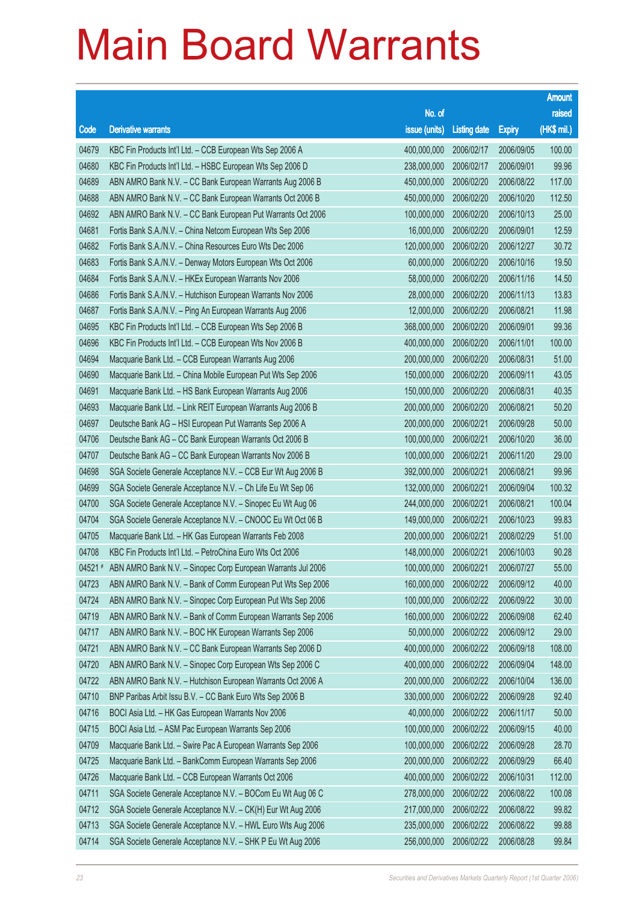|        |                                                              |                        |                     |               | <b>Amount</b> |
|--------|--------------------------------------------------------------|------------------------|---------------------|---------------|---------------|
|        |                                                              | No. of                 |                     |               | raised        |
| Code   | <b>Derivative warrants</b>                                   | issue (units)          | <b>Listing date</b> | <b>Expiry</b> | (HK\$ mil.)   |
| 04679  | KBC Fin Products Int'l Ltd. - CCB European Wts Sep 2006 A    | 400,000,000            | 2006/02/17          | 2006/09/05    | 100.00        |
| 04680  | KBC Fin Products Int'l Ltd. - HSBC European Wts Sep 2006 D   | 238,000,000            | 2006/02/17          | 2006/09/01    | 99.96         |
| 04689  | ABN AMRO Bank N.V. - CC Bank European Warrants Aug 2006 B    | 450,000,000            | 2006/02/20          | 2006/08/22    | 117.00        |
| 04688  | ABN AMRO Bank N.V. - CC Bank European Warrants Oct 2006 B    | 450,000,000            | 2006/02/20          | 2006/10/20    | 112.50        |
| 04692  | ABN AMRO Bank N.V. - CC Bank European Put Warrants Oct 2006  | 100,000,000            | 2006/02/20          | 2006/10/13    | 25.00         |
| 04681  | Fortis Bank S.A./N.V. - China Netcom European Wts Sep 2006   | 16,000,000             | 2006/02/20          | 2006/09/01    | 12.59         |
| 04682  | Fortis Bank S.A./N.V. - China Resources Euro Wts Dec 2006    | 120,000,000            | 2006/02/20          | 2006/12/27    | 30.72         |
| 04683  | Fortis Bank S.A./N.V. - Denway Motors European Wts Oct 2006  | 60,000,000             | 2006/02/20          | 2006/10/16    | 19.50         |
| 04684  | Fortis Bank S.A./N.V. - HKEx European Warrants Nov 2006      | 58,000,000             | 2006/02/20          | 2006/11/16    | 14.50         |
| 04686  | Fortis Bank S.A./N.V. - Hutchison European Warrants Nov 2006 | 28,000,000             | 2006/02/20          | 2006/11/13    | 13.83         |
| 04687  | Fortis Bank S.A./N.V. - Ping An European Warrants Aug 2006   | 12,000,000             | 2006/02/20          | 2006/08/21    | 11.98         |
| 04695  | KBC Fin Products Int'l Ltd. - CCB European Wts Sep 2006 B    | 368,000,000            | 2006/02/20          | 2006/09/01    | 99.36         |
| 04696  | KBC Fin Products Int'l Ltd. - CCB European Wts Nov 2006 B    | 400,000,000            | 2006/02/20          | 2006/11/01    | 100.00        |
| 04694  | Macquarie Bank Ltd. - CCB European Warrants Aug 2006         | 200,000,000            | 2006/02/20          | 2006/08/31    | 51.00         |
| 04690  | Macquarie Bank Ltd. - China Mobile European Put Wts Sep 2006 | 150,000,000            | 2006/02/20          | 2006/09/11    | 43.05         |
| 04691  | Macquarie Bank Ltd. - HS Bank European Warrants Aug 2006     | 150,000,000            | 2006/02/20          | 2006/08/31    | 40.35         |
| 04693  | Macquarie Bank Ltd. - Link REIT European Warrants Aug 2006 B | 200,000,000            | 2006/02/20          | 2006/08/21    | 50.20         |
| 04697  | Deutsche Bank AG - HSI European Put Warrants Sep 2006 A      | 200,000,000            | 2006/02/21          | 2006/09/28    | 50.00         |
| 04706  | Deutsche Bank AG - CC Bank European Warrants Oct 2006 B      | 100,000,000            | 2006/02/21          | 2006/10/20    | 36.00         |
| 04707  | Deutsche Bank AG - CC Bank European Warrants Nov 2006 B      | 100,000,000            | 2006/02/21          | 2006/11/20    | 29.00         |
| 04698  | SGA Societe Generale Acceptance N.V. - CCB Eur Wt Aug 2006 B | 392,000,000            | 2006/02/21          | 2006/08/21    | 99.96         |
| 04699  | SGA Societe Generale Acceptance N.V. - Ch Life Eu Wt Sep 06  | 132,000,000            | 2006/02/21          | 2006/09/04    | 100.32        |
| 04700  | SGA Societe Generale Acceptance N.V. - Sinopec Eu Wt Aug 06  | 244,000,000            | 2006/02/21          | 2006/08/21    | 100.04        |
| 04704  | SGA Societe Generale Acceptance N.V. - CNOOC Eu Wt Oct 06 B  | 149,000,000            | 2006/02/21          | 2006/10/23    | 99.83         |
| 04705  | Macquarie Bank Ltd. - HK Gas European Warrants Feb 2008      | 200,000,000            | 2006/02/21          | 2008/02/29    | 51.00         |
| 04708  | KBC Fin Products Int'l Ltd. - PetroChina Euro Wts Oct 2006   | 148,000,000            | 2006/02/21          | 2006/10/03    | 90.28         |
| 04521# | ABN AMRO Bank N.V. - Sinopec Corp European Warrants Jul 2006 | 100,000,000 2006/02/21 |                     | 2006/07/27    | 55.00         |
| 04723  | ABN AMRO Bank N.V. - Bank of Comm European Put Wts Sep 2006  | 160,000,000            | 2006/02/22          | 2006/09/12    | 40.00         |
| 04724  | ABN AMRO Bank N.V. - Sinopec Corp European Put Wts Sep 2006  | 100,000,000            | 2006/02/22          | 2006/09/22    | 30.00         |
| 04719  | ABN AMRO Bank N.V. - Bank of Comm European Warrants Sep 2006 | 160,000,000            | 2006/02/22          | 2006/09/08    | 62.40         |
| 04717  | ABN AMRO Bank N.V. - BOC HK European Warrants Sep 2006       | 50,000,000             | 2006/02/22          | 2006/09/12    | 29.00         |
| 04721  | ABN AMRO Bank N.V. - CC Bank European Warrants Sep 2006 D    | 400,000,000            | 2006/02/22          | 2006/09/18    | 108.00        |
| 04720  | ABN AMRO Bank N.V. - Sinopec Corp European Wts Sep 2006 C    | 400,000,000            | 2006/02/22          | 2006/09/04    | 148.00        |
| 04722  | ABN AMRO Bank N.V. - Hutchison European Warrants Oct 2006 A  | 200,000,000            | 2006/02/22          | 2006/10/04    | 136.00        |
| 04710  | BNP Paribas Arbit Issu B.V. - CC Bank Euro Wts Sep 2006 B    | 330,000,000            | 2006/02/22          | 2006/09/28    | 92.40         |
| 04716  | BOCI Asia Ltd. - HK Gas European Warrants Nov 2006           | 40,000,000             | 2006/02/22          | 2006/11/17    | 50.00         |
| 04715  | BOCI Asia Ltd. - ASM Pac European Warrants Sep 2006          | 100,000,000            | 2006/02/22          | 2006/09/15    | 40.00         |
| 04709  | Macquarie Bank Ltd. - Swire Pac A European Warrants Sep 2006 | 100,000,000            | 2006/02/22          | 2006/09/28    | 28.70         |
| 04725  | Macquarie Bank Ltd. - BankComm European Warrants Sep 2006    | 200,000,000            | 2006/02/22          | 2006/09/29    | 66.40         |
| 04726  | Macquarie Bank Ltd. - CCB European Warrants Oct 2006         | 400,000,000            | 2006/02/22          | 2006/10/31    | 112.00        |
| 04711  | SGA Societe Generale Acceptance N.V. - BOCom Eu Wt Aug 06 C  | 278,000,000            | 2006/02/22          | 2006/08/22    | 100.08        |
| 04712  | SGA Societe Generale Acceptance N.V. - CK(H) Eur Wt Aug 2006 | 217,000,000            | 2006/02/22          | 2006/08/22    | 99.82         |
| 04713  | SGA Societe Generale Acceptance N.V. - HWL Euro Wts Aug 2006 | 235,000,000            | 2006/02/22          | 2006/08/22    | 99.88         |
| 04714  | SGA Societe Generale Acceptance N.V. - SHK P Eu Wt Aug 2006  | 256,000,000            | 2006/02/22          | 2006/08/28    | 99.84         |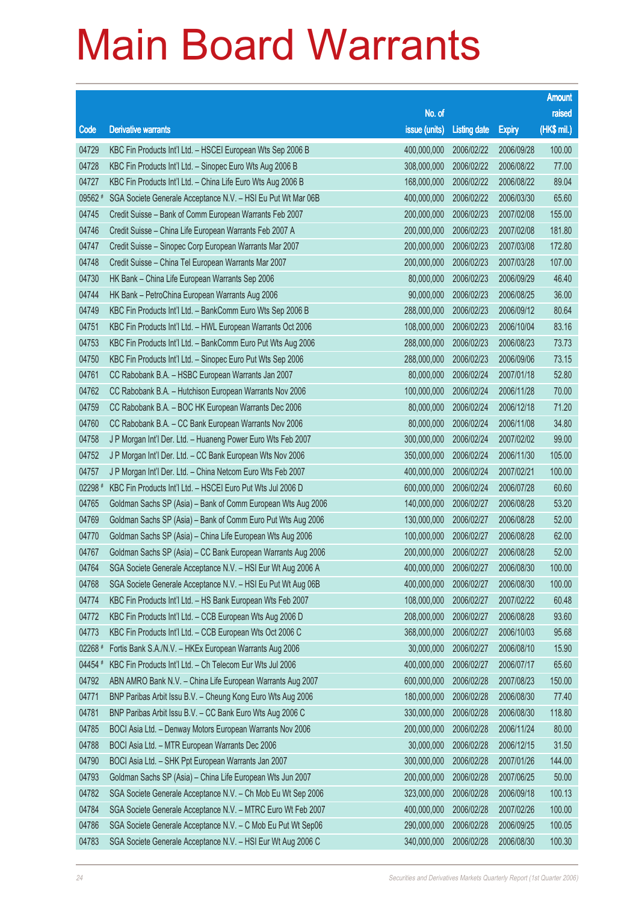|           |                                                              |                        |                     |               | <b>Amount</b> |
|-----------|--------------------------------------------------------------|------------------------|---------------------|---------------|---------------|
|           |                                                              | No. of                 |                     |               | raised        |
| Code      | <b>Derivative warrants</b>                                   | issue (units)          | <b>Listing date</b> | <b>Expiry</b> | (HK\$ mil.)   |
| 04729     | KBC Fin Products Int'l Ltd. - HSCEI European Wts Sep 2006 B  | 400,000,000            | 2006/02/22          | 2006/09/28    | 100.00        |
| 04728     | KBC Fin Products Int'l Ltd. - Sinopec Euro Wts Aug 2006 B    | 308,000,000            | 2006/02/22          | 2006/08/22    | 77.00         |
| 04727     | KBC Fin Products Int'l Ltd. - China Life Euro Wts Aug 2006 B | 168,000,000            | 2006/02/22          | 2006/08/22    | 89.04         |
| 09562 #   | SGA Societe Generale Acceptance N.V. - HSI Eu Put Wt Mar 06B | 400,000,000            | 2006/02/22          | 2006/03/30    | 65.60         |
| 04745     | Credit Suisse - Bank of Comm European Warrants Feb 2007      | 200,000,000            | 2006/02/23          | 2007/02/08    | 155.00        |
| 04746     | Credit Suisse - China Life European Warrants Feb 2007 A      | 200,000,000            | 2006/02/23          | 2007/02/08    | 181.80        |
| 04747     | Credit Suisse - Sinopec Corp European Warrants Mar 2007      | 200,000,000            | 2006/02/23          | 2007/03/08    | 172.80        |
| 04748     | Credit Suisse - China Tel European Warrants Mar 2007         | 200,000,000            | 2006/02/23          | 2007/03/28    | 107.00        |
| 04730     | HK Bank - China Life European Warrants Sep 2006              | 80,000,000             | 2006/02/23          | 2006/09/29    | 46.40         |
| 04744     | HK Bank - PetroChina European Warrants Aug 2006              | 90,000,000             | 2006/02/23          | 2006/08/25    | 36.00         |
| 04749     | KBC Fin Products Int'l Ltd. - BankComm Euro Wts Sep 2006 B   | 288,000,000            | 2006/02/23          | 2006/09/12    | 80.64         |
| 04751     | KBC Fin Products Int'l Ltd. - HWL European Warrants Oct 2006 | 108,000,000            | 2006/02/23          | 2006/10/04    | 83.16         |
| 04753     | KBC Fin Products Int'l Ltd. - BankComm Euro Put Wts Aug 2006 | 288,000,000            | 2006/02/23          | 2006/08/23    | 73.73         |
| 04750     | KBC Fin Products Int'l Ltd. - Sinopec Euro Put Wts Sep 2006  | 288,000,000            | 2006/02/23          | 2006/09/06    | 73.15         |
| 04761     | CC Rabobank B.A. - HSBC European Warrants Jan 2007           | 80,000,000             | 2006/02/24          | 2007/01/18    | 52.80         |
| 04762     | CC Rabobank B.A. - Hutchison European Warrants Nov 2006      | 100,000,000            | 2006/02/24          | 2006/11/28    | 70.00         |
| 04759     | CC Rabobank B.A. - BOC HK European Warrants Dec 2006         | 80,000,000             | 2006/02/24          | 2006/12/18    | 71.20         |
| 04760     | CC Rabobank B.A. - CC Bank European Warrants Nov 2006        | 80,000,000             | 2006/02/24          | 2006/11/08    | 34.80         |
| 04758     | J P Morgan Int'l Der. Ltd. - Huaneng Power Euro Wts Feb 2007 | 300,000,000            | 2006/02/24          | 2007/02/02    | 99.00         |
| 04752     | J P Morgan Int'l Der. Ltd. - CC Bank European Wts Nov 2006   | 350,000,000            | 2006/02/24          | 2006/11/30    | 105.00        |
| 04757     | J P Morgan Int'l Der. Ltd. - China Netcom Euro Wts Feb 2007  | 400,000,000            | 2006/02/24          | 2007/02/21    | 100.00        |
| $02298$ # | KBC Fin Products Int'l Ltd. - HSCEI Euro Put Wts Jul 2006 D  | 600,000,000            | 2006/02/24          | 2006/07/28    | 60.60         |
| 04765     | Goldman Sachs SP (Asia) - Bank of Comm European Wts Aug 2006 | 140,000,000            | 2006/02/27          | 2006/08/28    | 53.20         |
| 04769     | Goldman Sachs SP (Asia) - Bank of Comm Euro Put Wts Aug 2006 | 130,000,000            | 2006/02/27          | 2006/08/28    | 52.00         |
| 04770     | Goldman Sachs SP (Asia) - China Life European Wts Aug 2006   | 100,000,000            | 2006/02/27          | 2006/08/28    | 62.00         |
| 04767     | Goldman Sachs SP (Asia) - CC Bank European Warrants Aug 2006 | 200,000,000            | 2006/02/27          | 2006/08/28    | 52.00         |
| 04764     | SGA Societe Generale Acceptance N.V. - HSI Eur Wt Aug 2006 A | 400,000,000 2006/02/27 |                     | 2006/08/30    | 100.00        |
| 04768     | SGA Societe Generale Acceptance N.V. - HSI Eu Put Wt Aug 06B | 400,000,000            | 2006/02/27          | 2006/08/30    | 100.00        |
| 04774     | KBC Fin Products Int'l Ltd. - HS Bank European Wts Feb 2007  | 108,000,000            | 2006/02/27          | 2007/02/22    | 60.48         |
| 04772     | KBC Fin Products Int'l Ltd. - CCB European Wts Aug 2006 D    | 208,000,000            | 2006/02/27          | 2006/08/28    | 93.60         |
| 04773     | KBC Fin Products Int'l Ltd. - CCB European Wts Oct 2006 C    | 368,000,000            | 2006/02/27          | 2006/10/03    | 95.68         |
| 02268 #   | Fortis Bank S.A./N.V. - HKEx European Warrants Aug 2006      | 30,000,000             | 2006/02/27          | 2006/08/10    | 15.90         |
| 04454 #   | KBC Fin Products Int'l Ltd. - Ch Telecom Eur Wts Jul 2006    | 400,000,000            | 2006/02/27          | 2006/07/17    | 65.60         |
| 04792     | ABN AMRO Bank N.V. - China Life European Warrants Aug 2007   | 600,000,000            | 2006/02/28          | 2007/08/23    | 150.00        |
| 04771     | BNP Paribas Arbit Issu B.V. - Cheung Kong Euro Wts Aug 2006  | 180,000,000            | 2006/02/28          | 2006/08/30    | 77.40         |
| 04781     | BNP Paribas Arbit Issu B.V. - CC Bank Euro Wts Aug 2006 C    | 330,000,000            | 2006/02/28          | 2006/08/30    | 118.80        |
| 04785     | BOCI Asia Ltd. - Denway Motors European Warrants Nov 2006    | 200,000,000            | 2006/02/28          | 2006/11/24    | 80.00         |
| 04788     | BOCI Asia Ltd. - MTR European Warrants Dec 2006              | 30,000,000             | 2006/02/28          | 2006/12/15    | 31.50         |
| 04790     | BOCI Asia Ltd. - SHK Ppt European Warrants Jan 2007          | 300,000,000            | 2006/02/28          | 2007/01/26    | 144.00        |
| 04793     | Goldman Sachs SP (Asia) - China Life European Wts Jun 2007   | 200,000,000            | 2006/02/28          | 2007/06/25    | 50.00         |
| 04782     | SGA Societe Generale Acceptance N.V. - Ch Mob Eu Wt Sep 2006 | 323,000,000            | 2006/02/28          | 2006/09/18    | 100.13        |
| 04784     | SGA Societe Generale Acceptance N.V. - MTRC Euro Wt Feb 2007 | 400,000,000            | 2006/02/28          | 2007/02/26    | 100.00        |
| 04786     | SGA Societe Generale Acceptance N.V. - C Mob Eu Put Wt Sep06 | 290,000,000            | 2006/02/28          | 2006/09/25    | 100.05        |
| 04783     | SGA Societe Generale Acceptance N.V. - HSI Eur Wt Aug 2006 C | 340,000,000            | 2006/02/28          | 2006/08/30    | 100.30        |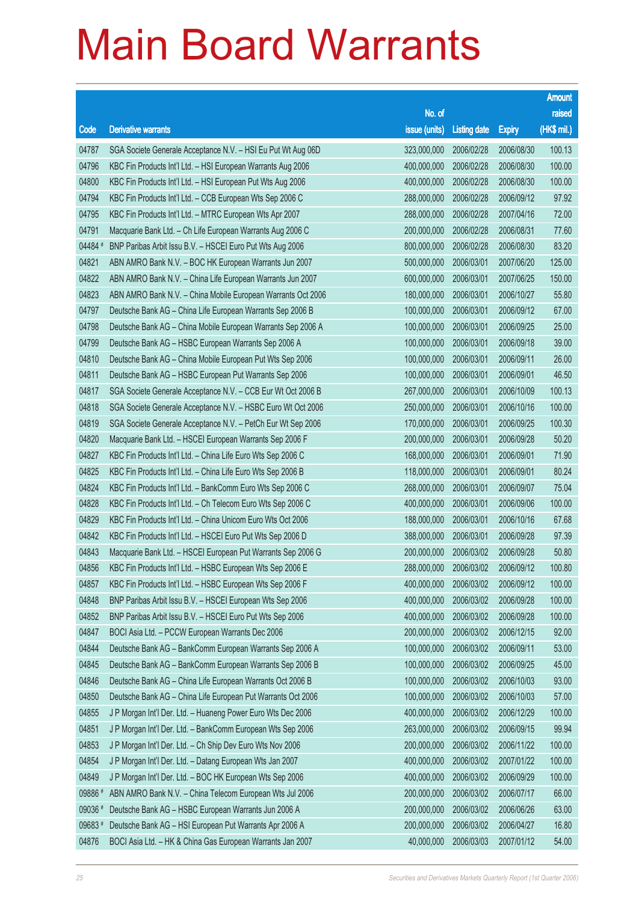|         |                                                              |                        |                     |               | <b>Amount</b> |
|---------|--------------------------------------------------------------|------------------------|---------------------|---------------|---------------|
|         |                                                              | No. of                 |                     |               | raised        |
| Code    | <b>Derivative warrants</b>                                   | issue (units)          | <b>Listing date</b> | <b>Expiry</b> | (HK\$ mil.)   |
| 04787   | SGA Societe Generale Acceptance N.V. - HSI Eu Put Wt Aug 06D | 323,000,000            | 2006/02/28          | 2006/08/30    | 100.13        |
| 04796   | KBC Fin Products Int'l Ltd. - HSI European Warrants Aug 2006 | 400,000,000            | 2006/02/28          | 2006/08/30    | 100.00        |
| 04800   | KBC Fin Products Int'l Ltd. - HSI European Put Wts Aug 2006  | 400,000,000            | 2006/02/28          | 2006/08/30    | 100.00        |
| 04794   | KBC Fin Products Int'l Ltd. - CCB European Wts Sep 2006 C    | 288,000,000            | 2006/02/28          | 2006/09/12    | 97.92         |
| 04795   | KBC Fin Products Int'l Ltd. - MTRC European Wts Apr 2007     | 288,000,000            | 2006/02/28          | 2007/04/16    | 72.00         |
| 04791   | Macquarie Bank Ltd. - Ch Life European Warrants Aug 2006 C   | 200,000,000            | 2006/02/28          | 2006/08/31    | 77.60         |
| 04484 # | BNP Paribas Arbit Issu B.V. - HSCEI Euro Put Wts Aug 2006    | 800,000,000            | 2006/02/28          | 2006/08/30    | 83.20         |
| 04821   | ABN AMRO Bank N.V. - BOC HK European Warrants Jun 2007       | 500,000,000            | 2006/03/01          | 2007/06/20    | 125.00        |
| 04822   | ABN AMRO Bank N.V. - China Life European Warrants Jun 2007   | 600,000,000            | 2006/03/01          | 2007/06/25    | 150.00        |
| 04823   | ABN AMRO Bank N.V. - China Mobile European Warrants Oct 2006 | 180,000,000            | 2006/03/01          | 2006/10/27    | 55.80         |
| 04797   | Deutsche Bank AG - China Life European Warrants Sep 2006 B   | 100,000,000            | 2006/03/01          | 2006/09/12    | 67.00         |
| 04798   | Deutsche Bank AG - China Mobile European Warrants Sep 2006 A | 100,000,000            | 2006/03/01          | 2006/09/25    | 25.00         |
| 04799   | Deutsche Bank AG - HSBC European Warrants Sep 2006 A         | 100,000,000            | 2006/03/01          | 2006/09/18    | 39.00         |
| 04810   | Deutsche Bank AG - China Mobile European Put Wts Sep 2006    | 100,000,000            | 2006/03/01          | 2006/09/11    | 26.00         |
| 04811   | Deutsche Bank AG - HSBC European Put Warrants Sep 2006       | 100,000,000            | 2006/03/01          | 2006/09/01    | 46.50         |
| 04817   | SGA Societe Generale Acceptance N.V. - CCB Eur Wt Oct 2006 B | 267,000,000            | 2006/03/01          | 2006/10/09    | 100.13        |
| 04818   | SGA Societe Generale Acceptance N.V. - HSBC Euro Wt Oct 2006 | 250,000,000            | 2006/03/01          | 2006/10/16    | 100.00        |
| 04819   | SGA Societe Generale Acceptance N.V. - PetCh Eur Wt Sep 2006 | 170,000,000            | 2006/03/01          | 2006/09/25    | 100.30        |
| 04820   | Macquarie Bank Ltd. - HSCEI European Warrants Sep 2006 F     | 200,000,000            | 2006/03/01          | 2006/09/28    | 50.20         |
| 04827   | KBC Fin Products Int'l Ltd. - China Life Euro Wts Sep 2006 C | 168,000,000            | 2006/03/01          | 2006/09/01    | 71.90         |
| 04825   | KBC Fin Products Int'l Ltd. - China Life Euro Wts Sep 2006 B | 118,000,000            | 2006/03/01          | 2006/09/01    | 80.24         |
| 04824   | KBC Fin Products Int'l Ltd. - BankComm Euro Wts Sep 2006 C   | 268,000,000            | 2006/03/01          | 2006/09/07    | 75.04         |
| 04828   | KBC Fin Products Int'l Ltd. - Ch Telecom Euro Wts Sep 2006 C | 400,000,000            | 2006/03/01          | 2006/09/06    | 100.00        |
| 04829   | KBC Fin Products Int'l Ltd. - China Unicom Euro Wts Oct 2006 | 188,000,000            | 2006/03/01          | 2006/10/16    | 67.68         |
| 04842   | KBC Fin Products Int'l Ltd. - HSCEI Euro Put Wts Sep 2006 D  | 388,000,000            | 2006/03/01          | 2006/09/28    | 97.39         |
| 04843   | Macquarie Bank Ltd. - HSCEI European Put Warrants Sep 2006 G | 200,000,000            | 2006/03/02          | 2006/09/28    | 50.80         |
| 04856   | KBC Fin Products Int'l Ltd. - HSBC European Wts Sep 2006 E   | 288,000,000 2006/03/02 |                     | 2006/09/12    | 100.80        |
| 04857   | KBC Fin Products Int'l Ltd. - HSBC European Wts Sep 2006 F   | 400,000,000            | 2006/03/02          | 2006/09/12    | 100.00        |
| 04848   | BNP Paribas Arbit Issu B.V. - HSCEI European Wts Sep 2006    | 400,000,000            | 2006/03/02          | 2006/09/28    | 100.00        |
| 04852   | BNP Paribas Arbit Issu B.V. - HSCEI Euro Put Wts Sep 2006    | 400,000,000            | 2006/03/02          | 2006/09/28    | 100.00        |
| 04847   | BOCI Asia Ltd. - PCCW European Warrants Dec 2006             | 200,000,000            | 2006/03/02          | 2006/12/15    | 92.00         |
| 04844   | Deutsche Bank AG - BankComm European Warrants Sep 2006 A     | 100,000,000            | 2006/03/02          | 2006/09/11    | 53.00         |
| 04845   | Deutsche Bank AG - BankComm European Warrants Sep 2006 B     | 100,000,000            | 2006/03/02          | 2006/09/25    | 45.00         |
| 04846   | Deutsche Bank AG - China Life European Warrants Oct 2006 B   | 100,000,000            | 2006/03/02          | 2006/10/03    | 93.00         |
| 04850   | Deutsche Bank AG - China Life European Put Warrants Oct 2006 | 100,000,000            | 2006/03/02          | 2006/10/03    | 57.00         |
| 04855   | J P Morgan Int'l Der. Ltd. - Huaneng Power Euro Wts Dec 2006 | 400,000,000            | 2006/03/02          | 2006/12/29    | 100.00        |
| 04851   | J P Morgan Int'l Der. Ltd. - BankComm European Wts Sep 2006  | 263,000,000            | 2006/03/02          | 2006/09/15    | 99.94         |
| 04853   | J P Morgan Int'l Der. Ltd. - Ch Ship Dev Euro Wts Nov 2006   | 200,000,000            | 2006/03/02          | 2006/11/22    | 100.00        |
| 04854   | J P Morgan Int'l Der. Ltd. - Datang European Wts Jan 2007    | 400,000,000            | 2006/03/02          | 2007/01/22    | 100.00        |
| 04849   | J P Morgan Int'l Der. Ltd. - BOC HK European Wts Sep 2006    | 400,000,000            | 2006/03/02          | 2006/09/29    | 100.00        |
| 09886 # | ABN AMRO Bank N.V. - China Telecom European Wts Jul 2006     | 200,000,000            | 2006/03/02          | 2006/07/17    | 66.00         |
| 09036 # | Deutsche Bank AG - HSBC European Warrants Jun 2006 A         | 200,000,000            | 2006/03/02          | 2006/06/26    | 63.00         |
| 09683 # | Deutsche Bank AG - HSI European Put Warrants Apr 2006 A      | 200,000,000            | 2006/03/02          | 2006/04/27    | 16.80         |
| 04876   | BOCI Asia Ltd. - HK & China Gas European Warrants Jan 2007   | 40,000,000             | 2006/03/03          | 2007/01/12    | 54.00         |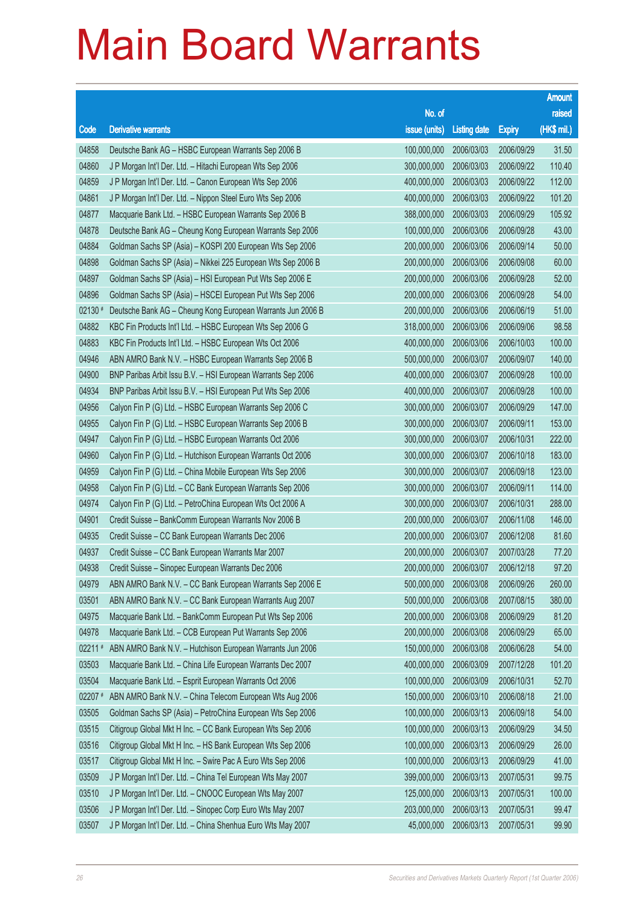|           |                                                              |                        |                     |               | <b>Amount</b> |
|-----------|--------------------------------------------------------------|------------------------|---------------------|---------------|---------------|
|           |                                                              | No. of                 |                     |               | raised        |
| Code      | <b>Derivative warrants</b>                                   | issue (units)          | <b>Listing date</b> | <b>Expiry</b> | (HK\$ mil.)   |
| 04858     | Deutsche Bank AG - HSBC European Warrants Sep 2006 B         | 100,000,000            | 2006/03/03          | 2006/09/29    | 31.50         |
| 04860     | J P Morgan Int'l Der. Ltd. - Hitachi European Wts Sep 2006   | 300,000,000            | 2006/03/03          | 2006/09/22    | 110.40        |
| 04859     | J P Morgan Int'l Der. Ltd. - Canon European Wts Sep 2006     | 400,000,000            | 2006/03/03          | 2006/09/22    | 112.00        |
| 04861     | J P Morgan Int'l Der. Ltd. - Nippon Steel Euro Wts Sep 2006  | 400,000,000            | 2006/03/03          | 2006/09/22    | 101.20        |
| 04877     | Macquarie Bank Ltd. - HSBC European Warrants Sep 2006 B      | 388,000,000            | 2006/03/03          | 2006/09/29    | 105.92        |
| 04878     | Deutsche Bank AG - Cheung Kong European Warrants Sep 2006    | 100,000,000            | 2006/03/06          | 2006/09/28    | 43.00         |
| 04884     | Goldman Sachs SP (Asia) - KOSPI 200 European Wts Sep 2006    | 200,000,000            | 2006/03/06          | 2006/09/14    | 50.00         |
| 04898     | Goldman Sachs SP (Asia) - Nikkei 225 European Wts Sep 2006 B | 200,000,000            | 2006/03/06          | 2006/09/08    | 60.00         |
| 04897     | Goldman Sachs SP (Asia) - HSI European Put Wts Sep 2006 E    | 200,000,000            | 2006/03/06          | 2006/09/28    | 52.00         |
| 04896     | Goldman Sachs SP (Asia) - HSCEI European Put Wts Sep 2006    | 200,000,000            | 2006/03/06          | 2006/09/28    | 54.00         |
| 02130 #   | Deutsche Bank AG - Cheung Kong European Warrants Jun 2006 B  | 200,000,000            | 2006/03/06          | 2006/06/19    | 51.00         |
| 04882     | KBC Fin Products Int'l Ltd. - HSBC European Wts Sep 2006 G   | 318,000,000            | 2006/03/06          | 2006/09/06    | 98.58         |
| 04883     | KBC Fin Products Int'l Ltd. - HSBC European Wts Oct 2006     | 400,000,000            | 2006/03/06          | 2006/10/03    | 100.00        |
| 04946     | ABN AMRO Bank N.V. - HSBC European Warrants Sep 2006 B       | 500,000,000            | 2006/03/07          | 2006/09/07    | 140.00        |
| 04900     | BNP Paribas Arbit Issu B.V. - HSI European Warrants Sep 2006 | 400,000,000            | 2006/03/07          | 2006/09/28    | 100.00        |
| 04934     | BNP Paribas Arbit Issu B.V. - HSI European Put Wts Sep 2006  | 400,000,000            | 2006/03/07          | 2006/09/28    | 100.00        |
| 04956     | Calyon Fin P (G) Ltd. - HSBC European Warrants Sep 2006 C    | 300,000,000            | 2006/03/07          | 2006/09/29    | 147.00        |
| 04955     | Calyon Fin P (G) Ltd. - HSBC European Warrants Sep 2006 B    | 300,000,000            | 2006/03/07          | 2006/09/11    | 153.00        |
| 04947     | Calyon Fin P (G) Ltd. - HSBC European Warrants Oct 2006      | 300,000,000            | 2006/03/07          | 2006/10/31    | 222.00        |
| 04960     | Calyon Fin P (G) Ltd. - Hutchison European Warrants Oct 2006 | 300,000,000            | 2006/03/07          | 2006/10/18    | 183.00        |
| 04959     | Calyon Fin P (G) Ltd. - China Mobile European Wts Sep 2006   | 300,000,000            | 2006/03/07          | 2006/09/18    | 123.00        |
| 04958     | Calyon Fin P (G) Ltd. - CC Bank European Warrants Sep 2006   | 300,000,000            | 2006/03/07          | 2006/09/11    | 114.00        |
| 04974     | Calyon Fin P (G) Ltd. - PetroChina European Wts Oct 2006 A   | 300,000,000            | 2006/03/07          | 2006/10/31    | 288.00        |
| 04901     | Credit Suisse - BankComm European Warrants Nov 2006 B        | 200,000,000            | 2006/03/07          | 2006/11/08    | 146.00        |
| 04935     | Credit Suisse - CC Bank European Warrants Dec 2006           | 200,000,000            | 2006/03/07          | 2006/12/08    | 81.60         |
| 04937     | Credit Suisse - CC Bank European Warrants Mar 2007           | 200,000,000            | 2006/03/07          | 2007/03/28    | 77.20         |
| 04938     | Credit Suisse - Sinopec European Warrants Dec 2006           | 200,000,000 2006/03/07 |                     | 2006/12/18    | 97.20         |
| 04979     | ABN AMRO Bank N.V. - CC Bank European Warrants Sep 2006 E    | 500,000,000            | 2006/03/08          | 2006/09/26    | 260,00        |
| 03501     | ABN AMRO Bank N.V. - CC Bank European Warrants Aug 2007      | 500,000,000            | 2006/03/08          | 2007/08/15    | 380.00        |
| 04975     | Macquarie Bank Ltd. - BankComm European Put Wts Sep 2006     | 200,000,000            | 2006/03/08          | 2006/09/29    | 81.20         |
| 04978     | Macquarie Bank Ltd. - CCB European Put Warrants Sep 2006     | 200,000,000            | 2006/03/08          | 2006/09/29    | 65.00         |
| $02211$ # | ABN AMRO Bank N.V. - Hutchison European Warrants Jun 2006    | 150,000,000            | 2006/03/08          | 2006/06/28    | 54.00         |
| 03503     | Macquarie Bank Ltd. - China Life European Warrants Dec 2007  | 400,000,000            | 2006/03/09          | 2007/12/28    | 101.20        |
| 03504     | Macquarie Bank Ltd. - Esprit European Warrants Oct 2006      | 100,000,000            | 2006/03/09          | 2006/10/31    | 52.70         |
| 02207 #   | ABN AMRO Bank N.V. - China Telecom European Wts Aug 2006     | 150,000,000            | 2006/03/10          | 2006/08/18    | 21.00         |
| 03505     | Goldman Sachs SP (Asia) - PetroChina European Wts Sep 2006   | 100,000,000            | 2006/03/13          | 2006/09/18    | 54.00         |
| 03515     | Citigroup Global Mkt H Inc. - CC Bank European Wts Sep 2006  | 100,000,000            | 2006/03/13          | 2006/09/29    | 34.50         |
| 03516     | Citigroup Global Mkt H Inc. - HS Bank European Wts Sep 2006  | 100,000,000            | 2006/03/13          | 2006/09/29    | 26.00         |
| 03517     | Citigroup Global Mkt H Inc. - Swire Pac A Euro Wts Sep 2006  | 100,000,000            | 2006/03/13          | 2006/09/29    | 41.00         |
| 03509     | J P Morgan Int'l Der. Ltd. - China Tel European Wts May 2007 | 399,000,000            | 2006/03/13          | 2007/05/31    | 99.75         |
| 03510     | J P Morgan Int'l Der. Ltd. - CNOOC European Wts May 2007     | 125,000,000            | 2006/03/13          | 2007/05/31    | 100.00        |
| 03506     | J P Morgan Int'l Der. Ltd. - Sinopec Corp Euro Wts May 2007  | 203,000,000            | 2006/03/13          | 2007/05/31    | 99.47         |
| 03507     | J P Morgan Int'l Der. Ltd. - China Shenhua Euro Wts May 2007 | 45,000,000             | 2006/03/13          | 2007/05/31    | 99.90         |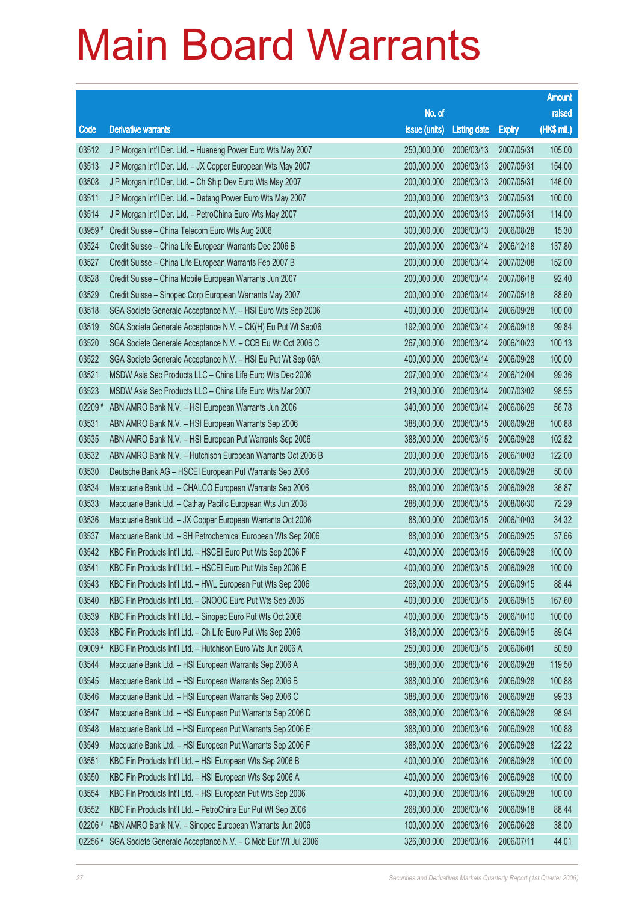|             |                                                              |                        |                     |               | <b>Amount</b> |
|-------------|--------------------------------------------------------------|------------------------|---------------------|---------------|---------------|
|             |                                                              | No. of                 |                     |               | raised        |
| Code        | <b>Derivative warrants</b>                                   | issue (units)          | <b>Listing date</b> | <b>Expiry</b> | $(HK$$ mil.)  |
| 03512       | J P Morgan Int'l Der. Ltd. - Huaneng Power Euro Wts May 2007 | 250,000,000            | 2006/03/13          | 2007/05/31    | 105.00        |
| 03513       | J P Morgan Int'l Der. Ltd. - JX Copper European Wts May 2007 | 200,000,000            | 2006/03/13          | 2007/05/31    | 154.00        |
| 03508       | J P Morgan Int'l Der. Ltd. - Ch Ship Dev Euro Wts May 2007   | 200,000,000            | 2006/03/13          | 2007/05/31    | 146.00        |
| 03511       | J P Morgan Int'l Der. Ltd. - Datang Power Euro Wts May 2007  | 200,000,000            | 2006/03/13          | 2007/05/31    | 100.00        |
| 03514       | J P Morgan Int'l Der. Ltd. - PetroChina Euro Wts May 2007    | 200,000,000            | 2006/03/13          | 2007/05/31    | 114.00        |
| 03959 #     | Credit Suisse - China Telecom Euro Wts Aug 2006              | 300,000,000            | 2006/03/13          | 2006/08/28    | 15.30         |
| 03524       | Credit Suisse - China Life European Warrants Dec 2006 B      | 200,000,000            | 2006/03/14          | 2006/12/18    | 137.80        |
| 03527       | Credit Suisse - China Life European Warrants Feb 2007 B      | 200,000,000            | 2006/03/14          | 2007/02/08    | 152.00        |
| 03528       | Credit Suisse - China Mobile European Warrants Jun 2007      | 200,000,000            | 2006/03/14          | 2007/06/18    | 92.40         |
| 03529       | Credit Suisse - Sinopec Corp European Warrants May 2007      | 200,000,000            | 2006/03/14          | 2007/05/18    | 88.60         |
| 03518       | SGA Societe Generale Acceptance N.V. - HSI Euro Wts Sep 2006 | 400,000,000            | 2006/03/14          | 2006/09/28    | 100.00        |
| 03519       | SGA Societe Generale Acceptance N.V. - CK(H) Eu Put Wt Sep06 | 192,000,000            | 2006/03/14          | 2006/09/18    | 99.84         |
| 03520       | SGA Societe Generale Acceptance N.V. - CCB Eu Wt Oct 2006 C  | 267,000,000            | 2006/03/14          | 2006/10/23    | 100.13        |
| 03522       | SGA Societe Generale Acceptance N.V. - HSI Eu Put Wt Sep 06A | 400,000,000            | 2006/03/14          | 2006/09/28    | 100.00        |
| 03521       | MSDW Asia Sec Products LLC - China Life Euro Wts Dec 2006    | 207,000,000            | 2006/03/14          | 2006/12/04    | 99.36         |
| 03523       | MSDW Asia Sec Products LLC - China Life Euro Wts Mar 2007    | 219,000,000            | 2006/03/14          | 2007/03/02    | 98.55         |
| $02209$ $*$ | ABN AMRO Bank N.V. - HSI European Warrants Jun 2006          | 340,000,000            | 2006/03/14          | 2006/06/29    | 56.78         |
| 03531       | ABN AMRO Bank N.V. - HSI European Warrants Sep 2006          | 388,000,000            | 2006/03/15          | 2006/09/28    | 100.88        |
| 03535       | ABN AMRO Bank N.V. - HSI European Put Warrants Sep 2006      | 388,000,000            | 2006/03/15          | 2006/09/28    | 102.82        |
| 03532       | ABN AMRO Bank N.V. - Hutchison European Warrants Oct 2006 B  | 200,000,000            | 2006/03/15          | 2006/10/03    | 122.00        |
| 03530       | Deutsche Bank AG - HSCEI European Put Warrants Sep 2006      | 200,000,000            | 2006/03/15          | 2006/09/28    | 50.00         |
| 03534       | Macquarie Bank Ltd. - CHALCO European Warrants Sep 2006      | 88,000,000             | 2006/03/15          | 2006/09/28    | 36.87         |
| 03533       | Macquarie Bank Ltd. - Cathay Pacific European Wts Jun 2008   | 288,000,000            | 2006/03/15          | 2008/06/30    | 72.29         |
| 03536       | Macquarie Bank Ltd. - JX Copper European Warrants Oct 2006   | 88,000,000             | 2006/03/15          | 2006/10/03    | 34.32         |
| 03537       | Macquarie Bank Ltd. - SH Petrochemical European Wts Sep 2006 | 88,000,000             | 2006/03/15          | 2006/09/25    | 37.66         |
| 03542       | KBC Fin Products Int'l Ltd. - HSCEI Euro Put Wts Sep 2006 F  | 400,000,000            | 2006/03/15          | 2006/09/28    | 100.00        |
| 03541       | KBC Fin Products Int'l Ltd. - HSCEI Euro Put Wts Sep 2006 E  | 400,000,000 2006/03/15 |                     | 2006/09/28    | 100.00        |
| 03543       | KBC Fin Products Int'l Ltd. - HWL European Put Wts Sep 2006  | 268,000,000            | 2006/03/15          | 2006/09/15    | 88.44         |
| 03540       | KBC Fin Products Int'l Ltd. - CNOOC Euro Put Wts Sep 2006    | 400,000,000            | 2006/03/15          | 2006/09/15    | 167.60        |
| 03539       | KBC Fin Products Int'l Ltd. - Sinopec Euro Put Wts Oct 2006  | 400,000,000            | 2006/03/15          | 2006/10/10    | 100.00        |
| 03538       | KBC Fin Products Int'l Ltd. - Ch Life Euro Put Wts Sep 2006  | 318,000,000            | 2006/03/15          | 2006/09/15    | 89.04         |
| 09009#      | KBC Fin Products Int'l Ltd. - Hutchison Euro Wts Jun 2006 A  | 250,000,000            | 2006/03/15          | 2006/06/01    | 50.50         |
| 03544       | Macquarie Bank Ltd. - HSI European Warrants Sep 2006 A       | 388,000,000            | 2006/03/16          | 2006/09/28    | 119.50        |
| 03545       | Macquarie Bank Ltd. - HSI European Warrants Sep 2006 B       | 388,000,000            | 2006/03/16          | 2006/09/28    | 100.88        |
| 03546       | Macquarie Bank Ltd. - HSI European Warrants Sep 2006 C       | 388,000,000            | 2006/03/16          | 2006/09/28    | 99.33         |
| 03547       | Macquarie Bank Ltd. - HSI European Put Warrants Sep 2006 D   | 388,000,000            | 2006/03/16          | 2006/09/28    | 98.94         |
| 03548       | Macquarie Bank Ltd. - HSI European Put Warrants Sep 2006 E   | 388,000,000            | 2006/03/16          | 2006/09/28    | 100.88        |
| 03549       | Macquarie Bank Ltd. - HSI European Put Warrants Sep 2006 F   | 388,000,000            | 2006/03/16          | 2006/09/28    | 122.22        |
| 03551       | KBC Fin Products Int'l Ltd. - HSI European Wts Sep 2006 B    | 400,000,000            | 2006/03/16          | 2006/09/28    | 100.00        |
| 03550       | KBC Fin Products Int'l Ltd. - HSI European Wts Sep 2006 A    | 400,000,000            | 2006/03/16          | 2006/09/28    | 100.00        |
| 03554       | KBC Fin Products Int'l Ltd. - HSI European Put Wts Sep 2006  | 400,000,000            | 2006/03/16          | 2006/09/28    | 100.00        |
| 03552       | KBC Fin Products Int'l Ltd. - PetroChina Eur Put Wt Sep 2006 | 268,000,000            | 2006/03/16          | 2006/09/18    | 88.44         |
| 02206 #     | ABN AMRO Bank N.V. - Sinopec European Warrants Jun 2006      | 100,000,000            | 2006/03/16          | 2006/06/28    | 38.00         |
| 02256 #     | SGA Societe Generale Acceptance N.V. - C Mob Eur Wt Jul 2006 | 326,000,000            | 2006/03/16          | 2006/07/11    | 44.01         |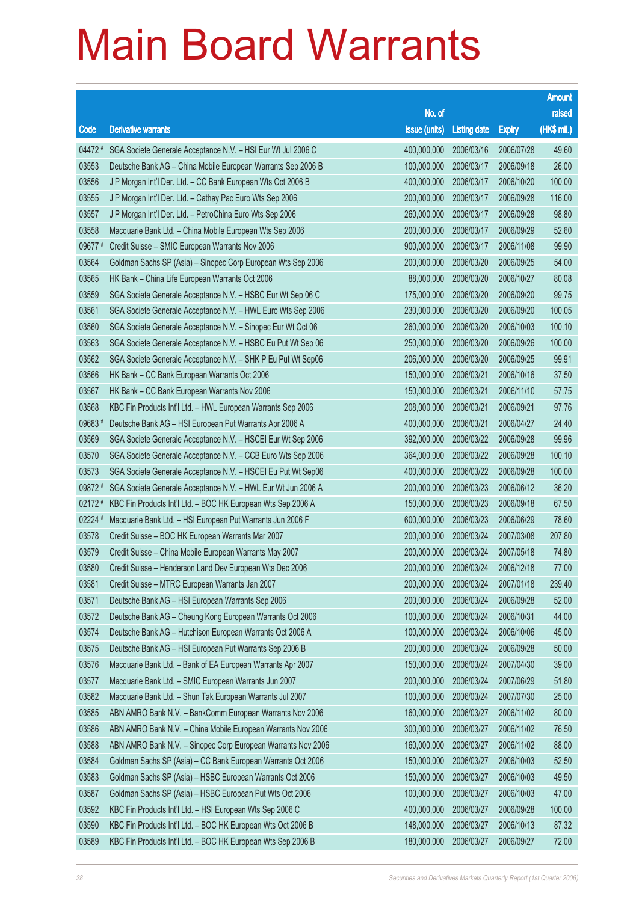|           |                                                              |                        |                     |               | <b>Amount</b> |
|-----------|--------------------------------------------------------------|------------------------|---------------------|---------------|---------------|
|           |                                                              | No. of                 |                     |               | raised        |
| Code      | <b>Derivative warrants</b>                                   | issue (units)          | <b>Listing date</b> | <b>Expiry</b> | (HK\$ mil.)   |
| 04472 #   | SGA Societe Generale Acceptance N.V. - HSI Eur Wt Jul 2006 C | 400,000,000            | 2006/03/16          | 2006/07/28    | 49.60         |
| 03553     | Deutsche Bank AG - China Mobile European Warrants Sep 2006 B | 100,000,000            | 2006/03/17          | 2006/09/18    | 26.00         |
| 03556     | J P Morgan Int'l Der. Ltd. - CC Bank European Wts Oct 2006 B | 400,000,000            | 2006/03/17          | 2006/10/20    | 100.00        |
| 03555     | J P Morgan Int'l Der. Ltd. - Cathay Pac Euro Wts Sep 2006    | 200,000,000            | 2006/03/17          | 2006/09/28    | 116.00        |
| 03557     | J P Morgan Int'l Der. Ltd. - PetroChina Euro Wts Sep 2006    | 260,000,000            | 2006/03/17          | 2006/09/28    | 98.80         |
| 03558     | Macquarie Bank Ltd. - China Mobile European Wts Sep 2006     | 200,000,000            | 2006/03/17          | 2006/09/29    | 52.60         |
| 09677#    | Credit Suisse - SMIC European Warrants Nov 2006              | 900,000,000            | 2006/03/17          | 2006/11/08    | 99.90         |
| 03564     | Goldman Sachs SP (Asia) - Sinopec Corp European Wts Sep 2006 | 200,000,000            | 2006/03/20          | 2006/09/25    | 54.00         |
| 03565     | HK Bank - China Life European Warrants Oct 2006              | 88,000,000             | 2006/03/20          | 2006/10/27    | 80.08         |
| 03559     | SGA Societe Generale Acceptance N.V. - HSBC Eur Wt Sep 06 C  | 175,000,000            | 2006/03/20          | 2006/09/20    | 99.75         |
| 03561     | SGA Societe Generale Acceptance N.V. - HWL Euro Wts Sep 2006 | 230,000,000            | 2006/03/20          | 2006/09/20    | 100.05        |
| 03560     | SGA Societe Generale Acceptance N.V. - Sinopec Eur Wt Oct 06 | 260,000,000            | 2006/03/20          | 2006/10/03    | 100.10        |
| 03563     | SGA Societe Generale Acceptance N.V. - HSBC Eu Put Wt Sep 06 | 250,000,000            | 2006/03/20          | 2006/09/26    | 100.00        |
| 03562     | SGA Societe Generale Acceptance N.V. - SHK P Eu Put Wt Sep06 | 206,000,000            | 2006/03/20          | 2006/09/25    | 99.91         |
| 03566     | HK Bank - CC Bank European Warrants Oct 2006                 | 150,000,000            | 2006/03/21          | 2006/10/16    | 37.50         |
| 03567     | HK Bank - CC Bank European Warrants Nov 2006                 | 150,000,000            | 2006/03/21          | 2006/11/10    | 57.75         |
| 03568     | KBC Fin Products Int'l Ltd. - HWL European Warrants Sep 2006 | 208,000,000            | 2006/03/21          | 2006/09/21    | 97.76         |
| 09683#    | Deutsche Bank AG - HSI European Put Warrants Apr 2006 A      | 400,000,000            | 2006/03/21          | 2006/04/27    | 24.40         |
| 03569     | SGA Societe Generale Acceptance N.V. - HSCEI Eur Wt Sep 2006 | 392,000,000            | 2006/03/22          | 2006/09/28    | 99.96         |
| 03570     | SGA Societe Generale Acceptance N.V. - CCB Euro Wts Sep 2006 | 364,000,000            | 2006/03/22          | 2006/09/28    | 100.10        |
| 03573     | SGA Societe Generale Acceptance N.V. - HSCEI Eu Put Wt Sep06 | 400,000,000            | 2006/03/22          | 2006/09/28    | 100.00        |
| 09872 #   | SGA Societe Generale Acceptance N.V. - HWL Eur Wt Jun 2006 A | 200,000,000            | 2006/03/23          | 2006/06/12    | 36.20         |
| 02172 #   | KBC Fin Products Int'l Ltd. - BOC HK European Wts Sep 2006 A | 150,000,000            | 2006/03/23          | 2006/09/18    | 67.50         |
| $02224$ # | Macquarie Bank Ltd. - HSI European Put Warrants Jun 2006 F   | 600,000,000            | 2006/03/23          | 2006/06/29    | 78.60         |
| 03578     | Credit Suisse - BOC HK European Warrants Mar 2007            | 200,000,000            | 2006/03/24          | 2007/03/08    | 207.80        |
| 03579     | Credit Suisse - China Mobile European Warrants May 2007      | 200,000,000            | 2006/03/24          | 2007/05/18    | 74.80         |
| 03580     | Credit Suisse - Henderson Land Dev European Wts Dec 2006     | 200,000,000 2006/03/24 |                     | 2006/12/18    | 77.00         |
| 03581     | Credit Suisse - MTRC European Warrants Jan 2007              | 200,000,000            | 2006/03/24          | 2007/01/18    | 239.40        |
| 03571     | Deutsche Bank AG - HSI European Warrants Sep 2006            | 200,000,000            | 2006/03/24          | 2006/09/28    | 52.00         |
| 03572     | Deutsche Bank AG - Cheung Kong European Warrants Oct 2006    | 100,000,000            | 2006/03/24          | 2006/10/31    | 44.00         |
| 03574     | Deutsche Bank AG - Hutchison European Warrants Oct 2006 A    | 100,000,000            | 2006/03/24          | 2006/10/06    | 45.00         |
| 03575     | Deutsche Bank AG - HSI European Put Warrants Sep 2006 B      | 200,000,000            | 2006/03/24          | 2006/09/28    | 50.00         |
| 03576     | Macquarie Bank Ltd. - Bank of EA European Warrants Apr 2007  | 150,000,000            | 2006/03/24          | 2007/04/30    | 39.00         |
| 03577     | Macquarie Bank Ltd. - SMIC European Warrants Jun 2007        | 200,000,000            | 2006/03/24          | 2007/06/29    | 51.80         |
| 03582     | Macquarie Bank Ltd. - Shun Tak European Warrants Jul 2007    | 100,000,000            | 2006/03/24          | 2007/07/30    | 25.00         |
| 03585     | ABN AMRO Bank N.V. - BankComm European Warrants Nov 2006     | 160,000,000            | 2006/03/27          | 2006/11/02    | 80.00         |
| 03586     | ABN AMRO Bank N.V. - China Mobile European Warrants Nov 2006 | 300,000,000            | 2006/03/27          | 2006/11/02    | 76.50         |
| 03588     | ABN AMRO Bank N.V. - Sinopec Corp European Warrants Nov 2006 | 160,000,000            | 2006/03/27          | 2006/11/02    | 88.00         |
| 03584     | Goldman Sachs SP (Asia) - CC Bank European Warrants Oct 2006 | 150,000,000            | 2006/03/27          | 2006/10/03    | 52.50         |
| 03583     | Goldman Sachs SP (Asia) - HSBC European Warrants Oct 2006    | 150,000,000            | 2006/03/27          | 2006/10/03    | 49.50         |
| 03587     | Goldman Sachs SP (Asia) - HSBC European Put Wts Oct 2006     | 100,000,000            | 2006/03/27          | 2006/10/03    | 47.00         |
| 03592     | KBC Fin Products Int'l Ltd. - HSI European Wts Sep 2006 C    | 400,000,000            | 2006/03/27          | 2006/09/28    | 100.00        |
| 03590     | KBC Fin Products Int'l Ltd. - BOC HK European Wts Oct 2006 B | 148,000,000            | 2006/03/27          | 2006/10/13    | 87.32         |
| 03589     | KBC Fin Products Int'l Ltd. - BOC HK European Wts Sep 2006 B | 180,000,000            | 2006/03/27          | 2006/09/27    | 72.00         |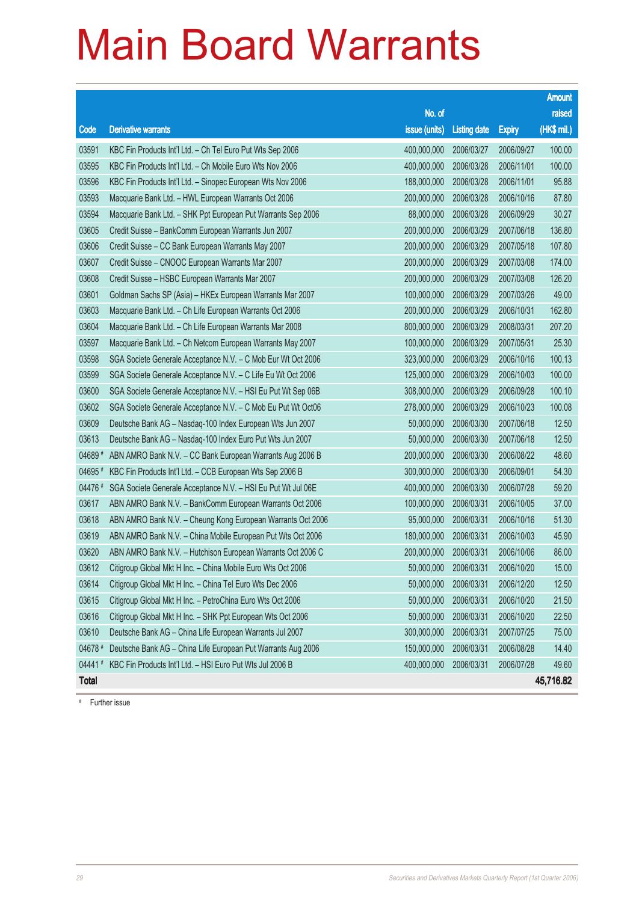|              |                                                              |               |                       |               | <b>Amount</b> |
|--------------|--------------------------------------------------------------|---------------|-----------------------|---------------|---------------|
|              |                                                              | No. of        |                       |               | raised        |
| Code         | Derivative warrants                                          | issue (units) | <b>Listing date</b>   | <b>Expiry</b> | $(HK$$ mil.)  |
| 03591        | KBC Fin Products Int'l Ltd. - Ch Tel Euro Put Wts Sep 2006   | 400,000,000   | 2006/03/27            | 2006/09/27    | 100.00        |
| 03595        | KBC Fin Products Int'l Ltd. - Ch Mobile Euro Wts Nov 2006    | 400,000,000   | 2006/03/28            | 2006/11/01    | 100.00        |
| 03596        | KBC Fin Products Int'l Ltd. - Sinopec European Wts Nov 2006  | 188,000,000   | 2006/03/28            | 2006/11/01    | 95.88         |
| 03593        | Macquarie Bank Ltd. - HWL European Warrants Oct 2006         | 200,000,000   | 2006/03/28            | 2006/10/16    | 87.80         |
| 03594        | Macquarie Bank Ltd. - SHK Ppt European Put Warrants Sep 2006 | 88,000,000    | 2006/03/28            | 2006/09/29    | 30.27         |
| 03605        | Credit Suisse - BankComm European Warrants Jun 2007          | 200,000,000   | 2006/03/29            | 2007/06/18    | 136.80        |
| 03606        | Credit Suisse - CC Bank European Warrants May 2007           | 200,000,000   | 2006/03/29            | 2007/05/18    | 107.80        |
| 03607        | Credit Suisse - CNOOC European Warrants Mar 2007             | 200,000,000   | 2006/03/29            | 2007/03/08    | 174.00        |
| 03608        | Credit Suisse - HSBC European Warrants Mar 2007              | 200,000,000   | 2006/03/29            | 2007/03/08    | 126.20        |
| 03601        | Goldman Sachs SP (Asia) - HKEx European Warrants Mar 2007    | 100,000,000   | 2006/03/29            | 2007/03/26    | 49.00         |
| 03603        | Macquarie Bank Ltd. - Ch Life European Warrants Oct 2006     | 200,000,000   | 2006/03/29            | 2006/10/31    | 162.80        |
| 03604        | Macquarie Bank Ltd. - Ch Life European Warrants Mar 2008     | 800,000,000   | 2006/03/29            | 2008/03/31    | 207.20        |
| 03597        | Macquarie Bank Ltd. - Ch Netcom European Warrants May 2007   | 100,000,000   | 2006/03/29            | 2007/05/31    | 25.30         |
| 03598        | SGA Societe Generale Acceptance N.V. - C Mob Eur Wt Oct 2006 | 323,000,000   | 2006/03/29            | 2006/10/16    | 100.13        |
| 03599        | SGA Societe Generale Acceptance N.V. - C Life Eu Wt Oct 2006 | 125,000,000   | 2006/03/29            | 2006/10/03    | 100.00        |
| 03600        | SGA Societe Generale Acceptance N.V. - HSI Eu Put Wt Sep 06B | 308,000,000   | 2006/03/29            | 2006/09/28    | 100.10        |
| 03602        | SGA Societe Generale Acceptance N.V. - C Mob Eu Put Wt Oct06 | 278,000,000   | 2006/03/29            | 2006/10/23    | 100.08        |
| 03609        | Deutsche Bank AG - Nasdaq-100 Index European Wts Jun 2007    | 50,000,000    | 2006/03/30            | 2007/06/18    | 12.50         |
| 03613        | Deutsche Bank AG - Nasdaq-100 Index Euro Put Wts Jun 2007    | 50,000,000    | 2006/03/30            | 2007/06/18    | 12.50         |
| 04689 #      | ABN AMRO Bank N.V. - CC Bank European Warrants Aug 2006 B    | 200,000,000   | 2006/03/30            | 2006/08/22    | 48.60         |
| 04695 #      | KBC Fin Products Int'l Ltd. - CCB European Wts Sep 2006 B    | 300,000,000   | 2006/03/30            | 2006/09/01    | 54.30         |
| 04476 #      | SGA Societe Generale Acceptance N.V. - HSI Eu Put Wt Jul 06E | 400,000,000   | 2006/03/30            | 2006/07/28    | 59.20         |
| 03617        | ABN AMRO Bank N.V. - BankComm European Warrants Oct 2006     | 100,000,000   | 2006/03/31            | 2006/10/05    | 37.00         |
| 03618        | ABN AMRO Bank N.V. - Cheung Kong European Warrants Oct 2006  | 95,000,000    | 2006/03/31            | 2006/10/16    | 51.30         |
| 03619        | ABN AMRO Bank N.V. - China Mobile European Put Wts Oct 2006  | 180,000,000   | 2006/03/31            | 2006/10/03    | 45.90         |
| 03620        | ABN AMRO Bank N.V. - Hutchison European Warrants Oct 2006 C  | 200,000,000   | 2006/03/31            | 2006/10/06    | 86.00         |
| 03612        | Citigroup Global Mkt H Inc. - China Mobile Euro Wts Oct 2006 |               | 50,000,000 2006/03/31 | 2006/10/20    | 15.00         |
| 03614        | Citigroup Global Mkt H Inc. - China Tel Euro Wts Dec 2006    | 50,000,000    | 2006/03/31            | 2006/12/20    | 12.50         |
| 03615        | Citigroup Global Mkt H Inc. - PetroChina Euro Wts Oct 2006   | 50,000,000    | 2006/03/31            | 2006/10/20    | 21.50         |
| 03616        | Citigroup Global Mkt H Inc. - SHK Ppt European Wts Oct 2006  | 50,000,000    | 2006/03/31            | 2006/10/20    | 22.50         |
| 03610        | Deutsche Bank AG - China Life European Warrants Jul 2007     | 300,000,000   | 2006/03/31            | 2007/07/25    | 75.00         |
| 04678 #      | Deutsche Bank AG - China Life European Put Warrants Aug 2006 | 150,000,000   | 2006/03/31            | 2006/08/28    | 14.40         |
| 04441#       | KBC Fin Products Int'l Ltd. - HSI Euro Put Wts Jul 2006 B    | 400,000,000   | 2006/03/31            | 2006/07/28    | 49.60         |
| <b>Total</b> |                                                              |               |                       |               | 45,716.82     |

# Further issue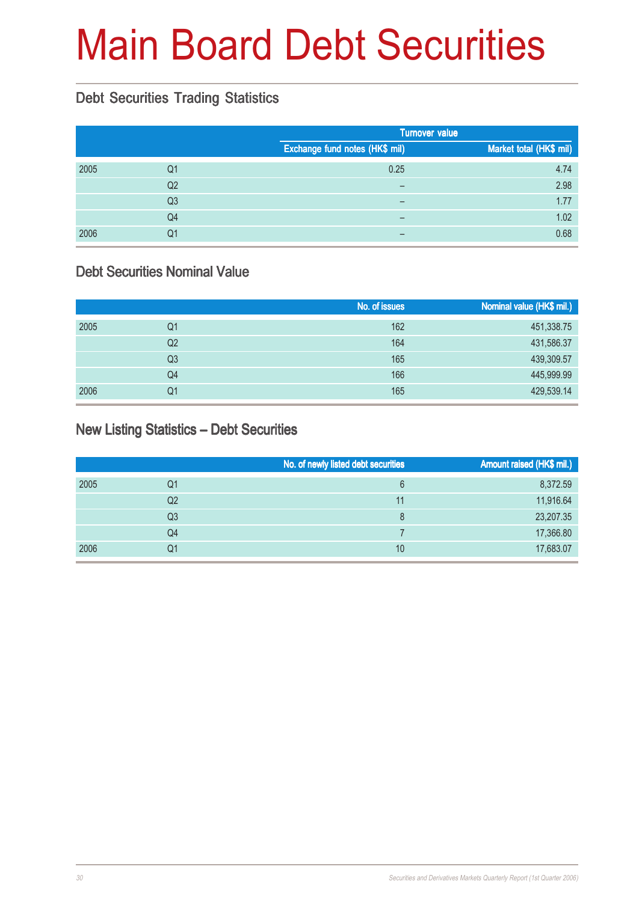## Main Board Debt Securities

#### Debt Securities Trading Statistics

|      |                |                                | <b>Turnover value</b>   |
|------|----------------|--------------------------------|-------------------------|
|      |                | Exchange fund notes (HK\$ mil) | Market total (HK\$ mil) |
| 2005 | Q1             | 0.25                           | 4.74                    |
|      | Q <sub>2</sub> | $\overline{\phantom{m}}$       | 2.98                    |
|      | Q <sub>3</sub> | $\overline{\phantom{0}}$       | 1.77                    |
|      | Q <sub>4</sub> |                                | 1.02                    |
| 2006 | Q1             |                                | 0.68                    |

#### Debt Securities Nominal Value

|      |    | No. of issues | Nominal value (HK\$ mil.) |
|------|----|---------------|---------------------------|
| 2005 | Q1 | 162           | 451,338.75                |
|      | Q2 | 164           | 431,586.37                |
|      | Q3 | 165           | 439,309.57                |
|      | Q4 | 166           | 445,999.99                |
| 2006 | Q1 | 165           | 429,539.14                |

#### New Listing Statistics – Debt Securities

|      |    | No. of newly listed debt securities | Amount raised (HK\$ mil.) |
|------|----|-------------------------------------|---------------------------|
| 2005 | Q1 | 6                                   | 8,372.59                  |
|      | Q2 | 11                                  | 11,916.64                 |
|      | Q3 | 8                                   | 23,207.35                 |
|      | Q4 |                                     | 17,366.80                 |
| 2006 | Q1 | 10                                  | 17,683.07                 |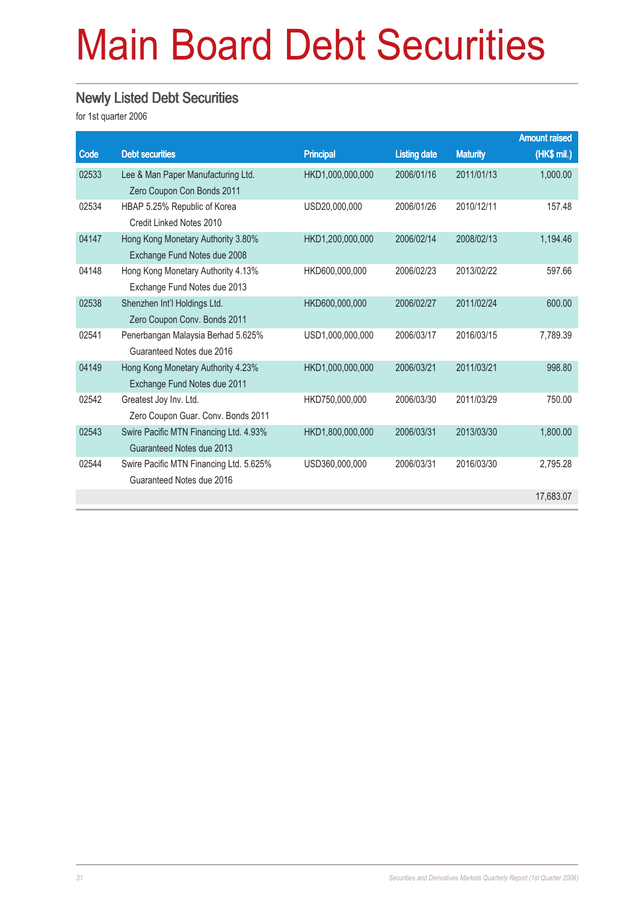## Main Board Debt Securities

#### Newly Listed Debt Securities

|       |                                                          |                  |                     |                 | <b>Amount raised</b> |
|-------|----------------------------------------------------------|------------------|---------------------|-----------------|----------------------|
| Code  | <b>Debt securities</b>                                   | <b>Principal</b> | <b>Listing date</b> | <b>Maturity</b> | (HK\$ mil.)          |
| 02533 | Lee & Man Paper Manufacturing Ltd.                       | HKD1,000,000,000 | 2006/01/16          | 2011/01/13      | 1,000.00             |
|       | Zero Coupon Con Bonds 2011                               |                  |                     |                 |                      |
| 02534 | HBAP 5.25% Republic of Korea<br>Credit Linked Notes 2010 | USD20,000,000    | 2006/01/26          | 2010/12/11      | 157.48               |
| 04147 | Hong Kong Monetary Authority 3.80%                       | HKD1,200,000,000 | 2006/02/14          | 2008/02/13      | 1,194.46             |
|       | Exchange Fund Notes due 2008                             |                  |                     |                 |                      |
| 04148 | Hong Kong Monetary Authority 4.13%                       | HKD600,000,000   | 2006/02/23          | 2013/02/22      | 597.66               |
|       | Exchange Fund Notes due 2013                             |                  |                     |                 |                      |
| 02538 | Shenzhen Int'l Holdings Ltd.                             | HKD600,000,000   | 2006/02/27          | 2011/02/24      | 600.00               |
|       | Zero Coupon Conv. Bonds 2011                             |                  |                     |                 |                      |
| 02541 | Penerbangan Malaysia Berhad 5.625%                       | USD1,000,000,000 | 2006/03/17          | 2016/03/15      | 7,789.39             |
|       | Guaranteed Notes due 2016                                |                  |                     |                 |                      |
| 04149 | Hong Kong Monetary Authority 4.23%                       | HKD1,000,000,000 | 2006/03/21          | 2011/03/21      | 998.80               |
|       | Exchange Fund Notes due 2011                             |                  |                     |                 |                      |
| 02542 | Greatest Joy Inv. Ltd.                                   | HKD750,000,000   | 2006/03/30          | 2011/03/29      | 750.00               |
|       | Zero Coupon Guar. Conv. Bonds 2011                       |                  |                     |                 |                      |
| 02543 | Swire Pacific MTN Financing Ltd. 4.93%                   | HKD1,800,000,000 | 2006/03/31          | 2013/03/30      | 1,800.00             |
|       | Guaranteed Notes due 2013                                |                  |                     |                 |                      |
| 02544 | Swire Pacific MTN Financing Ltd. 5.625%                  | USD360,000,000   | 2006/03/31          | 2016/03/30      | 2,795.28             |
|       | Guaranteed Notes due 2016                                |                  |                     |                 |                      |
|       |                                                          |                  |                     |                 | 17,683.07            |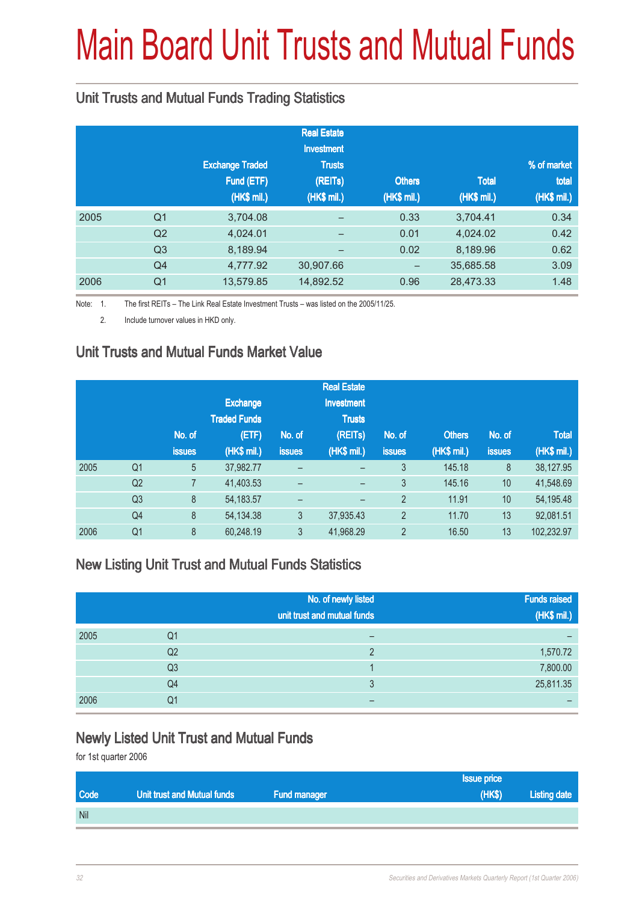# Main Board Unit Trusts and Mutual Funds

#### Unit Trusts and Mutual Funds Trading Statistics

|      |                |                        | <b>Real Estate</b><br><b>Investment</b> |               |              |             |
|------|----------------|------------------------|-----------------------------------------|---------------|--------------|-------------|
|      |                | <b>Exchange Traded</b> | <b>Trusts</b>                           |               |              | % of market |
|      |                | Fund (ETF)             | (REITs)                                 | <b>Others</b> | <b>Total</b> | total       |
|      |                | (HK\$ mil.)            | (HK\$ mil.)                             | (HK\$ mil.)   | (HK\$ mil.)  | (HK\$ mil.) |
| 2005 | Q <sub>1</sub> | 3,704.08               | -                                       | 0.33          | 3,704.41     | 0.34        |
|      | Q2             | 4,024.01               | -                                       | 0.01          | 4,024.02     | 0.42        |
|      | Q <sub>3</sub> | 8,189.94               | -                                       | 0.02          | 8,189.96     | 0.62        |
|      | Q4             | 4,777.92               | 30,907.66                               |               | 35,685.58    | 3.09        |
| 2006 | Q <sub>1</sub> | 13,579.85              | 14,892.52                               | 0.96          | 28,473.33    | 1.48        |

Note: 1. The first REITs – The Link Real Estate Investment Trusts – was listed on the 2005/11/25.

2. Include turnover values in HKD only.

#### Unit Trusts and Mutual Funds Market Value

|      |                |               |                     |                          | <b>Real Estate</b>       |                |               |               |              |
|------|----------------|---------------|---------------------|--------------------------|--------------------------|----------------|---------------|---------------|--------------|
|      |                |               | <b>Exchange</b>     |                          | <b>Investment</b>        |                |               |               |              |
|      |                |               | <b>Traded Funds</b> |                          | <b>Trusts</b>            |                |               |               |              |
|      |                | No. of        | (ETF)               | No. of                   | (REITs)                  | No. of         | <b>Others</b> | No. of        | <b>Total</b> |
|      |                | <b>issues</b> | (HK\$ mil.)         | <b>issues</b>            | (HK\$ mil.)              | <b>issues</b>  | (HK\$ mil.)   | <b>issues</b> | (HK\$ mil.)  |
| 2005 | Q <sub>1</sub> | 5             | 37,982.77           | -                        |                          | 3              | 145.18        | 8             | 38,127.95    |
|      | Q2             |               | 41,403.53           | -                        |                          | 3              | 145.16        | 10            | 41,548.69    |
|      | Q <sub>3</sub> | 8             | 54, 183. 57         | $\overline{\phantom{0}}$ | $\overline{\phantom{0}}$ | $\overline{2}$ | 11.91         | 10            | 54,195.48    |
|      | Q <sub>4</sub> | 8             | 54, 134. 38         | 3                        | 37,935.43                | $\overline{2}$ | 11.70         | 13            | 92,081.51    |
| 2006 | Q <sub>1</sub> | 8             | 60,248.19           | 3                        | 41,968.29                | $\overline{2}$ | 16.50         | 13            | 102,232.97   |

#### New Listing Unit Trust and Mutual Funds Statistics

|      |                | No. of newly listed<br>unit trust and mutual funds | <b>Funds raised</b><br>(HK\$ mil.) |
|------|----------------|----------------------------------------------------|------------------------------------|
| 2005 | Q1             |                                                    |                                    |
|      | Q <sub>2</sub> | C                                                  | 1,570.72                           |
|      | Q <sub>3</sub> |                                                    | 7,800.00                           |
|      | Q4             | 3                                                  | 25,811.35                          |
| 2006 | Q1             |                                                    |                                    |

#### Newly Listed Unit Trust and Mutual Funds

|             |                             |                     | ssue price |              |
|-------------|-----------------------------|---------------------|------------|--------------|
| <b>Code</b> | Unit trust and Mutual funds | <b>Fund manager</b> | (HKS)      | Listing date |
| <b>Nil</b>  |                             |                     |            |              |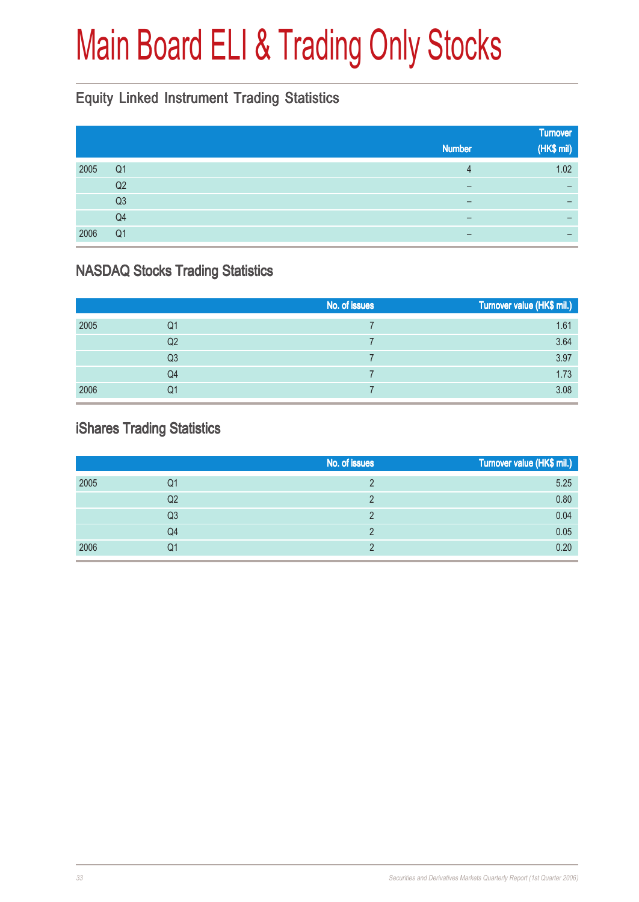## Main Board ELI & Trading Only Stocks

#### Equity Linked Instrument Trading Statistics

|      |                |               | <b>Turnover</b> |
|------|----------------|---------------|-----------------|
|      |                | <b>Number</b> | (HK\$ mil)      |
| 2005 | Q <sub>1</sub> | 4             | 1.02            |
|      | Q2             | -             |                 |
|      | Q <sub>3</sub> | -             |                 |
|      | Q <sub>4</sub> | -             |                 |
| 2006 | Q <sub>1</sub> | –             |                 |

#### NASDAQ Stocks Trading Statistics

|      |                | No. of issues | Turnover value (HK\$ mil.) |
|------|----------------|---------------|----------------------------|
| 2005 | Q1             |               | 1.61                       |
|      | Q <sub>2</sub> |               | 3.64                       |
|      | Q <sub>3</sub> |               | 3.97                       |
|      | Q4             |               | 1.73                       |
| 2006 | Q1             |               | 3.08                       |

#### iShares Trading Statistics

|      |    | No. of issues | Turnover value (HK\$ mil.) |
|------|----|---------------|----------------------------|
| 2005 | Q1 |               | 5.25                       |
|      | Q2 |               | 0.80                       |
|      | Q3 |               | 0.04                       |
|      | Q4 |               | 0.05                       |
| 2006 | Q1 |               | 0.20                       |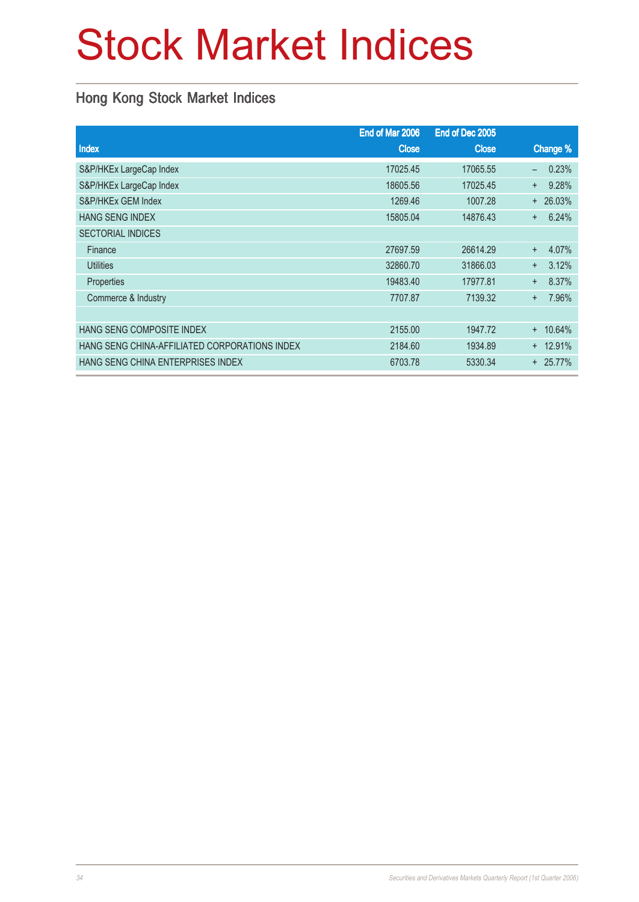## Stock Market Indices

#### Hong Kong Stock Market Indices

| End of Mar 2006 | End of Dec 2005 |                                   |
|-----------------|-----------------|-----------------------------------|
| <b>Close</b>    | <b>Close</b>    | Change %                          |
| 17025.45        | 17065.55        | 0.23%<br>$\overline{\phantom{0}}$ |
| 18605.56        | 17025.45        | 9.28%<br>$+$                      |
| 1269.46         | 1007.28         | $+ 26.03%$                        |
| 15805.04        | 14876.43        | 6.24%<br>$+$                      |
|                 |                 |                                   |
| 27697.59        | 26614.29        | 4.07%<br>$+$                      |
| 32860.70        | 31866.03        | 3.12%<br>$+$                      |
| 19483.40        | 17977.81        | 8.37%<br>$+$                      |
| 7707.87         | 7139.32         | 7.96%<br>$+$                      |
|                 |                 |                                   |
| 2155.00         | 1947.72         | $+ 10.64\%$                       |
| 2184.60         | 1934.89         | $+ 12.91%$                        |
| 6703.78         | 5330.34         | $+25.77\%$                        |
|                 |                 |                                   |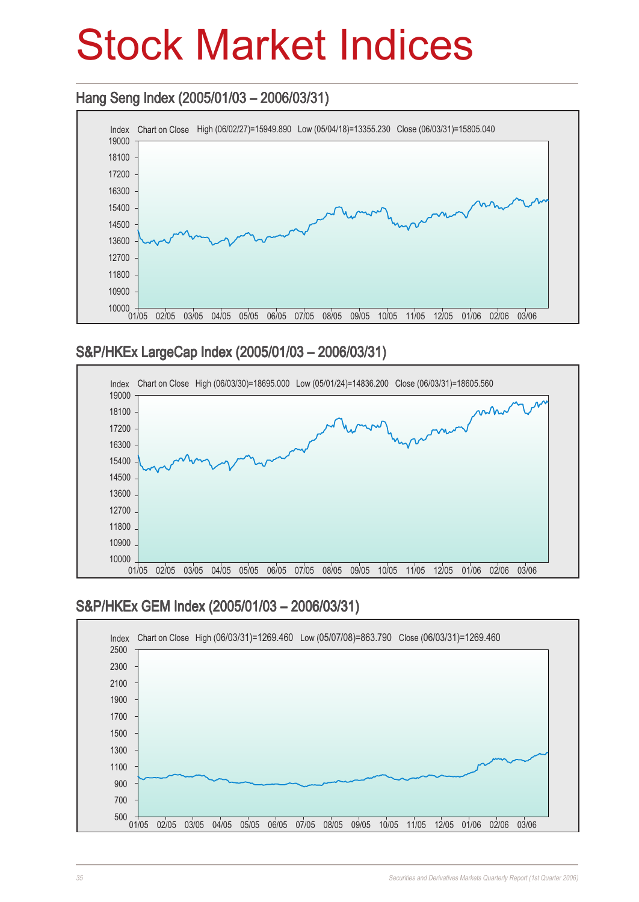### Stock Market Indices

#### Hang Seng Index (2005/01/03 – 2006/03/31)



#### S&P/HKEx LargeCap Index (2005/01/03 – 2006/03/31)



#### S&P/HKEx GEM Index (2005/01/03 – 2006/03/31)

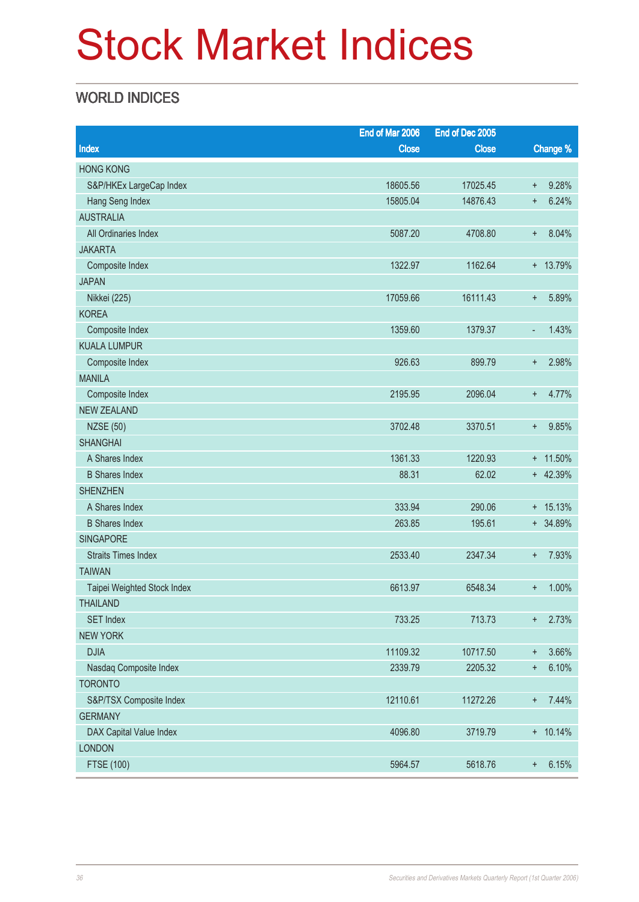## Stock Market Indices

#### WORLD INDICES

| Change %<br>Index<br><b>Close</b><br><b>Close</b><br><b>HONG KONG</b><br>S&P/HKEx LargeCap Index<br>18605.56<br>17025.45<br>9.28%<br>$\ddagger$<br>15805.04<br>14876.43<br>6.24%<br>Hang Seng Index<br>$\ddot{}$<br><b>AUSTRALIA</b><br>All Ordinaries Index |
|--------------------------------------------------------------------------------------------------------------------------------------------------------------------------------------------------------------------------------------------------------------|
|                                                                                                                                                                                                                                                              |
|                                                                                                                                                                                                                                                              |
|                                                                                                                                                                                                                                                              |
|                                                                                                                                                                                                                                                              |
|                                                                                                                                                                                                                                                              |
| 4708.80<br>8.04%<br>5087.20<br>$\ddagger$                                                                                                                                                                                                                    |
| <b>JAKARTA</b>                                                                                                                                                                                                                                               |
| 1162.64<br>+ 13.79%<br>Composite Index<br>1322.97                                                                                                                                                                                                            |
| <b>JAPAN</b>                                                                                                                                                                                                                                                 |
| 5.89%<br>Nikkei (225)<br>17059.66<br>16111.43<br>$\ddagger$                                                                                                                                                                                                  |
| <b>KOREA</b>                                                                                                                                                                                                                                                 |
| 1.43%<br>Composite Index<br>1359.60<br>1379.37<br>÷,                                                                                                                                                                                                         |
| <b>KUALA LUMPUR</b>                                                                                                                                                                                                                                          |
| 2.98%<br>Composite Index<br>926.63<br>899.79<br>$\ddagger$                                                                                                                                                                                                   |
| <b>MANILA</b>                                                                                                                                                                                                                                                |
| 2195.95<br>2096.04<br>4.77%<br>Composite Index<br>$\ddot{}$                                                                                                                                                                                                  |
| <b>NEW ZEALAND</b>                                                                                                                                                                                                                                           |
| 9.85%<br><b>NZSE (50)</b><br>3702.48<br>3370.51<br>$\ddagger$                                                                                                                                                                                                |
| <b>SHANGHAI</b>                                                                                                                                                                                                                                              |
| A Shares Index<br>1361.33<br>1220.93<br>+ 11.50%                                                                                                                                                                                                             |
| 88.31<br>+ 42.39%<br><b>B</b> Shares Index<br>62.02                                                                                                                                                                                                          |
| <b>SHENZHEN</b>                                                                                                                                                                                                                                              |
| 333.94<br>A Shares Index<br>290.06<br>$+ 15.13%$                                                                                                                                                                                                             |
| + 34.89%<br><b>B</b> Shares Index<br>263.85<br>195.61                                                                                                                                                                                                        |
| <b>SINGAPORE</b>                                                                                                                                                                                                                                             |
| 2533.40<br>7.93%<br><b>Straits Times Index</b><br>2347.34<br>$\ddagger$                                                                                                                                                                                      |
| <b>TAIWAN</b>                                                                                                                                                                                                                                                |
| 6613.97<br>6548.34<br>1.00%<br>Taipei Weighted Stock Index<br>÷                                                                                                                                                                                              |
| <b>THAILAND</b>                                                                                                                                                                                                                                              |
| <b>SET Index</b><br>733.25<br>713.73<br>2.73%<br>$\ddot{}$                                                                                                                                                                                                   |
| <b>NEW YORK</b>                                                                                                                                                                                                                                              |
| <b>DJIA</b><br>11109.32<br>10717.50<br>3.66%<br>$\ddagger$                                                                                                                                                                                                   |
| 2339.79<br>6.10%<br>Nasdaq Composite Index<br>2205.32<br>$\ddagger$                                                                                                                                                                                          |
| <b>TORONTO</b>                                                                                                                                                                                                                                               |
| 12110.61<br>7.44%<br>S&P/TSX Composite Index<br>11272.26<br>$\ddot{}$                                                                                                                                                                                        |
| <b>GERMANY</b>                                                                                                                                                                                                                                               |
| DAX Capital Value Index<br>4096.80<br>3719.79<br>$+ 10.14%$                                                                                                                                                                                                  |
| <b>LONDON</b>                                                                                                                                                                                                                                                |
| <b>FTSE (100)</b><br>5964.57<br>5618.76<br>6.15%<br>$\ddot{}$                                                                                                                                                                                                |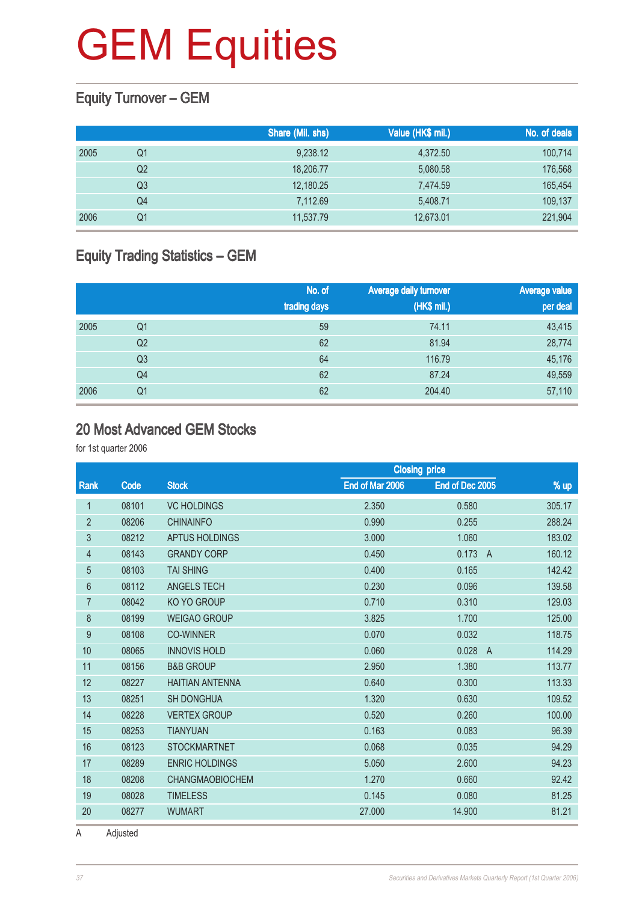#### Equity Turnover – GEM

|      |    | Share (Mil. shs) | Value (HK\$ mil.) | No. of deals |
|------|----|------------------|-------------------|--------------|
| 2005 | Q1 | 9,238.12         | 4,372.50          | 100,714      |
|      | Q2 | 18,206.77        | 5,080.58          | 176,568      |
|      | Q3 | 12,180.25        | 7.474.59          | 165,454      |
|      | Q4 | 7,112.69         | 5,408.71          | 109,137      |
| 2006 | Q1 | 11,537.79        | 12,673.01         | 221,904      |

#### Equity Trading Statistics – GEM

|      |                | No. of<br>trading days | <b>Average daily turnover</b><br>(HK\$ mil.) | <b>Average value</b><br>per deal |
|------|----------------|------------------------|----------------------------------------------|----------------------------------|
| 2005 | Q1             | 59                     | 74.11                                        | 43,415                           |
|      | Q <sub>2</sub> | 62                     | 81.94                                        | 28,774                           |
|      | Q <sub>3</sub> | 64                     | 116.79                                       | 45,176                           |
|      | Q4             | 62                     | 87.24                                        | 49,559                           |
| 2006 | Q <sub>1</sub> | 62                     | 204.40                                       | 57,110                           |

#### 20 Most Advanced GEM Stocks

for 1st quarter 2006

|                |       |                        | <b>Closing price</b> |                 |                          |
|----------------|-------|------------------------|----------------------|-----------------|--------------------------|
| Rank           | Code  | <b>Stock</b>           | End of Mar 2006      | End of Dec 2005 | % up                     |
| 1              | 08101 | <b>VC HOLDINGS</b>     | 2.350                | 0.580           | 305.17                   |
| $\overline{2}$ | 08206 | <b>CHINAINFO</b>       | 0.990                | 0.255           | 288.24                   |
| 3              | 08212 | APTUS HOLDINGS         | 3.000                | 1.060           | 183.02                   |
| $\overline{4}$ | 08143 | <b>GRANDY CORP</b>     | 0.450                | 0.173           | 160.12<br>$\overline{A}$ |
| $\overline{5}$ | 08103 | <b>TAI SHING</b>       | 0.400                | 0.165           | 142.42                   |
| 6              | 08112 | ANGELS TECH            | 0.230                | 0.096           | 139.58                   |
| $\overline{7}$ | 08042 | KO YO GROUP            | 0.710                | 0.310           | 129.03                   |
| 8              | 08199 | <b>WEIGAO GROUP</b>    | 3.825                | 1.700           | 125.00                   |
| 9              | 08108 | <b>CO-WINNER</b>       | 0.070                | 0.032           | 118.75                   |
| 10             | 08065 | <b>INNOVIS HOLD</b>    | 0.060                | 0.028           | 114.29<br>$\overline{A}$ |
| 11             | 08156 | <b>B&amp;B GROUP</b>   | 2.950                | 1.380           | 113.77                   |
| 12             | 08227 | <b>HAITIAN ANTENNA</b> | 0.640                | 0.300           | 113.33                   |
| 13             | 08251 | <b>SH DONGHUA</b>      | 1.320                | 0.630           | 109.52                   |
| 14             | 08228 | <b>VERTEX GROUP</b>    | 0.520                | 0.260           | 100.00                   |
| 15             | 08253 | <b>TIANYUAN</b>        | 0.163                | 0.083           | 96.39                    |
| 16             | 08123 | <b>STOCKMARTNET</b>    | 0.068                | 0.035           | 94.29                    |
| 17             | 08289 | <b>ENRIC HOLDINGS</b>  | 5.050                | 2.600           | 94.23                    |
| 18             | 08208 | <b>CHANGMAOBIOCHEM</b> | 1.270                | 0.660           | 92.42                    |
| 19             | 08028 | <b>TIMELESS</b>        | 0.145                | 0.080           | 81.25                    |
| 20             | 08277 | <b>WUMART</b>          | 27.000               | 14.900          | 81.21                    |
|                |       |                        |                      |                 |                          |

A Adjusted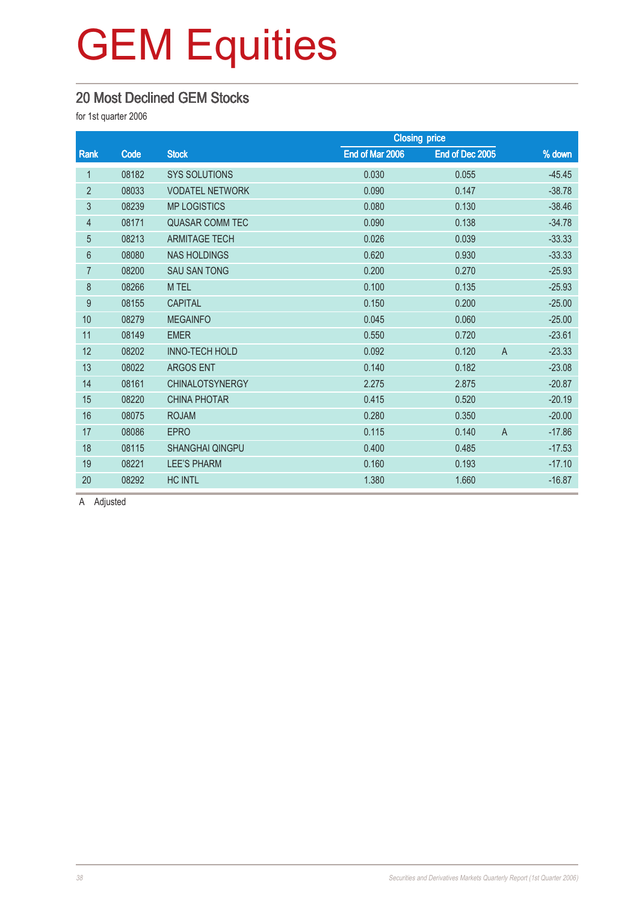#### 20 Most Declined GEM Stocks

for 1st quarter 2006

|                |       |                        |                 | <b>Closing price</b>    |          |
|----------------|-------|------------------------|-----------------|-------------------------|----------|
| Rank           | Code  | <b>Stock</b>           | End of Mar 2006 | End of Dec 2005         | % down   |
| 1              | 08182 | <b>SYS SOLUTIONS</b>   | 0.030           | 0.055                   | $-45.45$ |
| $\overline{2}$ | 08033 | <b>VODATEL NETWORK</b> | 0.090           | 0.147                   | $-38.78$ |
| 3              | 08239 | <b>MP LOGISTICS</b>    | 0.080           | 0.130                   | $-38.46$ |
| $\overline{4}$ | 08171 | <b>QUASAR COMM TEC</b> | 0.090           | 0.138                   | $-34.78$ |
| $\overline{5}$ | 08213 | <b>ARMITAGE TECH</b>   | 0.026           | 0.039                   | $-33.33$ |
| 6              | 08080 | <b>NAS HOLDINGS</b>    | 0.620           | 0.930                   | $-33.33$ |
| $\overline{7}$ | 08200 | <b>SAU SAN TONG</b>    | 0.200           | 0.270                   | $-25.93$ |
| $\bf 8$        | 08266 | M TEL                  | 0.100           | 0.135                   | $-25.93$ |
| 9              | 08155 | <b>CAPITAL</b>         | 0.150           | 0.200                   | $-25.00$ |
| 10             | 08279 | <b>MEGAINFO</b>        | 0.045           | 0.060                   | $-25.00$ |
| 11             | 08149 | <b>EMER</b>            | 0.550           | 0.720                   | $-23.61$ |
| 12             | 08202 | <b>INNO-TECH HOLD</b>  | 0.092           | 0.120<br>$\overline{A}$ | $-23.33$ |
| 13             | 08022 | <b>ARGOS ENT</b>       | 0.140           | 0.182                   | $-23.08$ |
| 14             | 08161 | <b>CHINALOTSYNERGY</b> | 2.275           | 2.875                   | $-20.87$ |
| 15             | 08220 | <b>CHINA PHOTAR</b>    | 0.415           | 0.520                   | $-20.19$ |
| 16             | 08075 | <b>ROJAM</b>           | 0.280           | 0.350                   | $-20.00$ |
| 17             | 08086 | <b>EPRO</b>            | 0.115           | $\overline{A}$<br>0.140 | $-17.86$ |
| 18             | 08115 | <b>SHANGHAI QINGPU</b> | 0.400           | 0.485                   | $-17.53$ |
| 19             | 08221 | <b>LEE'S PHARM</b>     | 0.160           | 0.193                   | $-17.10$ |
| 20             | 08292 | <b>HC INTL</b>         | 1.380           | 1.660                   | $-16.87$ |

A Adjusted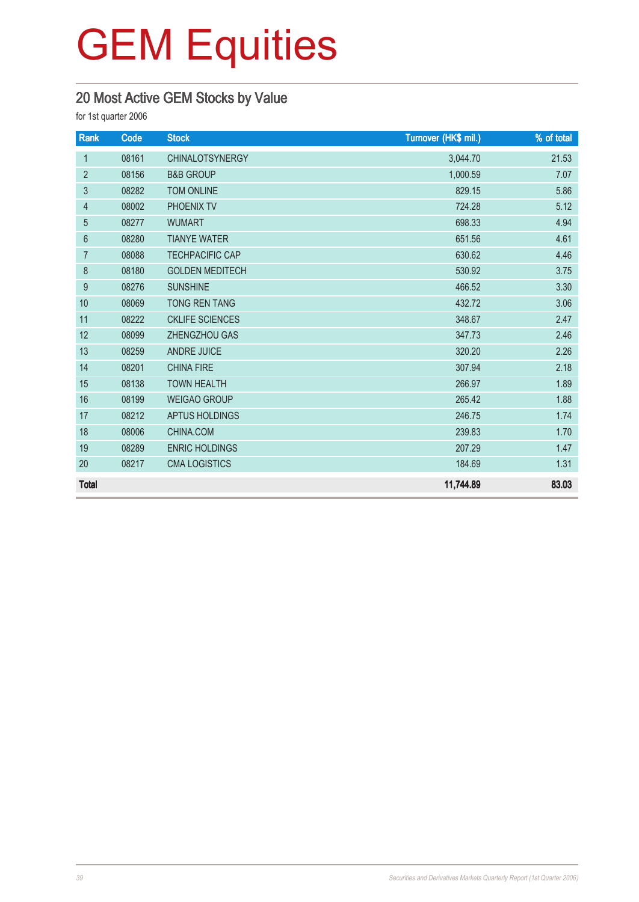#### 20 Most Active GEM Stocks by Value

| Rank            | Code  | <b>Stock</b>           | Turnover (HK\$ mil.) | % of total |
|-----------------|-------|------------------------|----------------------|------------|
| $\mathbf{1}$    | 08161 | <b>CHINALOTSYNERGY</b> | 3,044.70             | 21.53      |
| $\overline{2}$  | 08156 | <b>B&amp;B GROUP</b>   | 1,000.59             | 7.07       |
| 3               | 08282 | <b>TOM ONLINE</b>      | 829.15               | 5.86       |
| $\overline{4}$  | 08002 | PHOENIX TV             | 724.28               | 5.12       |
| 5               | 08277 | <b>WUMART</b>          | 698.33               | 4.94       |
| $6\phantom{1}6$ | 08280 | <b>TIANYE WATER</b>    | 651.56               | 4.61       |
| 7               | 08088 | <b>TECHPACIFIC CAP</b> | 630.62               | 4.46       |
| 8               | 08180 | <b>GOLDEN MEDITECH</b> | 530.92               | 3.75       |
| 9               | 08276 | <b>SUNSHINE</b>        | 466.52               | 3.30       |
| 10              | 08069 | <b>TONG REN TANG</b>   | 432.72               | 3.06       |
| 11              | 08222 | <b>CKLIFE SCIENCES</b> | 348.67               | 2.47       |
| 12              | 08099 | ZHENGZHOU GAS          | 347.73               | 2.46       |
| 13              | 08259 | <b>ANDRE JUICE</b>     | 320.20               | 2.26       |
| 14              | 08201 | <b>CHINA FIRE</b>      | 307.94               | 2.18       |
| 15              | 08138 | <b>TOWN HEALTH</b>     | 266.97               | 1.89       |
| 16              | 08199 | <b>WEIGAO GROUP</b>    | 265.42               | 1.88       |
| 17              | 08212 | <b>APTUS HOLDINGS</b>  | 246.75               | 1.74       |
| 18              | 08006 | CHINA.COM              | 239.83               | 1.70       |
| 19              | 08289 | <b>ENRIC HOLDINGS</b>  | 207.29               | 1.47       |
| 20              | 08217 | <b>CMA LOGISTICS</b>   | 184.69               | 1.31       |
| <b>Total</b>    |       |                        | 11,744.89            | 83.03      |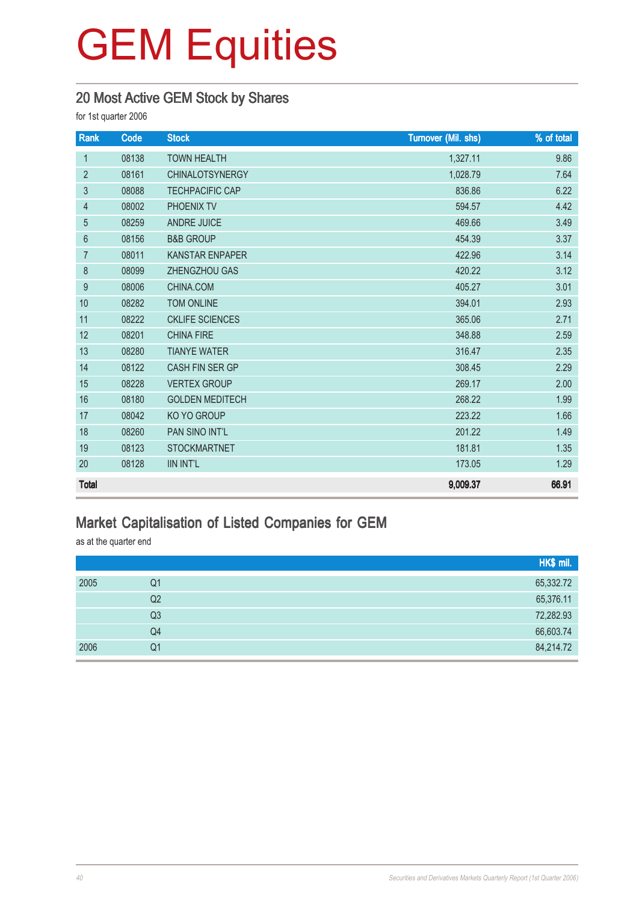#### 20 Most Active GEM Stock by Shares

for 1st quarter 2006

| Rank           | Code  | <b>Stock</b>           | <b>Turnover (Mil. shs)</b> | % of total |
|----------------|-------|------------------------|----------------------------|------------|
| $\mathbf{1}$   | 08138 | <b>TOWN HEALTH</b>     | 1,327.11                   | 9.86       |
| $\overline{2}$ | 08161 | <b>CHINALOTSYNERGY</b> | 1,028.79                   | 7.64       |
| 3              | 08088 | <b>TECHPACIFIC CAP</b> | 836.86                     | 6.22       |
| $\overline{4}$ | 08002 | PHOENIX TV             | 594.57                     | 4.42       |
| 5              | 08259 | <b>ANDRE JUICE</b>     | 469.66                     | 3.49       |
| $6\,$          | 08156 | <b>B&amp;B GROUP</b>   | 454.39                     | 3.37       |
| $\overline{7}$ | 08011 | <b>KANSTAR ENPAPER</b> | 422.96                     | 3.14       |
| $\,8\,$        | 08099 | ZHENGZHOU GAS          | 420.22                     | 3.12       |
| 9              | 08006 | CHINA.COM              | 405.27                     | 3.01       |
| 10             | 08282 | <b>TOM ONLINE</b>      | 394.01                     | 2.93       |
| 11             | 08222 | <b>CKLIFE SCIENCES</b> | 365.06                     | 2.71       |
| 12             | 08201 | <b>CHINA FIRE</b>      | 348.88                     | 2.59       |
| 13             | 08280 | <b>TIANYE WATER</b>    | 316.47                     | 2.35       |
| 14             | 08122 | <b>CASH FIN SER GP</b> | 308.45                     | 2.29       |
| 15             | 08228 | <b>VERTEX GROUP</b>    | 269.17                     | 2.00       |
| 16             | 08180 | <b>GOLDEN MEDITECH</b> | 268.22                     | 1.99       |
| 17             | 08042 | KO YO GROUP            | 223.22                     | 1.66       |
| 18             | 08260 | PAN SINO INT'L         | 201.22                     | 1.49       |
| 19             | 08123 | <b>STOCKMARTNET</b>    | 181.81                     | 1.35       |
| 20             | 08128 | <b>IIN INT'L</b>       | 173.05                     | 1.29       |
| <b>Total</b>   |       |                        | 9,009.37                   | 66.91      |

#### Market Capitalisation of Listed Companies for GEM

as at the quarter end

|      |                | HK\$ mil. |
|------|----------------|-----------|
| 2005 | Q1             | 65,332.72 |
|      | Q2             | 65,376.11 |
|      | Q <sub>3</sub> | 72,282.93 |
|      | Q4             | 66,603.74 |
| 2006 | Q <sub>1</sub> | 84,214.72 |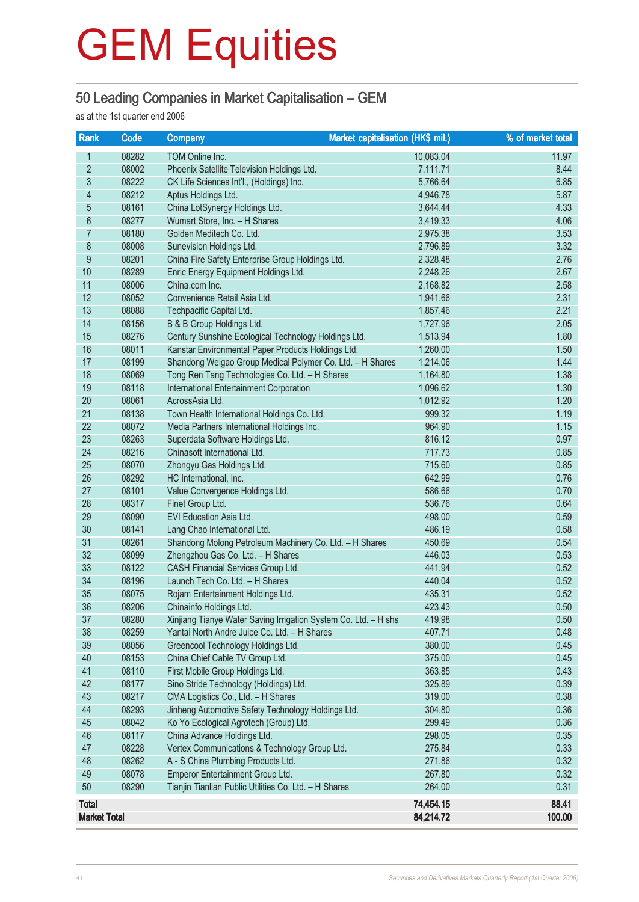#### 50 Leading Companies in Market Capitalisation – GEM

as at the 1st quarter end 2006

| <b>Rank</b>         | Code           | <b>Company</b>                                                                               | <b>Market capitalisation (HK\$ mil.)</b> | % of market total |
|---------------------|----------------|----------------------------------------------------------------------------------------------|------------------------------------------|-------------------|
| 1                   | 08282          | TOM Online Inc.                                                                              | 10,083.04                                | 11.97             |
| $\overline{2}$      | 08002          | Phoenix Satellite Television Holdings Ltd.                                                   | 7,111.71                                 | 8.44              |
| $\overline{3}$      | 08222          | CK Life Sciences Int'l., (Holdings) Inc.                                                     | 5,766.64                                 | 6.85              |
| $\overline{4}$      | 08212          | Aptus Holdings Ltd.                                                                          | 4,946.78                                 | 5.87              |
| $\overline{5}$      | 08161          | China LotSynergy Holdings Ltd.                                                               | 3,644.44                                 | 4.33              |
| $6\phantom{a}$      | 08277          | Wumart Store, Inc. - H Shares                                                                | 3,419.33                                 | 4.06              |
| $\overline{7}$      | 08180          | Golden Meditech Co. Ltd.                                                                     | 2,975.38                                 | 3.53              |
| $8\,$               | 08008          | Sunevision Holdings Ltd.                                                                     | 2,796.89                                 | 3.32              |
| $\overline{9}$      | 08201          | China Fire Safety Enterprise Group Holdings Ltd.                                             | 2,328.48                                 | 2.76              |
| 10                  | 08289          | Enric Energy Equipment Holdings Ltd.                                                         | 2,248.26                                 | 2.67              |
| 11                  | 08006          | China.com Inc.                                                                               | 2,168.82                                 | 2.58              |
| 12                  | 08052          | Convenience Retail Asia Ltd.                                                                 | 1,941.66                                 | 2.31              |
| 13                  | 08088          | Techpacific Capital Ltd.                                                                     | 1,857.46                                 | 2.21              |
| 14                  | 08156          | B & B Group Holdings Ltd.                                                                    | 1,727.96                                 | 2.05              |
| 15                  | 08276          | Century Sunshine Ecological Technology Holdings Ltd.                                         | 1,513.94                                 | 1.80              |
| 16                  | 08011          | Kanstar Environmental Paper Products Holdings Ltd.                                           | 1,260.00                                 | 1.50              |
| 17                  | 08199          | Shandong Weigao Group Medical Polymer Co. Ltd. - H Shares                                    | 1,214.06                                 | 1.44              |
| 18                  | 08069          | Tong Ren Tang Technologies Co. Ltd. - H Shares                                               | 1,164.80                                 | 1.38              |
| 19                  | 08118          | International Entertainment Corporation                                                      | 1,096.62                                 | 1.30              |
| 20                  | 08061          | AcrossAsia Ltd.                                                                              | 1,012.92                                 | 1.20              |
| 21                  | 08138          | Town Health International Holdings Co. Ltd.                                                  | 999.32                                   | 1.19              |
| 22                  | 08072          | Media Partners International Holdings Inc.                                                   | 964.90                                   | 1.15              |
| 23                  | 08263          | Superdata Software Holdings Ltd.                                                             | 816.12                                   | 0.97              |
| 24                  | 08216          | Chinasoft International Ltd.                                                                 | 717.73                                   | 0.85              |
| 25                  | 08070          | Zhongyu Gas Holdings Ltd.                                                                    | 715.60                                   | 0.85              |
| 26                  | 08292          | HC International, Inc.                                                                       | 642.99                                   | 0.76              |
| 27                  | 08101          | Value Convergence Holdings Ltd.                                                              | 586.66                                   | 0.70              |
| 28                  | 08317          | Finet Group Ltd.                                                                             | 536.76                                   | 0.64              |
| 29                  | 08090          | EVI Education Asia Ltd.                                                                      | 498.00                                   | 0.59              |
| 30<br>31            | 08141<br>08261 | Lang Chao International Ltd.                                                                 | 486.19                                   | 0.58<br>0.54      |
| 32                  | 08099          | Shandong Molong Petroleum Machinery Co. Ltd. - H Shares<br>Zhengzhou Gas Co. Ltd. - H Shares | 450.69<br>446.03                         | 0.53              |
| 33                  | 08122          | CASH Financial Services Group Ltd.                                                           | 441.94                                   | 0.52              |
| 34                  | 08196          | Launch Tech Co. Ltd. - H Shares                                                              | 440.04                                   | 0.52              |
| 35                  | 08075          | Rojam Entertainment Holdings Ltd.                                                            | 435.31                                   | 0.52              |
| 36                  | 08206          | Chinainfo Holdings Ltd.                                                                      | 423.43                                   | 0.50              |
| 37                  | 08280          | Xinjiang Tianye Water Saving Irrigation System Co. Ltd. - H shs                              | 419.98                                   | 0.50              |
| 38                  | 08259          | Yantai North Andre Juice Co. Ltd. - H Shares                                                 | 407.71                                   | 0.48              |
| 39                  | 08056          | Greencool Technology Holdings Ltd.                                                           | 380.00                                   | 0.45              |
| 40                  | 08153          | China Chief Cable TV Group Ltd.                                                              | 375.00                                   | 0.45              |
| 41                  | 08110          | First Mobile Group Holdings Ltd.                                                             | 363.85                                   | 0.43              |
| 42                  | 08177          | Sino Stride Technology (Holdings) Ltd.                                                       | 325.89                                   | 0.39              |
| 43                  | 08217          | CMA Logistics Co., Ltd. - H Shares                                                           | 319.00                                   | 0.38              |
| 44                  | 08293          | Jinheng Automotive Safety Technology Holdings Ltd.                                           | 304.80                                   | 0.36              |
| 45                  | 08042          | Ko Yo Ecological Agrotech (Group) Ltd.                                                       | 299.49                                   | 0.36              |
| 46                  | 08117          | China Advance Holdings Ltd.                                                                  | 298.05                                   | 0.35              |
| 47                  | 08228          | Vertex Communications & Technology Group Ltd.                                                | 275.84                                   | 0.33              |
| 48                  | 08262          | A - S China Plumbing Products Ltd.                                                           | 271.86                                   | 0.32              |
| 49                  | 08078          | Emperor Entertainment Group Ltd.                                                             | 267.80                                   | 0.32              |
| 50                  | 08290          | Tianjin Tianlian Public Utilities Co. Ltd. - H Shares                                        | 264.00                                   | 0.31              |
| <b>Total</b>        |                |                                                                                              | 74,454.15                                | 88.41             |
| <b>Market Total</b> |                |                                                                                              | 84,214.72                                | 100.00            |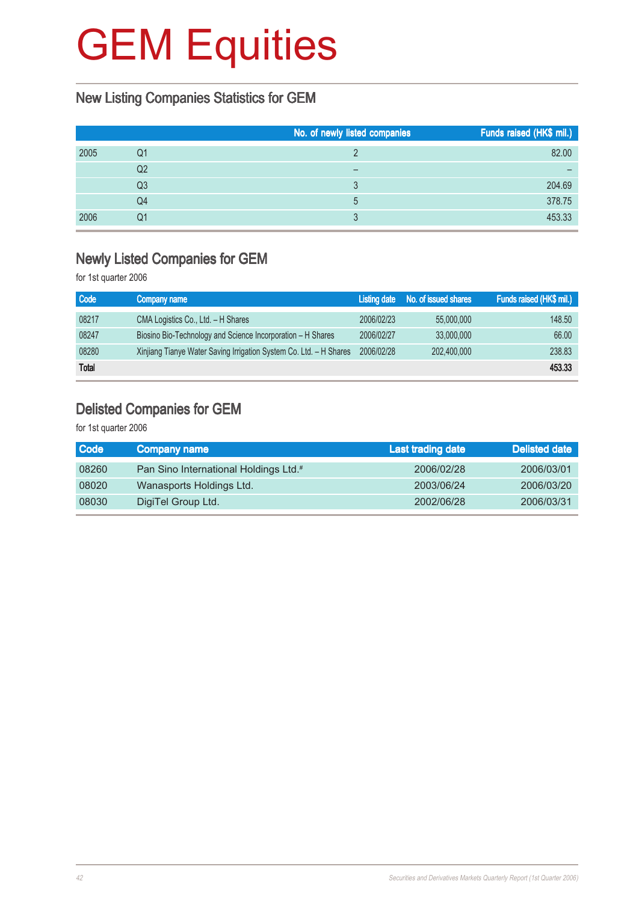#### New Listing Companies Statistics for GEM

|      |    | No. of newly listed companies | Funds raised (HK\$ mil.) |
|------|----|-------------------------------|--------------------------|
| 2005 | Q1 |                               | 82.00                    |
|      | Q2 |                               |                          |
|      | Q3 | ્ર                            | 204.69                   |
|      | Q4 | 5                             | 378.75                   |
| 2006 | Q1 | ્ર                            | 453.33                   |

#### Newly Listed Companies for GEM

for 1st quarter 2006

| <b>Code</b>  | Company name                                                       | Listing date | No. of issued shares | Funds raised (HK\$ mil.) |
|--------------|--------------------------------------------------------------------|--------------|----------------------|--------------------------|
| 08217        | CMA Logistics Co., Ltd. - H Shares                                 | 2006/02/23   | 55,000,000           | 148.50                   |
| 08247        | Biosino Bio-Technology and Science Incorporation – H Shares        | 2006/02/27   | 33,000,000           | 66.00                    |
| 08280        | Xinjiang Tianye Water Saving Irrigation System Co. Ltd. - H Shares | 2006/02/28   | 202,400,000          | 238.83                   |
| <b>Total</b> |                                                                    |              |                      | 453.33                   |

#### Delisted Companies for GEM

| Company name                                      | Last trading date | Delisted date |
|---------------------------------------------------|-------------------|---------------|
| Pan Sino International Holdings Ltd. <sup>#</sup> | 2006/02/28        | 2006/03/01    |
| Wanasports Holdings Ltd.                          | 2003/06/24        | 2006/03/20    |
| DigiTel Group Ltd.                                | 2002/06/28        | 2006/03/31    |
|                                                   |                   |               |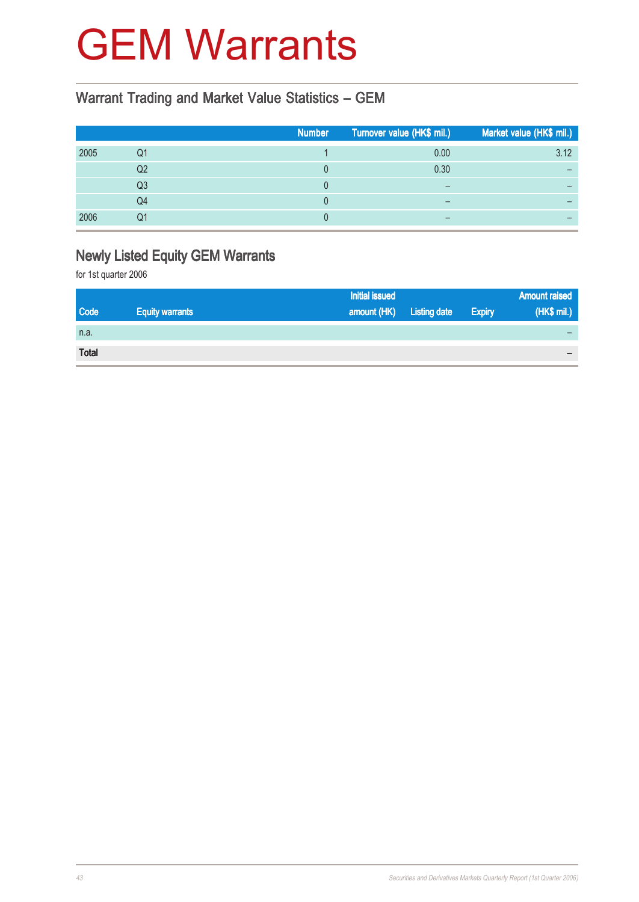### GEM Warrants

#### Warrant Trading and Market Value Statistics – GEM

|      |    | <b>Number</b> | Turnover value (HK\$ mil.) | Market value (HK\$ mil.) |
|------|----|---------------|----------------------------|--------------------------|
| 2005 | Q1 |               | 0.00                       | 3.12                     |
|      | Q2 |               | 0.30                       |                          |
|      | Q3 |               |                            |                          |
|      | Q4 |               |                            |                          |
| 2006 | Q1 |               | $\overline{\phantom{0}}$   |                          |

#### Newly Listed Equity GEM Warrants

|              |                        | <b>Initial issued</b> |                     |               | <b>Amount raised</b>     |
|--------------|------------------------|-----------------------|---------------------|---------------|--------------------------|
| <b>Code</b>  | <b>Equity warrants</b> | amount (HK)           | <b>Listing date</b> | <b>Expiry</b> | (HK\$ mil.)              |
| n.a.         |                        |                       |                     |               |                          |
| <b>Total</b> |                        |                       |                     |               | $\overline{\phantom{0}}$ |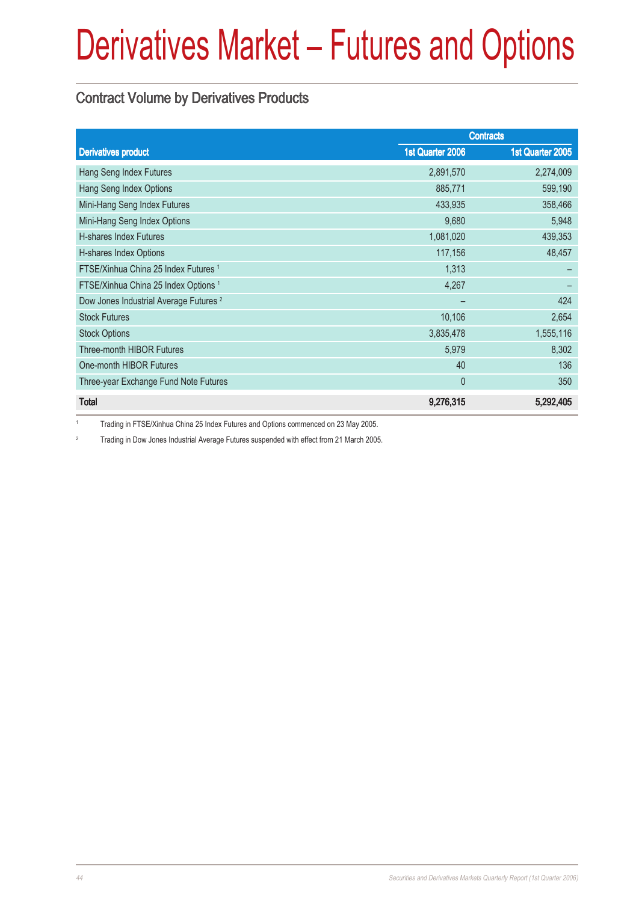#### Contract Volume by Derivatives Products

|                                                   | <b>Contracts</b> |                  |  |
|---------------------------------------------------|------------------|------------------|--|
| <b>Derivatives product</b>                        | 1st Quarter 2006 | 1st Quarter 2005 |  |
| Hang Seng Index Futures                           | 2,891,570        | 2,274,009        |  |
| Hang Seng Index Options                           | 885,771          | 599,190          |  |
| Mini-Hang Seng Index Futures                      | 433,935          | 358,466          |  |
| Mini-Hang Seng Index Options                      | 9,680            | 5,948            |  |
| <b>H-shares Index Futures</b>                     | 1,081,020        | 439,353          |  |
| H-shares Index Options                            | 117,156          | 48,457           |  |
| FTSE/Xinhua China 25 Index Futures 1              | 1,313            |                  |  |
| FTSE/Xinhua China 25 Index Options <sup>1</sup>   | 4,267            |                  |  |
| Dow Jones Industrial Average Futures <sup>2</sup> |                  | 424              |  |
| <b>Stock Futures</b>                              | 10,106           | 2,654            |  |
| <b>Stock Options</b>                              | 3,835,478        | 1,555,116        |  |
| Three-month HIBOR Futures                         | 5,979            | 8,302            |  |
| One-month HIBOR Futures                           | 40               | 136              |  |
| Three-year Exchange Fund Note Futures             | $\mathbf{0}$     | 350              |  |
| <b>Total</b>                                      | 9,276,315        | 5,292,405        |  |

<sup>1</sup> Trading in FTSE/Xinhua China 25 Index Futures and Options commenced on 23 May 2005.

<sup>2</sup> Trading in Dow Jones Industrial Average Futures suspended with effect from 21 March 2005.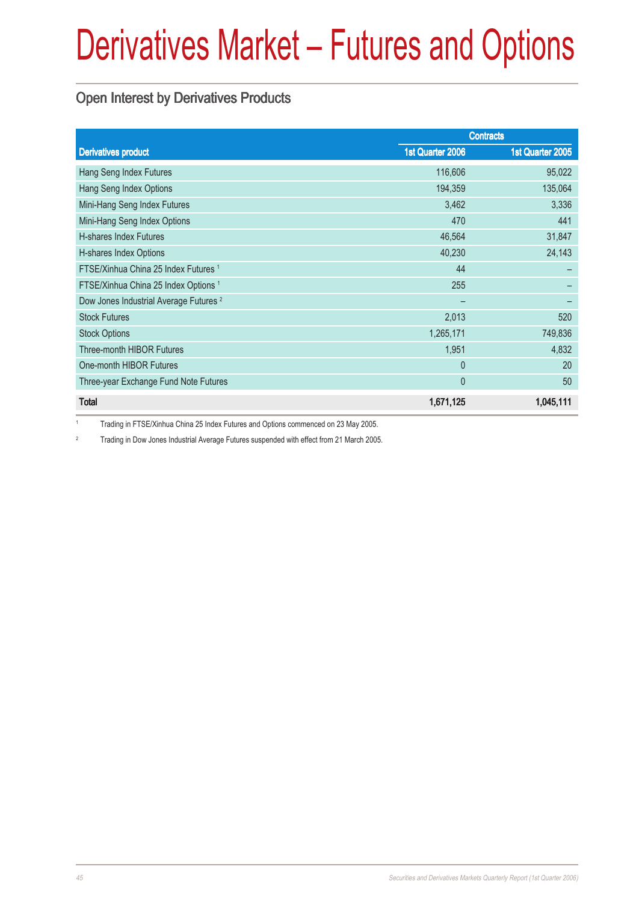#### Open Interest by Derivatives Products

|                                                   | <b>Contracts</b> |                  |  |
|---------------------------------------------------|------------------|------------------|--|
| <b>Derivatives product</b>                        | 1st Quarter 2006 | 1st Quarter 2005 |  |
| Hang Seng Index Futures                           | 116,606          | 95,022           |  |
| Hang Seng Index Options                           | 194,359          | 135,064          |  |
| Mini-Hang Seng Index Futures                      | 3,462            | 3,336            |  |
| Mini-Hang Seng Index Options                      | 470              | 441              |  |
| <b>H-shares Index Futures</b>                     | 46,564           | 31,847           |  |
| H-shares Index Options                            | 40,230           | 24,143           |  |
| FTSE/Xinhua China 25 Index Futures 1              | 44               |                  |  |
| FTSE/Xinhua China 25 Index Options <sup>1</sup>   | 255              |                  |  |
| Dow Jones Industrial Average Futures <sup>2</sup> |                  |                  |  |
| <b>Stock Futures</b>                              | 2,013            | 520              |  |
| <b>Stock Options</b>                              | 1,265,171        | 749,836          |  |
| <b>Three-month HIBOR Futures</b>                  | 1,951            | 4,832            |  |
| One-month HIBOR Futures                           | $\mathbf{0}$     | 20               |  |
| Three-year Exchange Fund Note Futures             | $\overline{0}$   | 50               |  |
| <b>Total</b>                                      | 1,671,125        | 1,045,111        |  |

<sup>1</sup> Trading in FTSE/Xinhua China 25 Index Futures and Options commenced on 23 May 2005.

<sup>2</sup> Trading in Dow Jones Industrial Average Futures suspended with effect from 21 March 2005.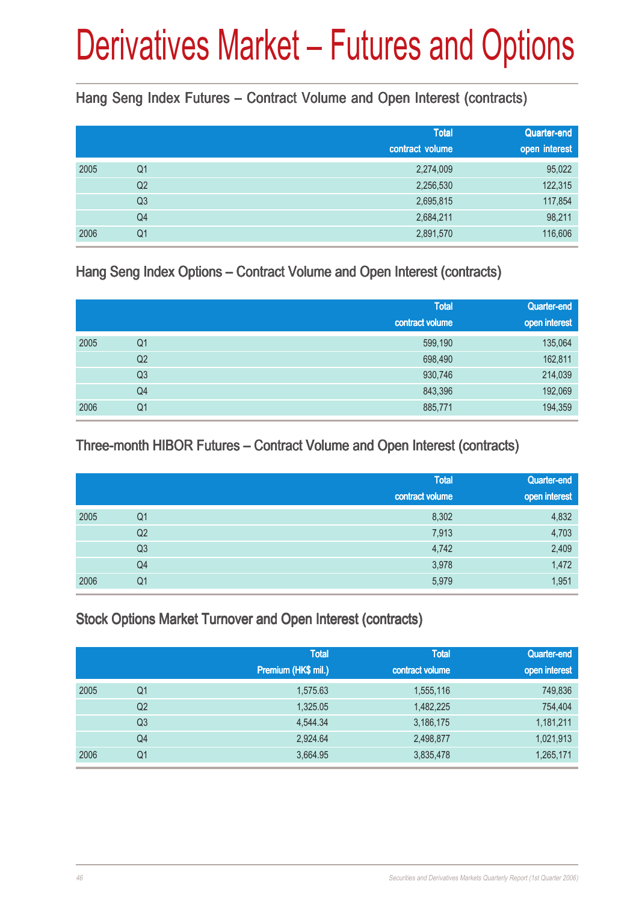#### Hang Seng Index Futures – Contract Volume and Open Interest (contracts)

|      |                | <b>Total</b><br>contract volume | Quarter-end<br>open interest |
|------|----------------|---------------------------------|------------------------------|
| 2005 | Q <sub>1</sub> | 2,274,009                       | 95,022                       |
|      | Q <sub>2</sub> | 2,256,530                       | 122,315                      |
|      | Q <sub>3</sub> | 2,695,815                       | 117,854                      |
|      | Q4             | 2,684,211                       | 98,211                       |
| 2006 | Q1             | 2,891,570                       | 116,606                      |

#### Hang Seng Index Options – Contract Volume and Open Interest (contracts)

|      |                | <b>Total</b><br>contract volume | Quarter-end<br>open interest |
|------|----------------|---------------------------------|------------------------------|
| 2005 | Q <sub>1</sub> | 599,190                         | 135,064                      |
|      | Q <sub>2</sub> | 698,490                         | 162,811                      |
|      | Q <sub>3</sub> | 930,746                         | 214,039                      |
|      | Q4             | 843,396                         | 192,069                      |
| 2006 | Q <sub>1</sub> | 885,771                         | 194,359                      |

#### Three-month HIBOR Futures – Contract Volume and Open Interest (contracts)

|      |                | <b>Total</b><br>contract volume | Quarter-end<br>open interest |
|------|----------------|---------------------------------|------------------------------|
| 2005 | Q <sub>1</sub> | 8,302                           | 4,832                        |
|      | Q <sub>2</sub> | 7,913                           | 4,703                        |
|      | Q <sub>3</sub> | 4,742                           | 2,409                        |
|      | Q4             | 3,978                           | 1,472                        |
| 2006 | Q1             | 5,979                           | 1,951                        |

#### Stock Options Market Turnover and Open Interest (contracts)

|      |    | <b>Total</b><br>Premium (HK\$ mil.) | <b>Total</b><br>contract volume | Quarter-end<br>open interest |
|------|----|-------------------------------------|---------------------------------|------------------------------|
| 2005 | Q1 | 1,575.63                            | 1,555,116                       | 749,836                      |
|      | Q2 | 1,325.05                            | 1,482,225                       | 754,404                      |
|      | Q3 | 4,544.34                            | 3,186,175                       | 1,181,211                    |
|      | Q4 | 2,924.64                            | 2,498,877                       | 1,021,913                    |
| 2006 | Q1 | 3,664.95                            | 3,835,478                       | 1,265,171                    |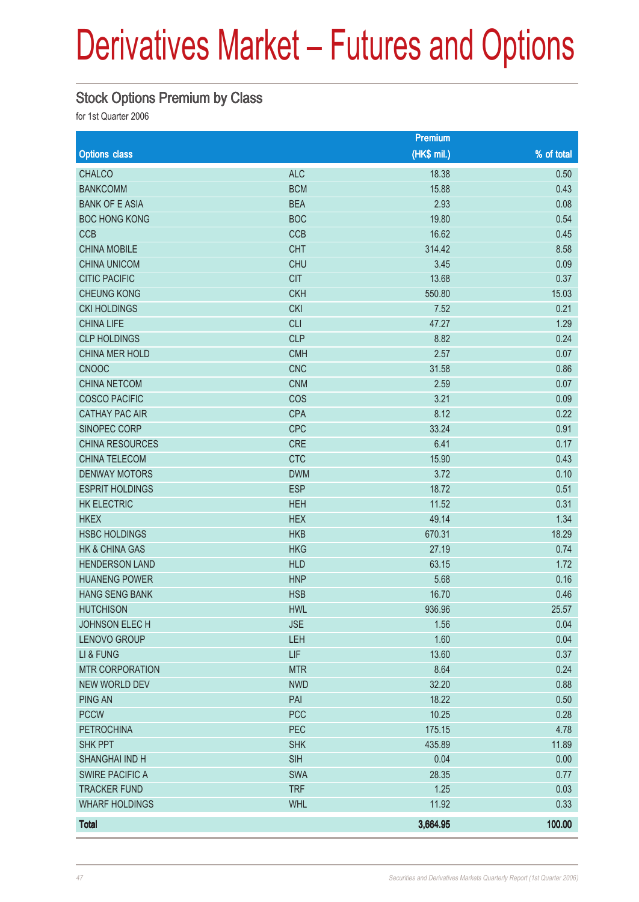#### Stock Options Premium by Class

|                           |            | Premium      |            |
|---------------------------|------------|--------------|------------|
| <b>Options class</b>      |            | $(HK$$ mil.) | % of total |
| <b>CHALCO</b>             | <b>ALC</b> | 18.38        | 0.50       |
| <b>BANKCOMM</b>           | <b>BCM</b> | 15.88        | 0.43       |
| <b>BANK OF E ASIA</b>     | <b>BEA</b> | 2.93         | 0.08       |
| <b>BOC HONG KONG</b>      | <b>BOC</b> | 19.80        | 0.54       |
| <b>CCB</b>                | <b>CCB</b> | 16.62        | 0.45       |
| <b>CHINA MOBILE</b>       | <b>CHT</b> | 314.42       | 8.58       |
| <b>CHINA UNICOM</b>       | <b>CHU</b> | 3.45         | 0.09       |
| <b>CITIC PACIFIC</b>      | <b>CIT</b> | 13.68        | 0.37       |
| <b>CHEUNG KONG</b>        | <b>CKH</b> | 550.80       | 15.03      |
| <b>CKI HOLDINGS</b>       | <b>CKI</b> | 7.52         | 0.21       |
| <b>CHINA LIFE</b>         | <b>CLI</b> | 47.27        | 1.29       |
| <b>CLP HOLDINGS</b>       | <b>CLP</b> | 8.82         | 0.24       |
| CHINA MER HOLD            | <b>CMH</b> | 2.57         | 0.07       |
| <b>CNOOC</b>              | <b>CNC</b> | 31.58        | 0.86       |
| <b>CHINA NETCOM</b>       | <b>CNM</b> | 2.59         | 0.07       |
| <b>COSCO PACIFIC</b>      | COS        | 3.21         | 0.09       |
| <b>CATHAY PAC AIR</b>     | <b>CPA</b> | 8.12         | 0.22       |
| SINOPEC CORP              | <b>CPC</b> | 33.24        | 0.91       |
| <b>CHINA RESOURCES</b>    | <b>CRE</b> | 6.41         | 0.17       |
| <b>CHINA TELECOM</b>      | <b>CTC</b> | 15.90        | 0.43       |
| <b>DENWAY MOTORS</b>      | <b>DWM</b> | 3.72         | 0.10       |
| <b>ESPRIT HOLDINGS</b>    | <b>ESP</b> | 18.72        | 0.51       |
| <b>HK ELECTRIC</b>        | <b>HEH</b> | 11.52        | 0.31       |
| <b>HKEX</b>               | <b>HEX</b> | 49.14        | 1.34       |
| <b>HSBC HOLDINGS</b>      | <b>HKB</b> | 670.31       | 18.29      |
| <b>HK &amp; CHINA GAS</b> | <b>HKG</b> | 27.19        | 0.74       |
| <b>HENDERSON LAND</b>     | <b>HLD</b> | 63.15        | 1.72       |
| <b>HUANENG POWER</b>      | <b>HNP</b> | 5.68         | 0.16       |
| <b>HANG SENG BANK</b>     | <b>HSB</b> | 16.70        | 0.46       |
| <b>HUTCHISON</b>          | <b>HWL</b> | 936.96       | 25.57      |
| JOHNSON ELECH             | <b>JSE</b> | 1.56         | 0.04       |
| LENOVO GROUP              | LEH        | 1.60         | 0.04       |
| LI & FUNG                 | LIF        | 13.60        | 0.37       |
| <b>MTR CORPORATION</b>    | <b>MTR</b> | 8.64         | 0.24       |
| <b>NEW WORLD DEV</b>      | <b>NWD</b> | 32.20        | 0.88       |
| <b>PING AN</b>            | PAI        | 18.22        | 0.50       |
| <b>PCCW</b>               | <b>PCC</b> | 10.25        | 0.28       |
| <b>PETROCHINA</b>         | PEC        | 175.15       | 4.78       |
| <b>SHK PPT</b>            | <b>SHK</b> | 435.89       | 11.89      |
| SHANGHAI IND H            | <b>SIH</b> | 0.04         | 0.00       |
| <b>SWIRE PACIFIC A</b>    | <b>SWA</b> | 28.35        | 0.77       |
| <b>TRACKER FUND</b>       | <b>TRF</b> | 1.25         | 0.03       |
| <b>WHARF HOLDINGS</b>     | <b>WHL</b> | 11.92        | 0.33       |
| <b>Total</b>              |            | 3,664.95     | 100.00     |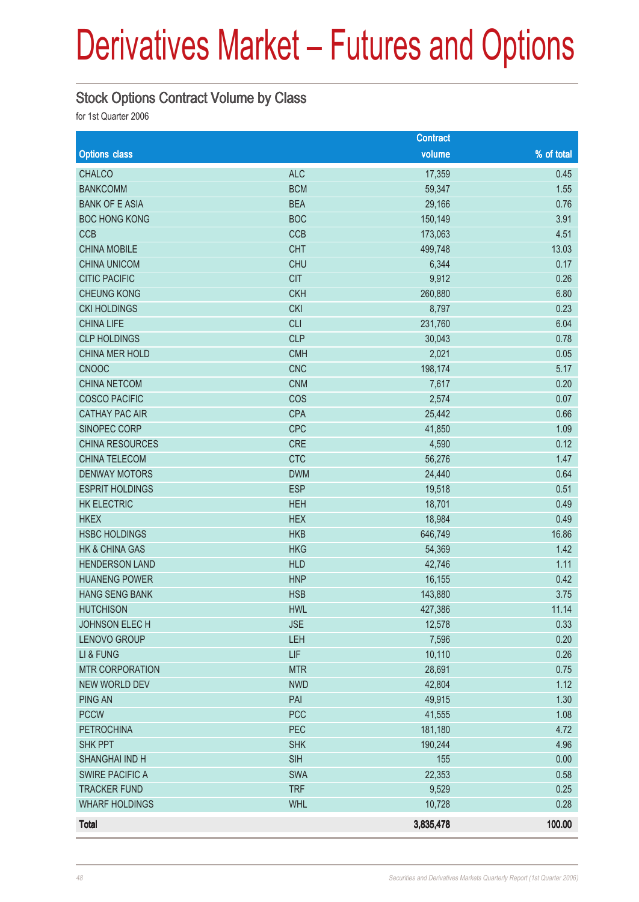#### Stock Options Contract Volume by Class

|                           |            | <b>Contract</b> |            |
|---------------------------|------------|-----------------|------------|
| <b>Options class</b>      |            | volume          | % of total |
| <b>CHALCO</b>             | <b>ALC</b> | 17,359          | 0.45       |
| <b>BANKCOMM</b>           | <b>BCM</b> | 59,347          | 1.55       |
| <b>BANK OF E ASIA</b>     | <b>BEA</b> | 29,166          | 0.76       |
| <b>BOC HONG KONG</b>      | <b>BOC</b> | 150,149         | 3.91       |
| <b>CCB</b>                | CCB        | 173,063         | 4.51       |
| <b>CHINA MOBILE</b>       | <b>CHT</b> | 499,748         | 13.03      |
| <b>CHINA UNICOM</b>       | <b>CHU</b> | 6,344           | 0.17       |
| <b>CITIC PACIFIC</b>      | <b>CIT</b> | 9,912           | 0.26       |
| <b>CHEUNG KONG</b>        | <b>CKH</b> | 260,880         | 6.80       |
| <b>CKI HOLDINGS</b>       | <b>CKI</b> | 8,797           | 0.23       |
| <b>CHINA LIFE</b>         | <b>CLI</b> | 231,760         | 6.04       |
| <b>CLP HOLDINGS</b>       | <b>CLP</b> | 30,043          | 0.78       |
| CHINA MER HOLD            | <b>CMH</b> | 2,021           | 0.05       |
| <b>CNOOC</b>              | <b>CNC</b> | 198,174         | 5.17       |
| <b>CHINA NETCOM</b>       | <b>CNM</b> | 7,617           | 0.20       |
| <b>COSCO PACIFIC</b>      | COS        | 2,574           | 0.07       |
| <b>CATHAY PAC AIR</b>     | <b>CPA</b> | 25,442          | 0.66       |
| SINOPEC CORP              | <b>CPC</b> | 41,850          | 1.09       |
| <b>CHINA RESOURCES</b>    | <b>CRE</b> | 4,590           | 0.12       |
| CHINA TELECOM             | <b>CTC</b> | 56,276          | 1.47       |
| <b>DENWAY MOTORS</b>      | <b>DWM</b> | 24,440          | 0.64       |
| <b>ESPRIT HOLDINGS</b>    | <b>ESP</b> | 19,518          | 0.51       |
| <b>HK ELECTRIC</b>        | <b>HEH</b> | 18,701          | 0.49       |
| <b>HKEX</b>               | <b>HEX</b> | 18,984          | 0.49       |
| <b>HSBC HOLDINGS</b>      | <b>HKB</b> | 646,749         | 16.86      |
| <b>HK &amp; CHINA GAS</b> | <b>HKG</b> | 54,369          | 1.42       |
| <b>HENDERSON LAND</b>     | <b>HLD</b> | 42,746          | 1.11       |
| <b>HUANENG POWER</b>      | <b>HNP</b> | 16,155          | 0.42       |
| <b>HANG SENG BANK</b>     | <b>HSB</b> | 143,880         | 3.75       |
| <b>HUTCHISON</b>          | <b>HWL</b> | 427,386         | 11.14      |
| JOHNSON ELECH             | <b>JSE</b> | 12,578          | 0.33       |
| LENOVO GROUP              | LEH        | 7,596           | 0.20       |
| LI & FUNG                 | LIF        | 10,110          | 0.26       |
| <b>MTR CORPORATION</b>    | <b>MTR</b> | 28,691          | 0.75       |
| <b>NEW WORLD DEV</b>      | <b>NWD</b> | 42,804          | 1.12       |
| <b>PING AN</b>            | PAI        | 49,915          | 1.30       |
| <b>PCCW</b>               | <b>PCC</b> | 41,555          | 1.08       |
| <b>PETROCHINA</b>         | PEC        | 181,180         | 4.72       |
| <b>SHK PPT</b>            | <b>SHK</b> | 190,244         | 4.96       |
| SHANGHAI IND H            | <b>SIH</b> | 155             | 0.00       |
| <b>SWIRE PACIFIC A</b>    | <b>SWA</b> | 22,353          | 0.58       |
| <b>TRACKER FUND</b>       | <b>TRF</b> | 9,529           | 0.25       |
| <b>WHARF HOLDINGS</b>     | <b>WHL</b> | 10,728          | 0.28       |
| <b>Total</b>              |            | 3,835,478       | 100.00     |
|                           |            |                 |            |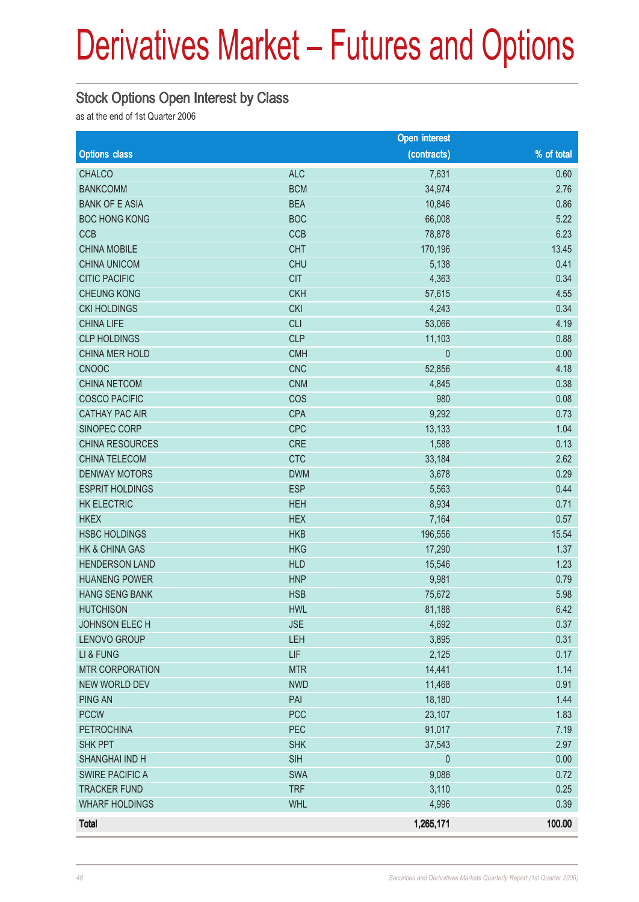#### Stock Options Open Interest by Class

as at the end of 1st Quarter 2006

|                        |            | <b>Open interest</b> |            |
|------------------------|------------|----------------------|------------|
| <b>Options class</b>   |            | (contracts)          | % of total |
| <b>CHALCO</b>          | <b>ALC</b> | 7,631                | 0.60       |
| <b>BANKCOMM</b>        | <b>BCM</b> | 34,974               | 2.76       |
| <b>BANK OF E ASIA</b>  | <b>BEA</b> | 10,846               | 0.86       |
| <b>BOC HONG KONG</b>   | <b>BOC</b> | 66,008               | 5.22       |
| <b>CCB</b>             | CCB        | 78,878               | 6.23       |
| <b>CHINA MOBILE</b>    | <b>CHT</b> | 170,196              | 13.45      |
| <b>CHINA UNICOM</b>    | <b>CHU</b> | 5,138                | 0.41       |
| <b>CITIC PACIFIC</b>   | <b>CIT</b> | 4,363                | 0.34       |
| <b>CHEUNG KONG</b>     | <b>CKH</b> | 57,615               | 4.55       |
| <b>CKI HOLDINGS</b>    | <b>CKI</b> | 4,243                | 0.34       |
| <b>CHINA LIFE</b>      | <b>CLI</b> | 53,066               | 4.19       |
| <b>CLP HOLDINGS</b>    | <b>CLP</b> | 11,103               | 0.88       |
| CHINA MER HOLD         | <b>CMH</b> | $\pmb{0}$            | 0.00       |
| <b>CNOOC</b>           | <b>CNC</b> | 52,856               | 4.18       |
| <b>CHINA NETCOM</b>    | <b>CNM</b> | 4,845                | 0.38       |
| <b>COSCO PACIFIC</b>   | COS        | 980                  | 0.08       |
| <b>CATHAY PAC AIR</b>  | <b>CPA</b> | 9,292                | 0.73       |
| SINOPEC CORP           | <b>CPC</b> | 13,133               | 1.04       |
| <b>CHINA RESOURCES</b> | <b>CRE</b> | 1,588                | 0.13       |
| CHINA TELECOM          | <b>CTC</b> | 33,184               | 2.62       |
| <b>DENWAY MOTORS</b>   | <b>DWM</b> | 3,678                | 0.29       |
| <b>ESPRIT HOLDINGS</b> | <b>ESP</b> | 5,563                | 0.44       |
| <b>HK ELECTRIC</b>     | <b>HEH</b> | 8,934                | 0.71       |
| <b>HKEX</b>            | <b>HEX</b> | 7,164                | 0.57       |
| <b>HSBC HOLDINGS</b>   | <b>HKB</b> | 196,556              | 15.54      |
| HK & CHINA GAS         | <b>HKG</b> | 17,290               | 1.37       |
| <b>HENDERSON LAND</b>  | <b>HLD</b> | 15,546               | 1.23       |
| <b>HUANENG POWER</b>   | <b>HNP</b> | 9,981                | 0.79       |
| <b>HANG SENG BANK</b>  | <b>HSB</b> | 75,672               | 5.98       |
| <b>HUTCHISON</b>       | <b>HWL</b> | 81,188               | 6.42       |
| JOHNSON ELECH          | <b>JSE</b> | 4,692                | 0.37       |
| LENOVO GROUP           | LEH        | 3,895                | 0.31       |
| LI & FUNG              | <b>LIF</b> | 2,125                | 0.17       |
| <b>MTR CORPORATION</b> | <b>MTR</b> | 14,441               | 1.14       |
| <b>NEW WORLD DEV</b>   | <b>NWD</b> | 11,468               | 0.91       |
| <b>PING AN</b>         | PAI        | 18,180               | 1.44       |
| <b>PCCW</b>            | <b>PCC</b> | 23,107               | 1.83       |
| <b>PETROCHINA</b>      | PEC        | 91,017               | 7.19       |
| <b>SHK PPT</b>         | <b>SHK</b> | 37,543               | 2.97       |
| SHANGHAI IND H         | <b>SIH</b> | $\theta$             | 0.00       |
| <b>SWIRE PACIFIC A</b> | SWA        | 9,086                | 0.72       |
| <b>TRACKER FUND</b>    | <b>TRF</b> | 3,110                | 0.25       |
| <b>WHARF HOLDINGS</b>  | <b>WHL</b> | 4,996                | 0.39       |
| <b>Total</b>           |            | 1,265,171            | 100.00     |